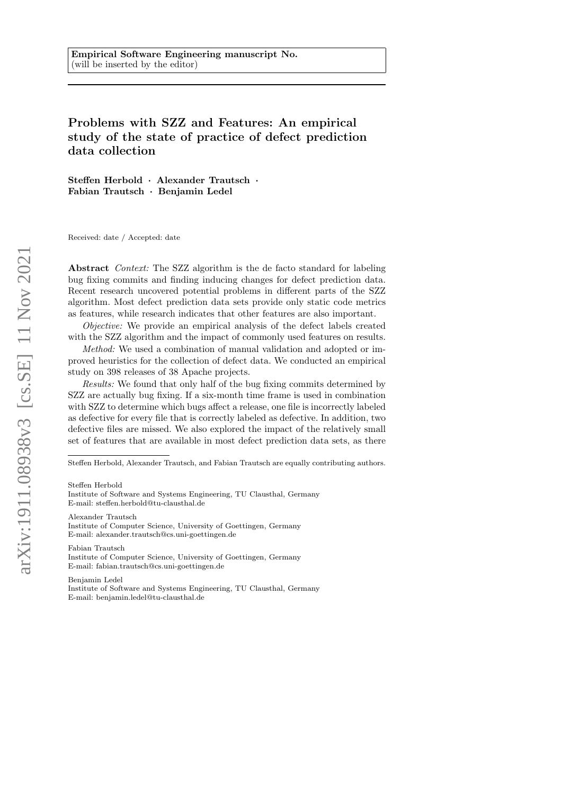# Problems with SZZ and Features: An empirical study of the state of practice of defect prediction data collection

Steffen Herbold · Alexander Trautsch · Fabian Trautsch · Benjamin Ledel

Received: date / Accepted: date

Abstract Context: The SZZ algorithm is the de facto standard for labeling bug fixing commits and finding inducing changes for defect prediction data. Recent research uncovered potential problems in different parts of the SZZ algorithm. Most defect prediction data sets provide only static code metrics as features, while research indicates that other features are also important.

Objective: We provide an empirical analysis of the defect labels created with the SZZ algorithm and the impact of commonly used features on results.

Method: We used a combination of manual validation and adopted or improved heuristics for the collection of defect data. We conducted an empirical study on 398 releases of 38 Apache projects.

Results: We found that only half of the bug fixing commits determined by SZZ are actually bug fixing. If a six-month time frame is used in combination with SZZ to determine which bugs affect a release, one file is incorrectly labeled as defective for every file that is correctly labeled as defective. In addition, two defective files are missed. We also explored the impact of the relatively small set of features that are available in most defect prediction data sets, as there

Steffen Herbold

Alexander Trautsch

Institute of Computer Science, University of Goettingen, Germany E-mail: alexander.trautsch@cs.uni-goettingen.de

Fabian Trautsch Institute of Computer Science, University of Goettingen, Germany E-mail: fabian.trautsch@cs.uni-goettingen.de

Benjamin Ledel Institute of Software and Systems Engineering, TU Clausthal, Germany E-mail: benjamin.ledel@tu-clausthal.de

Steffen Herbold, Alexander Trautsch, and Fabian Trautsch are equally contributing authors.

Institute of Software and Systems Engineering, TU Clausthal, Germany E-mail: steffen.herbold@tu-clausthal.de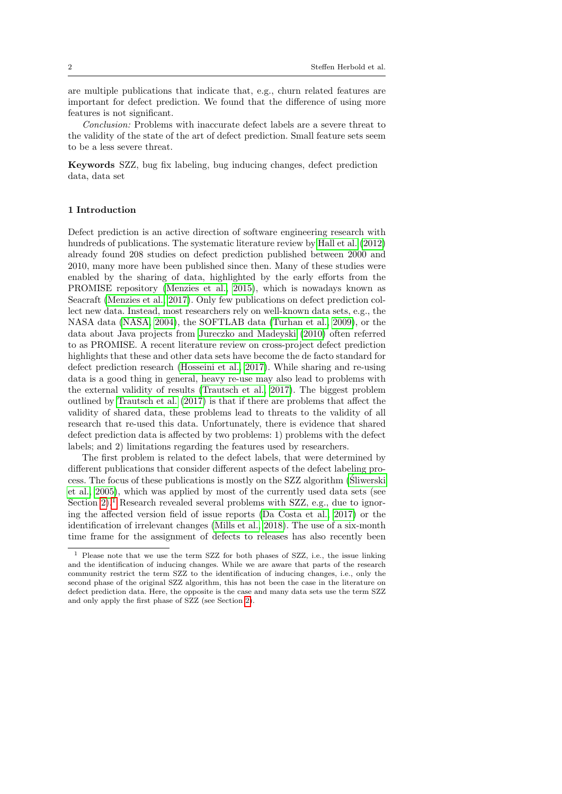are multiple publications that indicate that, e.g., churn related features are important for defect prediction. We found that the difference of using more features is not significant.

Conclusion: Problems with inaccurate defect labels are a severe threat to the validity of the state of the art of defect prediction. Small feature sets seem to be a less severe threat.

Keywords SZZ, bug fix labeling, bug inducing changes, defect prediction data, data set

## 1 Introduction

Defect prediction is an active direction of software engineering research with hundreds of publications. The systematic literature review by [Hall et al.](#page-49-0) [\(2012\)](#page-49-0) already found 208 studies on defect prediction published between 2000 and 2010, many more have been published since then. Many of these studies were enabled by the sharing of data, highlighted by the early efforts from the PROMISE repository [\(Menzies et al., 2015\)](#page-50-0), which is nowadays known as Seacraft [\(Menzies et al., 2017\)](#page-50-1). Only few publications on defect prediction collect new data. Instead, most researchers rely on well-known data sets, e.g., the NASA data [\(NASA, 2004\)](#page-50-2), the SOFTLAB data [\(Turhan et al., 2009\)](#page-53-0), or the data about Java projects from [Jureczko and Madeyski](#page-49-1) [\(2010\)](#page-49-1) often referred to as PROMISE. A recent literature review on cross-project defect prediction highlights that these and other data sets have become the de facto standard for defect prediction research [\(Hosseini et al., 2017\)](#page-49-2). While sharing and re-using data is a good thing in general, heavy re-use may also lead to problems with the external validity of results [\(Trautsch et al., 2017\)](#page-53-1). The biggest problem outlined by [Trautsch et al.](#page-53-1) [\(2017\)](#page-53-1) is that if there are problems that affect the validity of shared data, these problems lead to threats to the validity of all research that re-used this data. Unfortunately, there is evidence that shared defect prediction data is affected by two problems: 1) problems with the defect labels; and 2) limitations regarding the features used by researchers.

The first problem is related to the defect labels, that were determined by different publications that consider different aspects of the defect labeling process. The focus of these publications is mostly on the SZZ algorithm [\(Sliwerski](#page-52-0) ´ [et al., 2005\)](#page-52-0), which was applied by most of the currently used data sets (see Section [2\)](#page-3-0).<sup>[1](#page-1-0)</sup> Research revealed several problems with  $SZZ$ , e.g., due to ignoring the affected version field of issue reports [\(Da Costa et al., 2017\)](#page-48-0) or the identification of irrelevant changes [\(Mills et al., 2018\)](#page-50-3). The use of a six-month time frame for the assignment of defects to releases has also recently been

<span id="page-1-0"></span><sup>1</sup> Please note that we use the term SZZ for both phases of SZZ, i.e., the issue linking and the identification of inducing changes. While we are aware that parts of the research community restrict the term SZZ to the identification of inducing changes, i.e., only the second phase of the original SZZ algorithm, this has not been the case in the literature on defect prediction data. Here, the opposite is the case and many data sets use the term SZZ and only apply the first phase of SZZ (see Section [2\)](#page-3-0).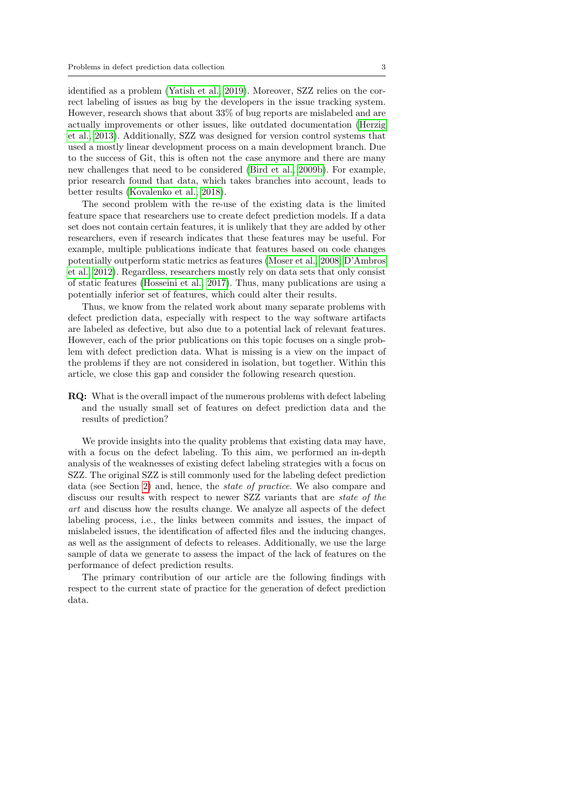identified as a problem [\(Yatish et al., 2019\)](#page-54-0). Moreover, SZZ relies on the correct labeling of issues as bug by the developers in the issue tracking system. However, research shows that about 33% of bug reports are mislabeled and are actually improvements or other issues, like outdated documentation [\(Herzig](#page-49-3) [et al., 2013\)](#page-49-3). Additionally, SZZ was designed for version control systems that used a mostly linear development process on a main development branch. Due to the success of Git, this is often not the case anymore and there are many new challenges that need to be considered [\(Bird et al., 2009b\)](#page-47-0). For example, prior research found that data, which takes branches into account, leads to better results [\(Kovalenko et al., 2018\)](#page-50-4).

The second problem with the re-use of the existing data is the limited feature space that researchers use to create defect prediction models. If a data set does not contain certain features, it is unlikely that they are added by other researchers, even if research indicates that these features may be useful. For example, multiple publications indicate that features based on code changes potentially outperform static metrics as features [\(Moser et al., 2008;](#page-50-5) [D'Ambros](#page-48-1) [et al., 2012\)](#page-48-1). Regardless, researchers mostly rely on data sets that only consist of static features [\(Hosseini et al., 2017\)](#page-49-2). Thus, many publications are using a potentially inferior set of features, which could alter their results.

Thus, we know from the related work about many separate problems with defect prediction data, especially with respect to the way software artifacts are labeled as defective, but also due to a potential lack of relevant features. However, each of the prior publications on this topic focuses on a single problem with defect prediction data. What is missing is a view on the impact of the problems if they are not considered in isolation, but together. Within this article, we close this gap and consider the following research question.

RQ: What is the overall impact of the numerous problems with defect labeling and the usually small set of features on defect prediction data and the results of prediction?

We provide insights into the quality problems that existing data may have, with a focus on the defect labeling. To this aim, we performed an in-depth analysis of the weaknesses of existing defect labeling strategies with a focus on SZZ. The original SZZ is still commonly used for the labeling defect prediction data (see Section [2\)](#page-3-0) and, hence, the state of practice. We also compare and discuss our results with respect to newer SZZ variants that are state of the art and discuss how the results change. We analyze all aspects of the defect labeling process, i.e., the links between commits and issues, the impact of mislabeled issues, the identification of affected files and the inducing changes, as well as the assignment of defects to releases. Additionally, we use the large sample of data we generate to assess the impact of the lack of features on the performance of defect prediction results.

The primary contribution of our article are the following findings with respect to the current state of practice for the generation of defect prediction data.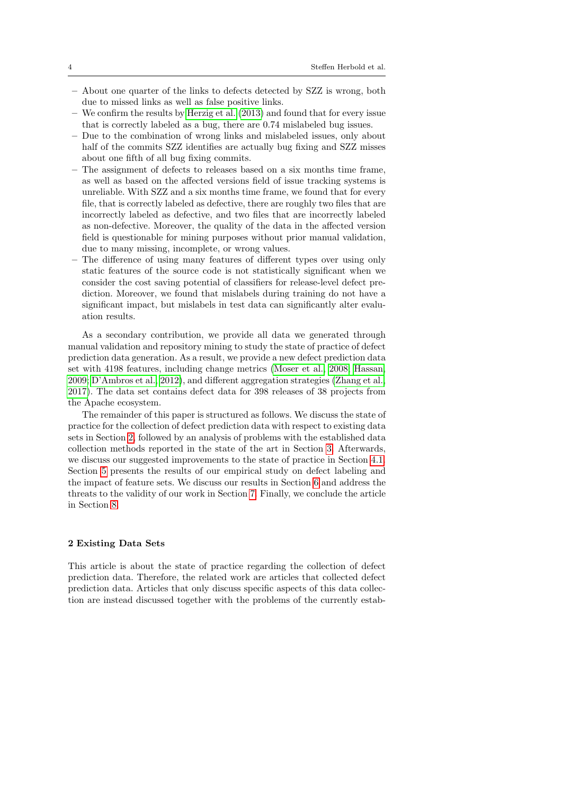- About one quarter of the links to defects detected by SZZ is wrong, both due to missed links as well as false positive links.
- We confirm the results by [Herzig et al.](#page-49-3) [\(2013\)](#page-49-3) and found that for every issue that is correctly labeled as a bug, there are 0.74 mislabeled bug issues.
- Due to the combination of wrong links and mislabeled issues, only about half of the commits SZZ identifies are actually bug fixing and SZZ misses about one fifth of all bug fixing commits.
- The assignment of defects to releases based on a six months time frame, as well as based on the affected versions field of issue tracking systems is unreliable. With SZZ and a six months time frame, we found that for every file, that is correctly labeled as defective, there are roughly two files that are incorrectly labeled as defective, and two files that are incorrectly labeled as non-defective. Moreover, the quality of the data in the affected version field is questionable for mining purposes without prior manual validation, due to many missing, incomplete, or wrong values.
- The difference of using many features of different types over using only static features of the source code is not statistically significant when we consider the cost saving potential of classifiers for release-level defect prediction. Moreover, we found that mislabels during training do not have a significant impact, but mislabels in test data can significantly alter evaluation results.

As a secondary contribution, we provide all data we generated through manual validation and repository mining to study the state of practice of defect prediction data generation. As a result, we provide a new defect prediction data set with 4198 features, including change metrics [\(Moser et al., 2008;](#page-50-5) [Hassan,](#page-49-4) [2009;](#page-49-4) [D'Ambros et al., 2012\)](#page-48-1), and different aggregation strategies [\(Zhang et al.,](#page-54-1) [2017\)](#page-54-1). The data set contains defect data for 398 releases of 38 projects from the Apache ecosystem.

The remainder of this paper is structured as follows. We discuss the state of practice for the collection of defect prediction data with respect to existing data sets in Section [2,](#page-3-0) followed by an analysis of problems with the established data collection methods reported in the state of the art in Section [3.](#page-8-0) Afterwards, we discuss our suggested improvements to the state of practice in Section [4.1.](#page-15-0) Section [5](#page-19-0) presents the results of our empirical study on defect labeling and the impact of feature sets. We discuss our results in Section [6](#page-39-0) and address the threats to the validity of our work in Section [7.](#page-44-0) Finally, we conclude the article in Section [8.](#page-45-0)

## <span id="page-3-0"></span>2 Existing Data Sets

This article is about the state of practice regarding the collection of defect prediction data. Therefore, the related work are articles that collected defect prediction data. Articles that only discuss specific aspects of this data collection are instead discussed together with the problems of the currently estab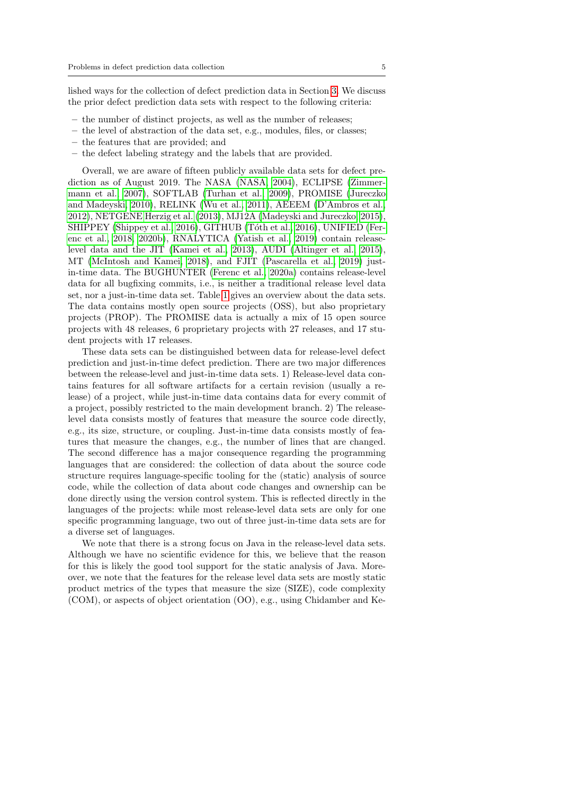lished ways for the collection of defect prediction data in Section [3.](#page-8-0) We discuss the prior defect prediction data sets with respect to the following criteria:

- the number of distinct projects, as well as the number of releases;
- the level of abstraction of the data set, e.g., modules, files, or classes;
- the features that are provided; and
- the defect labeling strategy and the labels that are provided.

Overall, we are aware of fifteen publicly available data sets for defect prediction as of August 2019. The NASA [\(NASA, 2004\)](#page-50-2), ECLIPSE [\(Zimmer](#page-54-2)[mann et al., 2007\)](#page-54-2), SOFTLAB [\(Turhan et al., 2009\)](#page-53-0), PROMISE [\(Jureczko](#page-49-1) [and Madeyski, 2010\)](#page-49-1), RELINK [\(Wu et al., 2011\)](#page-53-2), AEEEM [\(D'Ambros et al.,](#page-48-1) [2012\)](#page-48-1), NETGENE [Herzig et al.](#page-49-5) [\(2013\)](#page-49-5), MJ12A [\(Madeyski and Jureczko, 2015\)](#page-50-6), SHIPPEY [\(Shippey et al., 2016\)](#page-52-1), GITHUB (Tóth et al., 2016), UNIFIED [\(Fer](#page-48-2)[enc et al., 2018,](#page-48-2) [2020b\)](#page-48-3), RNALYTICA [\(Yatish et al., 2019\)](#page-54-0) contain releaselevel data and the JIT [\(Kamei et al., 2013\)](#page-49-6), AUDI [\(Altinger et al., 2015\)](#page-47-1), MT [\(McIntosh and Kamei, 2018\)](#page-50-7), and FJIT [\(Pascarella et al., 2019\)](#page-51-0) justin-time data. The BUGHUNTER [\(Ferenc et al., 2020a\)](#page-48-4) contains release-level data for all bugfixing commits, i.e., is neither a traditional release level data set, nor a just-in-time data set. Table [1](#page-5-0) gives an overview about the data sets. The data contains mostly open source projects (OSS), but also proprietary projects (PROP). The PROMISE data is actually a mix of 15 open source projects with 48 releases, 6 proprietary projects with 27 releases, and 17 student projects with 17 releases.

These data sets can be distinguished between data for release-level defect prediction and just-in-time defect prediction. There are two major differences between the release-level and just-in-time data sets. 1) Release-level data contains features for all software artifacts for a certain revision (usually a release) of a project, while just-in-time data contains data for every commit of a project, possibly restricted to the main development branch. 2) The releaselevel data consists mostly of features that measure the source code directly, e.g., its size, structure, or coupling. Just-in-time data consists mostly of features that measure the changes, e.g., the number of lines that are changed. The second difference has a major consequence regarding the programming languages that are considered: the collection of data about the source code structure requires language-specific tooling for the (static) analysis of source code, while the collection of data about code changes and ownership can be done directly using the version control system. This is reflected directly in the languages of the projects: while most release-level data sets are only for one specific programming language, two out of three just-in-time data sets are for a diverse set of languages.

We note that there is a strong focus on Java in the release-level data sets. Although we have no scientific evidence for this, we believe that the reason for this is likely the good tool support for the static analysis of Java. Moreover, we note that the features for the release level data sets are mostly static product metrics of the types that measure the size (SIZE), code complexity (COM), or aspects of object orientation (OO), e.g., using Chidamber and Ke-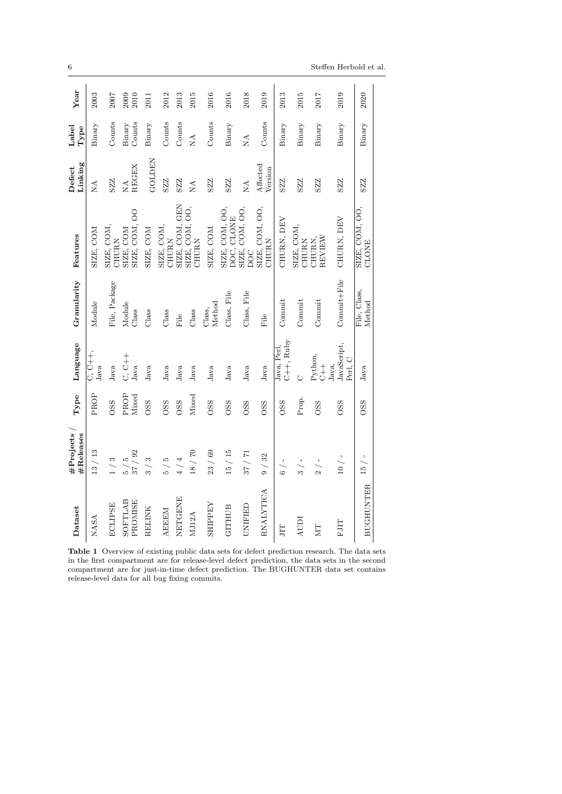| Dataset            | #Projects<br>#Releases                    | ${\bf Type}$     | Language                                              | Granularity            | Features                       | Linking<br>Defect       | Label<br>Type              | Year         |
|--------------------|-------------------------------------------|------------------|-------------------------------------------------------|------------------------|--------------------------------|-------------------------|----------------------------|--------------|
| NASA               | 13 / 13                                   | PROP             | C, C++,<br>Java                                       | Module                 | SIZE, COM                      | $\mathop{\rm NA}_{}$    | Binary                     | 2003         |
| <b>ECLIPSE</b>     | 1/3                                       | <b>OSS</b>       | Java                                                  | File, Package          | SIZE, COM,<br>CHURN            | SZZ                     | Counts                     | 2007         |
| SOFTLAB<br>PROMISE | /92<br>rð<br>37,<br>$\frac{1}{2}$         | PROP<br>Mixed    | C, C++<br>Java                                        | Module<br>Class        | SIZE, COM, OO<br>SIZE, COM     | REGEX<br>$\mathbb{R}^4$ | Counts<br>Binary           | 2010<br>2009 |
| RELINK             | S<br>್ಸ                                   | <b>OSS</b>       | Java                                                  | Class                  | SIZE, COM                      | GOLDEN                  | Binary                     | 2011         |
| <b>AEEEM</b>       | $\frac{5}{2}$<br>ທີ                       | <b>OSS</b>       | Java                                                  | Class                  | SIZE, COM,<br>CHURN            | SZZZ                    | Counts                     | 2012         |
| NETGENE            | 4/4                                       | <b>OSS</b>       | Java                                                  | File                   | SIZE, COM, GEN                 | SZZZ                    | Counts                     | 2013         |
| MJ12A              | 18 / 70                                   | Mixed            | Java                                                  | Class                  | SIZE, COM, OO,<br><b>CHURN</b> | $\tilde{\Sigma}$        | $\mathop{\rm NA}\nolimits$ | 2015         |
| <b>ZHILPEA</b>     | 23 / 69                                   | <b>OSS</b>       | Java                                                  | Method<br>Class,       | SIZE, COM                      | SZZ                     | Counts                     | 2016         |
| <b>GITHUB</b>      | 15 / 15                                   | <b>OSS</b>       | Java                                                  | Class, File            | SIZE, COM, OO,<br>DOC, CLONE   | SZZZ                    | Binary                     | 2016         |
| UNIFIED            | 37/71                                     | OSS <sub>S</sub> | Java                                                  | Class, File            | SIZE, COM, OO,<br><b>DOC</b>   | $\mathbb{R}^4$          | $\rm _{NA}$                | 2018         |
| RNALYTICA          | 9 / 32                                    | <b>OSS</b>       | Java                                                  | $File$                 | SIZE, COM, OO,<br><b>CHURN</b> | Affected<br>Version     | Counts                     | 2019         |
| Η                  | $6 / -$                                   | <b>OSS</b>       | C++, Ruby<br>Java, Perl,                              | Commit                 | CHURN, DEV                     | SZZ                     | Binary                     | 2013         |
| AUDI               | $\overline{\phantom{a}}$<br>$\frac{1}{2}$ | Prop.            | Ò                                                     | Commit                 | SIZE, COM,<br>CHURN            | SZZZ                    | Binary                     | 2015         |
| ZИ                 | $\frac{2}{2}$ / -                         | OSS <sub>S</sub> | Python,<br>$\begin{array}{c} + \\ + \\ 0 \end{array}$ | Commit                 | REVIEW<br>CHURN,               | SZZ                     | Binary                     | 2017         |
| <b>FJIT</b>        | $10/ -$                                   | <b>OSS</b>       | JavaScript,<br>Perl, C<br>Java,                       | Commit+File            | CHURN, DEV                     | SZZ                     | Binary                     | 2019         |
| <b>BUGHUNTER</b>   | $15 / -$                                  | <b>OSS</b>       | Java                                                  | File, Class,<br>Method | SIZE, COM, OO,<br>CLONE        | SZZZ                    | Binary                     | 2020         |
|                    |                                           |                  |                                                       |                        |                                |                         |                            |              |

<span id="page-5-0"></span>Table 1 Overview of existing public data sets for defect prediction research. The data sets in the first compartment are for release-level defect prediction, the data sets in the second compartment are for just-in-time defect prediction. The BUGHUNTER data set contains release-level data for all bug fixing commits.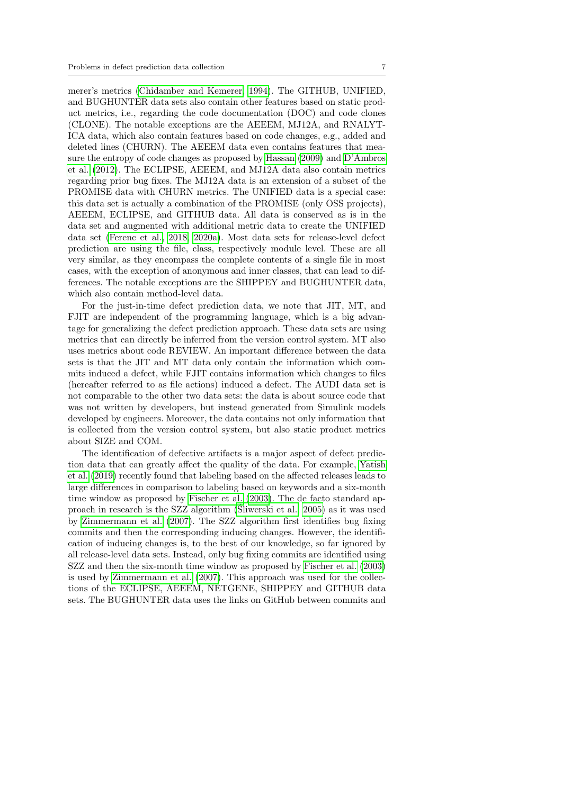merer's metrics [\(Chidamber and Kemerer, 1994\)](#page-48-5). The GITHUB, UNIFIED, and BUGHUNTER data sets also contain other features based on static product metrics, i.e., regarding the code documentation (DOC) and code clones (CLONE). The notable exceptions are the AEEEM, MJ12A, and RNALYT-ICA data, which also contain features based on code changes, e.g., added and deleted lines (CHURN). The AEEEM data even contains features that measure the entropy of code changes as proposed by [Hassan](#page-49-4) [\(2009\)](#page-49-4) and [D'Ambros](#page-48-1) [et al.](#page-48-1) [\(2012\)](#page-48-1). The ECLIPSE, AEEEM, and MJ12A data also contain metrics regarding prior bug fixes. The MJ12A data is an extension of a subset of the PROMISE data with CHURN metrics. The UNIFIED data is a special case: this data set is actually a combination of the PROMISE (only OSS projects), AEEEM, ECLIPSE, and GITHUB data. All data is conserved as is in the data set and augmented with additional metric data to create the UNIFIED data set [\(Ferenc et al., 2018,](#page-48-2) [2020a\)](#page-48-4). Most data sets for release-level defect prediction are using the file, class, respectively module level. These are all very similar, as they encompass the complete contents of a single file in most cases, with the exception of anonymous and inner classes, that can lead to differences. The notable exceptions are the SHIPPEY and BUGHUNTER data, which also contain method-level data.

For the just-in-time defect prediction data, we note that JIT, MT, and FJIT are independent of the programming language, which is a big advantage for generalizing the defect prediction approach. These data sets are using metrics that can directly be inferred from the version control system. MT also uses metrics about code REVIEW. An important difference between the data sets is that the JIT and MT data only contain the information which commits induced a defect, while FJIT contains information which changes to files (hereafter referred to as file actions) induced a defect. The AUDI data set is not comparable to the other two data sets: the data is about source code that was not written by developers, but instead generated from Simulink models developed by engineers. Moreover, the data contains not only information that is collected from the version control system, but also static product metrics about SIZE and COM.

The identification of defective artifacts is a major aspect of defect prediction data that can greatly affect the quality of the data. For example, [Yatish](#page-54-0) [et al.](#page-54-0) [\(2019\)](#page-54-0) recently found that labeling based on the affected releases leads to large differences in comparison to labeling based on keywords and a six-month time window as proposed by [Fischer et al.](#page-48-6) [\(2003\)](#page-48-6). The de facto standard approach in research is the SZZ algorithm [\(Sliwerski et al., 2005\)](#page-52-0) as it was used ´ by [Zimmermann et al.](#page-54-2) [\(2007\)](#page-54-2). The SZZ algorithm first identifies bug fixing commits and then the corresponding inducing changes. However, the identification of inducing changes is, to the best of our knowledge, so far ignored by all release-level data sets. Instead, only bug fixing commits are identified using SZZ and then the six-month time window as proposed by [Fischer et al.](#page-48-6) [\(2003\)](#page-48-6) is used by [Zimmermann et al.](#page-54-2) [\(2007\)](#page-54-2). This approach was used for the collections of the ECLIPSE, AEEEM, NETGENE, SHIPPEY and GITHUB data sets. The BUGHUNTER data uses the links on GitHub between commits and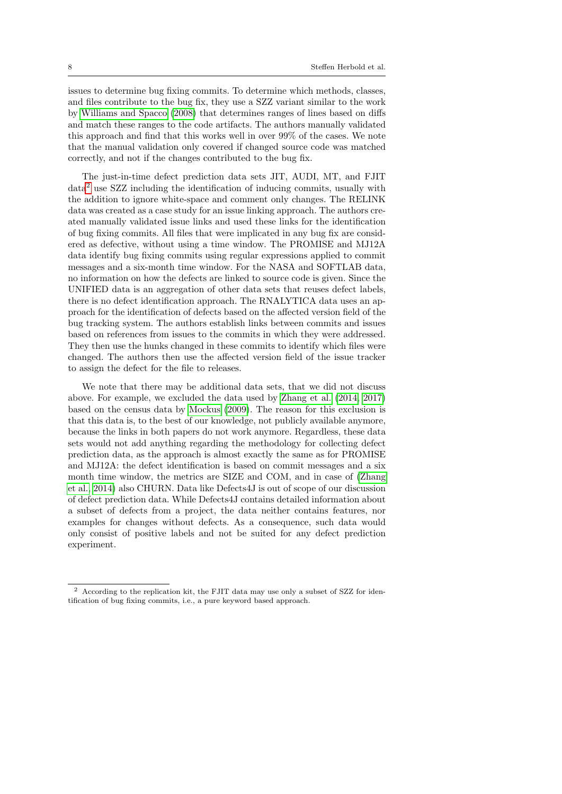issues to determine bug fixing commits. To determine which methods, classes, and files contribute to the bug fix, they use a SZZ variant similar to the work by [Williams and Spacco](#page-53-4) [\(2008\)](#page-53-4) that determines ranges of lines based on diffs and match these ranges to the code artifacts. The authors manually validated this approach and find that this works well in over 99% of the cases. We note that the manual validation only covered if changed source code was matched correctly, and not if the changes contributed to the bug fix.

The just-in-time defect prediction data sets JIT, AUDI, MT, and FJIT data[2](#page-7-0) use SZZ including the identification of inducing commits, usually with the addition to ignore white-space and comment only changes. The RELINK data was created as a case study for an issue linking approach. The authors created manually validated issue links and used these links for the identification of bug fixing commits. All files that were implicated in any bug fix are considered as defective, without using a time window. The PROMISE and MJ12A data identify bug fixing commits using regular expressions applied to commit messages and a six-month time window. For the NASA and SOFTLAB data, no information on how the defects are linked to source code is given. Since the UNIFIED data is an aggregation of other data sets that reuses defect labels, there is no defect identification approach. The RNALYTICA data uses an approach for the identification of defects based on the affected version field of the bug tracking system. The authors establish links between commits and issues based on references from issues to the commits in which they were addressed. They then use the hunks changed in these commits to identify which files were changed. The authors then use the affected version field of the issue tracker to assign the defect for the file to releases.

We note that there may be additional data sets, that we did not discuss above. For example, we excluded the data used by [Zhang et al.](#page-54-3) [\(2014,](#page-54-3) [2017\)](#page-54-1) based on the census data by [Mockus](#page-50-8) [\(2009\)](#page-50-8). The reason for this exclusion is that this data is, to the best of our knowledge, not publicly available anymore, because the links in both papers do not work anymore. Regardless, these data sets would not add anything regarding the methodology for collecting defect prediction data, as the approach is almost exactly the same as for PROMISE and MJ12A: the defect identification is based on commit messages and a six month time window, the metrics are SIZE and COM, and in case of [\(Zhang](#page-54-3) [et al., 2014\)](#page-54-3) also CHURN. Data like Defects4J is out of scope of our discussion of defect prediction data. While Defects4J contains detailed information about a subset of defects from a project, the data neither contains features, nor examples for changes without defects. As a consequence, such data would only consist of positive labels and not be suited for any defect prediction experiment.

<span id="page-7-0"></span><sup>2</sup> According to the replication kit, the FJIT data may use only a subset of SZZ for identification of bug fixing commits, i.e., a pure keyword based approach.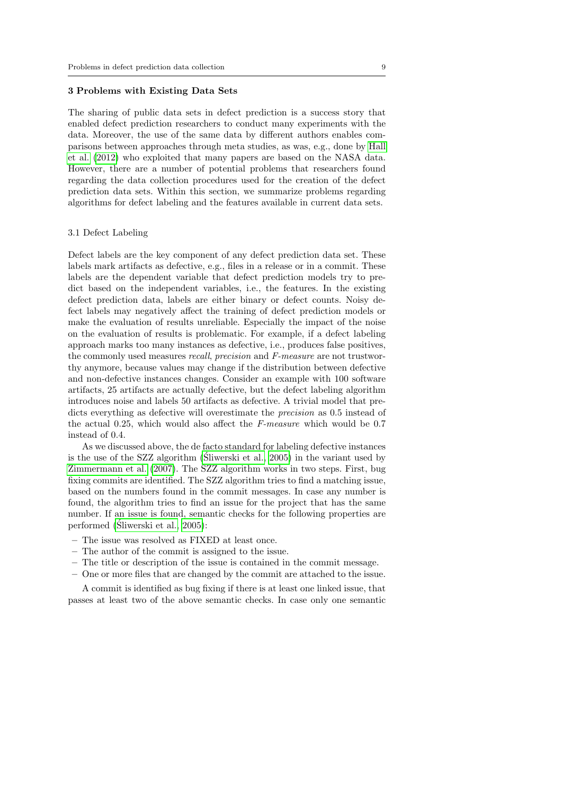#### <span id="page-8-0"></span>3 Problems with Existing Data Sets

The sharing of public data sets in defect prediction is a success story that enabled defect prediction researchers to conduct many experiments with the data. Moreover, the use of the same data by different authors enables comparisons between approaches through meta studies, as was, e.g., done by [Hall](#page-49-0) [et al.](#page-49-0) [\(2012\)](#page-49-0) who exploited that many papers are based on the NASA data. However, there are a number of potential problems that researchers found regarding the data collection procedures used for the creation of the defect prediction data sets. Within this section, we summarize problems regarding algorithms for defect labeling and the features available in current data sets.

## <span id="page-8-1"></span>3.1 Defect Labeling

Defect labels are the key component of any defect prediction data set. These labels mark artifacts as defective, e.g., files in a release or in a commit. These labels are the dependent variable that defect prediction models try to predict based on the independent variables, i.e., the features. In the existing defect prediction data, labels are either binary or defect counts. Noisy defect labels may negatively affect the training of defect prediction models or make the evaluation of results unreliable. Especially the impact of the noise on the evaluation of results is problematic. For example, if a defect labeling approach marks too many instances as defective, i.e., produces false positives, the commonly used measures recall, precision and F-measure are not trustworthy anymore, because values may change if the distribution between defective and non-defective instances changes. Consider an example with 100 software artifacts, 25 artifacts are actually defective, but the defect labeling algorithm introduces noise and labels 50 artifacts as defective. A trivial model that predicts everything as defective will overestimate the precision as 0.5 instead of the actual 0.25, which would also affect the F-measure which would be 0.7 instead of 0.4.

As we discussed above, the de facto standard for labeling defective instances is the use of the SZZ algorithm [\(Sliwerski et al., 2005\)](#page-52-0) in the variant used by [Zimmermann et al.](#page-54-2) [\(2007\)](#page-54-2). The SZZ algorithm works in two steps. First, bug fixing commits are identified. The SZZ algorithm tries to find a matching issue, based on the numbers found in the commit messages. In case any number is found, the algorithm tries to find an issue for the project that has the same number. If an issue is found, semantic checks for the following properties are performed [\(Sliwerski et al., 2005\)](#page-52-0): ´

- The issue was resolved as FIXED at least once.
- The author of the commit is assigned to the issue.
- The title or description of the issue is contained in the commit message.
- One or more files that are changed by the commit are attached to the issue.

A commit is identified as bug fixing if there is at least one linked issue, that passes at least two of the above semantic checks. In case only one semantic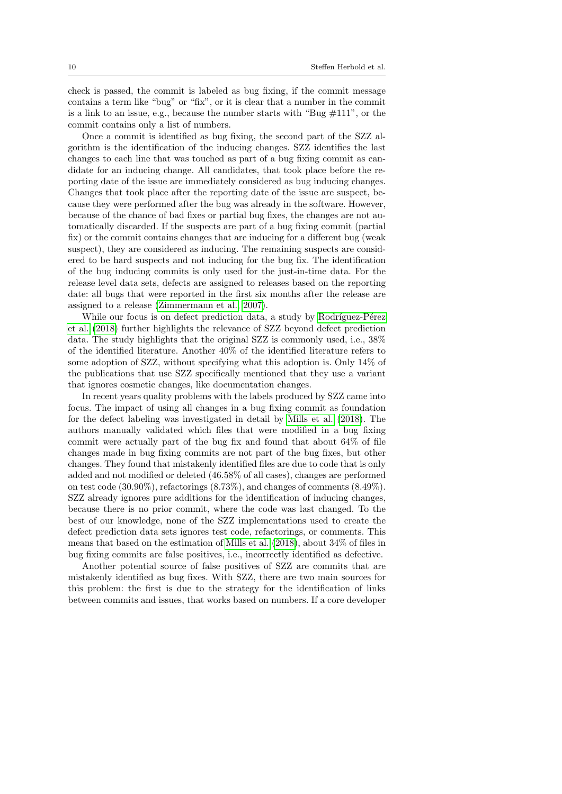check is passed, the commit is labeled as bug fixing, if the commit message contains a term like "bug" or "fix", or it is clear that a number in the commit is a link to an issue, e.g., because the number starts with "Bug  $\#111$ ", or the commit contains only a list of numbers.

Once a commit is identified as bug fixing, the second part of the SZZ algorithm is the identification of the inducing changes. SZZ identifies the last changes to each line that was touched as part of a bug fixing commit as candidate for an inducing change. All candidates, that took place before the reporting date of the issue are immediately considered as bug inducing changes. Changes that took place after the reporting date of the issue are suspect, because they were performed after the bug was already in the software. However, because of the chance of bad fixes or partial bug fixes, the changes are not automatically discarded. If the suspects are part of a bug fixing commit (partial fix) or the commit contains changes that are inducing for a different bug (weak suspect), they are considered as inducing. The remaining suspects are considered to be hard suspects and not inducing for the bug fix. The identification of the bug inducing commits is only used for the just-in-time data. For the release level data sets, defects are assigned to releases based on the reporting date: all bugs that were reported in the first six months after the release are assigned to a release [\(Zimmermann et al., 2007\)](#page-54-2).

While our focus is on defect prediction data, a study by Rodríguez-Pérez [et al.](#page-51-1) [\(2018\)](#page-51-1) further highlights the relevance of SZZ beyond defect prediction data. The study highlights that the original SZZ is commonly used, i.e., 38% of the identified literature. Another 40% of the identified literature refers to some adoption of SZZ, without specifying what this adoption is. Only 14% of the publications that use SZZ specifically mentioned that they use a variant that ignores cosmetic changes, like documentation changes.

In recent years quality problems with the labels produced by SZZ came into focus. The impact of using all changes in a bug fixing commit as foundation for the defect labeling was investigated in detail by [Mills et al.](#page-50-3) [\(2018\)](#page-50-3). The authors manually validated which files that were modified in a bug fixing commit were actually part of the bug fix and found that about 64% of file changes made in bug fixing commits are not part of the bug fixes, but other changes. They found that mistakenly identified files are due to code that is only added and not modified or deleted (46.58% of all cases), changes are performed on test code (30.90%), refactorings (8.73%), and changes of comments (8.49%). SZZ already ignores pure additions for the identification of inducing changes, because there is no prior commit, where the code was last changed. To the best of our knowledge, none of the SZZ implementations used to create the defect prediction data sets ignores test code, refactorings, or comments. This means that based on the estimation of [Mills et al.](#page-50-3) [\(2018\)](#page-50-3), about 34% of files in bug fixing commits are false positives, i.e., incorrectly identified as defective.

Another potential source of false positives of SZZ are commits that are mistakenly identified as bug fixes. With SZZ, there are two main sources for this problem: the first is due to the strategy for the identification of links between commits and issues, that works based on numbers. If a core developer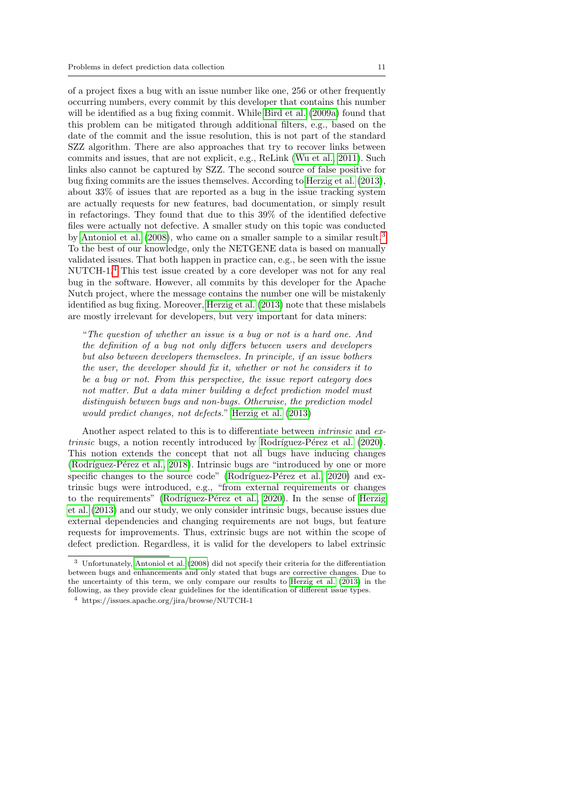of a project fixes a bug with an issue number like one, 256 or other frequently occurring numbers, every commit by this developer that contains this number will be identified as a bug fixing commit. While [Bird et al.](#page-47-2) [\(2009a\)](#page-47-2) found that this problem can be mitigated through additional filters, e.g., based on the date of the commit and the issue resolution, this is not part of the standard SZZ algorithm. There are also approaches that try to recover links between commits and issues, that are not explicit, e.g., ReLink [\(Wu et al., 2011\)](#page-53-2). Such links also cannot be captured by SZZ. The second source of false positive for bug fixing commits are the issues themselves. According to [Herzig et al.](#page-49-3) [\(2013\)](#page-49-3), about 33% of issues that are reported as a bug in the issue tracking system are actually requests for new features, bad documentation, or simply result in refactorings. They found that due to this 39% of the identified defective files were actually not defective. A smaller study on this topic was conducted by [Antoniol et al.](#page-47-3) [\(2008\)](#page-47-3), who came on a smaller sample to a similar result.<sup>[3](#page-10-0)</sup> To the best of our knowledge, only the NETGENE data is based on manually validated issues. That both happen in practice can, e.g., be seen with the issue NUTCH-1.[4](#page-10-1) This test issue created by a core developer was not for any real bug in the software. However, all commits by this developer for the Apache Nutch project, where the message contains the number one will be mistakenly identified as bug fixing. Moreover, [Herzig et al.](#page-49-3) [\(2013\)](#page-49-3) note that these mislabels are mostly irrelevant for developers, but very important for data miners:

"The question of whether an issue is a bug or not is a hard one. And the definition of a bug not only differs between users and developers but also between developers themselves. In principle, if an issue bothers the user, the developer should fix it, whether or not he considers it to be a bug or not. From this perspective, the issue report category does not matter. But a data miner building a defect prediction model must distinguish between bugs and non-bugs. Otherwise, the prediction model would predict changes, not defects." [Herzig et al.](#page-49-3) [\(2013\)](#page-49-3)

Another aspect related to this is to differentiate between *intrinsic* and ex $trinsic$  bugs, a notion recently introduced by Rodríguez-Pérez et al.  $(2020)$ . This notion extends the concept that not all bugs have inducing changes (Rodríguez-Pérez et al., 2018). Intrinsic bugs are "introduced by one or more specific changes to the source code" (Rodríguez-Pérez et al., 2020) and extrinsic bugs were introduced, e.g., "from external requirements or changes to the requirements" (Rodríguez-Pérez et al., 2020). In the sense of [Herzig](#page-49-3) [et al.](#page-49-3) [\(2013\)](#page-49-3) and our study, we only consider intrinsic bugs, because issues due external dependencies and changing requirements are not bugs, but feature requests for improvements. Thus, extrinsic bugs are not within the scope of defect prediction. Regardless, it is valid for the developers to label extrinsic

<span id="page-10-0"></span><sup>3</sup> Unfortunately, [Antoniol et al.](#page-47-3) [\(2008\)](#page-47-3) did not specify their criteria for the differentiation between bugs and enhancements and only stated that bugs are corrective changes. Due to the uncertainty of this term, we only compare our results to [Herzig et al.](#page-49-3) [\(2013\)](#page-49-3) in the following, as they provide clear guidelines for the identification of different issue types.

<span id="page-10-1"></span><sup>4</sup> https://issues.apache.org/jira/browse/NUTCH-1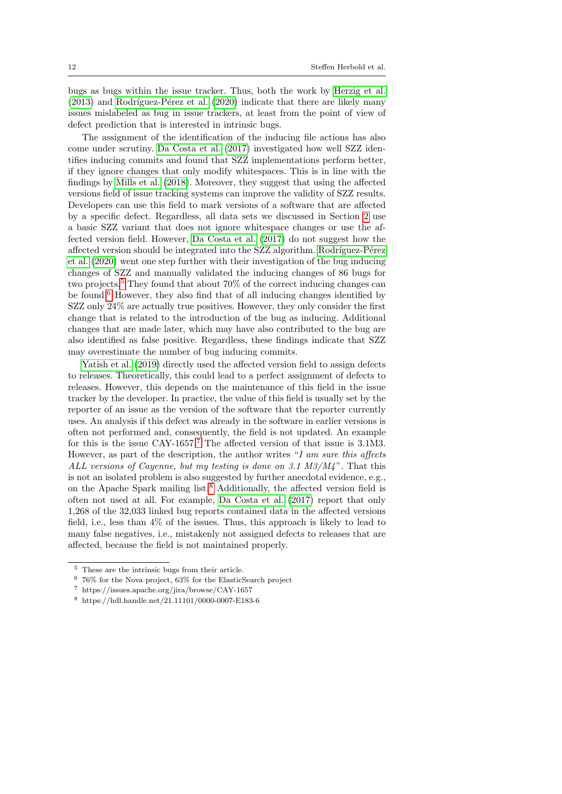bugs as bugs within the issue tracker. Thus, both the work by [Herzig et al.](#page-49-3)  $(2013)$  and Rodríguez-Pérez et al.  $(2020)$  indicate that there are likely many issues mislabeled as bug in issue trackers, at least from the point of view of defect prediction that is interested in intrinsic bugs.

The assignment of the identification of the inducing file actions has also come under scrutiny. [Da Costa et al.](#page-48-0) [\(2017\)](#page-48-0) investigated how well SZZ identifies inducing commits and found that SZZ implementations perform better, if they ignore changes that only modify whitespaces. This is in line with the findings by [Mills et al.](#page-50-3) [\(2018\)](#page-50-3). Moreover, they suggest that using the affected versions field of issue tracking systems can improve the validity of SZZ results. Developers can use this field to mark versions of a software that are affected by a specific defect. Regardless, all data sets we discussed in Section [2](#page-3-0) use a basic SZZ variant that does not ignore whitespace changes or use the affected version field. However, [Da Costa et al.](#page-48-0) [\(2017\)](#page-48-0) do not suggest how the affected version should be integrated into the SZZ algorithm. Rodríguez-Pérez [et al.](#page-51-2) [\(2020\)](#page-51-2) went one step further with their investigation of the bug inducing changes of SZZ and manually validated the inducing changes of 86 bugs for two projects.<sup>[5](#page-11-0)</sup> They found that about 70% of the correct inducing changes can be found.[6](#page-11-1) However, they also find that of all inducing changes identified by SZZ only 24% are actually true positives. However, they only consider the first change that is related to the introduction of the bug as inducing. Additional changes that are made later, which may have also contributed to the bug are also identified as false positive. Regardless, these findings indicate that SZZ may overestimate the number of bug inducing commits.

[Yatish et al.](#page-54-0) [\(2019\)](#page-54-0) directly used the affected version field to assign defects to releases. Theoretically, this could lead to a perfect assignment of defects to releases. However, this depends on the maintenance of this field in the issue tracker by the developer. In practice, the value of this field is usually set by the reporter of an issue as the version of the software that the reporter currently uses. An analysis if this defect was already in the software in earlier versions is often not performed and, consequently, the field is not updated. An example for this is the issue CAY-1657.[7](#page-11-2) The affected version of that issue is 3.1M3. However, as part of the description, the author writes "I am sure this affects ALL versions of Cayenne, but my testing is done on 3.1  $M3/M4$ ". That this is not an isolated problem is also suggested by further anecdotal evidence, e.g., on the Apache Spark mailing list.<sup>[8](#page-11-3)</sup> Additionally, the affected version field is often not used at all. For example, [Da Costa et al.](#page-48-0) [\(2017\)](#page-48-0) report that only 1,268 of the 32,033 linked bug reports contained data in the affected versions field, i.e., less than 4% of the issues. Thus, this approach is likely to lead to many false negatives, i.e., mistakenly not assigned defects to releases that are affected, because the field is not maintained properly.

<span id="page-11-0"></span> $^{\rm 5}\,$  These are the intrinsic bugs from their article.

<span id="page-11-1"></span><sup>6</sup> 76% for the Nova project, 63% for the ElasticSearch project

<span id="page-11-2"></span><sup>7</sup> https://issues.apache.org/jira/browse/CAY-1657

<span id="page-11-3"></span><sup>8</sup> https://hdl.handle.net/21.11101/0000-0007-E183-6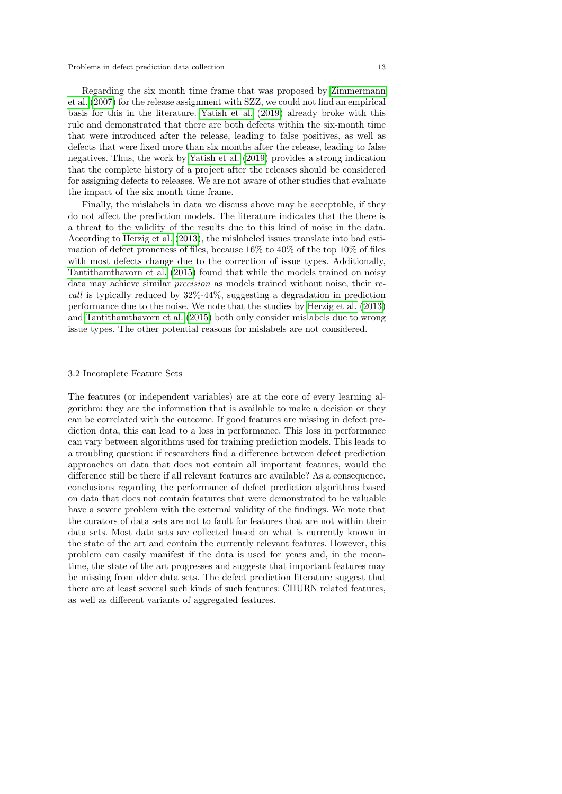Regarding the six month time frame that was proposed by [Zimmermann](#page-54-2) [et al.](#page-54-2) [\(2007\)](#page-54-2) for the release assignment with SZZ, we could not find an empirical basis for this in the literature. [Yatish et al.](#page-54-0) [\(2019\)](#page-54-0) already broke with this rule and demonstrated that there are both defects within the six-month time that were introduced after the release, leading to false positives, as well as defects that were fixed more than six months after the release, leading to false negatives. Thus, the work by [Yatish et al.](#page-54-0) [\(2019\)](#page-54-0) provides a strong indication that the complete history of a project after the releases should be considered for assigning defects to releases. We are not aware of other studies that evaluate the impact of the six month time frame.

Finally, the mislabels in data we discuss above may be acceptable, if they do not affect the prediction models. The literature indicates that the there is a threat to the validity of the results due to this kind of noise in the data. According to [Herzig et al.](#page-49-3) [\(2013\)](#page-49-3), the mislabeled issues translate into bad estimation of defect proneness of files, because 16% to 40% of the top 10% of files with most defects change due to the correction of issue types. Additionally, [Tantithamthavorn et al.](#page-52-2) [\(2015\)](#page-52-2) found that while the models trained on noisy data may achieve similar precision as models trained without noise, their recall is typically reduced by 32%-44%, suggesting a degradation in prediction performance due to the noise. We note that the studies by [Herzig et al.](#page-49-3) [\(2013\)](#page-49-3) and [Tantithamthavorn et al.](#page-52-2) [\(2015\)](#page-52-2) both only consider mislabels due to wrong issue types. The other potential reasons for mislabels are not considered.

#### <span id="page-12-0"></span>3.2 Incomplete Feature Sets

The features (or independent variables) are at the core of every learning algorithm: they are the information that is available to make a decision or they can be correlated with the outcome. If good features are missing in defect prediction data, this can lead to a loss in performance. This loss in performance can vary between algorithms used for training prediction models. This leads to a troubling question: if researchers find a difference between defect prediction approaches on data that does not contain all important features, would the difference still be there if all relevant features are available? As a consequence, conclusions regarding the performance of defect prediction algorithms based on data that does not contain features that were demonstrated to be valuable have a severe problem with the external validity of the findings. We note that the curators of data sets are not to fault for features that are not within their data sets. Most data sets are collected based on what is currently known in the state of the art and contain the currently relevant features. However, this problem can easily manifest if the data is used for years and, in the meantime, the state of the art progresses and suggests that important features may be missing from older data sets. The defect prediction literature suggest that there are at least several such kinds of such features: CHURN related features, as well as different variants of aggregated features.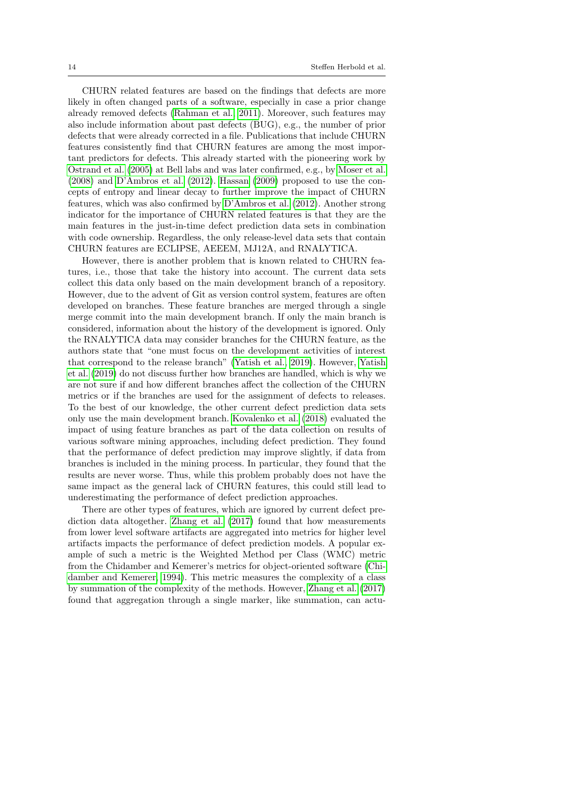CHURN related features are based on the findings that defects are more likely in often changed parts of a software, especially in case a prior change already removed defects [\(Rahman et al., 2011\)](#page-51-4). Moreover, such features may also include information about past defects (BUG), e.g., the number of prior defects that were already corrected in a file. Publications that include CHURN features consistently find that CHURN features are among the most important predictors for defects. This already started with the pioneering work by [Ostrand et al.](#page-51-5) [\(2005\)](#page-51-5) at Bell labs and was later confirmed, e.g., by [Moser et al.](#page-50-5) [\(2008\)](#page-50-5) and [D'Ambros et al.](#page-48-1) [\(2012\)](#page-48-1). [Hassan](#page-49-4) [\(2009\)](#page-49-4) proposed to use the concepts of entropy and linear decay to further improve the impact of CHURN features, which was also confirmed by [D'Ambros et al.](#page-48-1) [\(2012\)](#page-48-1). Another strong indicator for the importance of CHURN related features is that they are the main features in the just-in-time defect prediction data sets in combination with code ownership. Regardless, the only release-level data sets that contain CHURN features are ECLIPSE, AEEEM, MJ12A, and RNALYTICA.

However, there is another problem that is known related to CHURN features, i.e., those that take the history into account. The current data sets collect this data only based on the main development branch of a repository. However, due to the advent of Git as version control system, features are often developed on branches. These feature branches are merged through a single merge commit into the main development branch. If only the main branch is considered, information about the history of the development is ignored. Only the RNALYTICA data may consider branches for the CHURN feature, as the authors state that "one must focus on the development activities of interest that correspond to the release branch" [\(Yatish et al., 2019\)](#page-54-0). However, [Yatish](#page-54-0) [et al.](#page-54-0) [\(2019\)](#page-54-0) do not discuss further how branches are handled, which is why we are not sure if and how different branches affect the collection of the CHURN metrics or if the branches are used for the assignment of defects to releases. To the best of our knowledge, the other current defect prediction data sets only use the main development branch. [Kovalenko et al.](#page-50-4) [\(2018\)](#page-50-4) evaluated the impact of using feature branches as part of the data collection on results of various software mining approaches, including defect prediction. They found that the performance of defect prediction may improve slightly, if data from branches is included in the mining process. In particular, they found that the results are never worse. Thus, while this problem probably does not have the same impact as the general lack of CHURN features, this could still lead to underestimating the performance of defect prediction approaches.

There are other types of features, which are ignored by current defect prediction data altogether. [Zhang et al.](#page-54-1) [\(2017\)](#page-54-1) found that how measurements from lower level software artifacts are aggregated into metrics for higher level artifacts impacts the performance of defect prediction models. A popular example of such a metric is the Weighted Method per Class (WMC) metric from the Chidamber and Kemerer's metrics for object-oriented software [\(Chi](#page-48-5)[damber and Kemerer, 1994\)](#page-48-5). This metric measures the complexity of a class by summation of the complexity of the methods. However, [Zhang et al.](#page-54-1) [\(2017\)](#page-54-1) found that aggregation through a single marker, like summation, can actu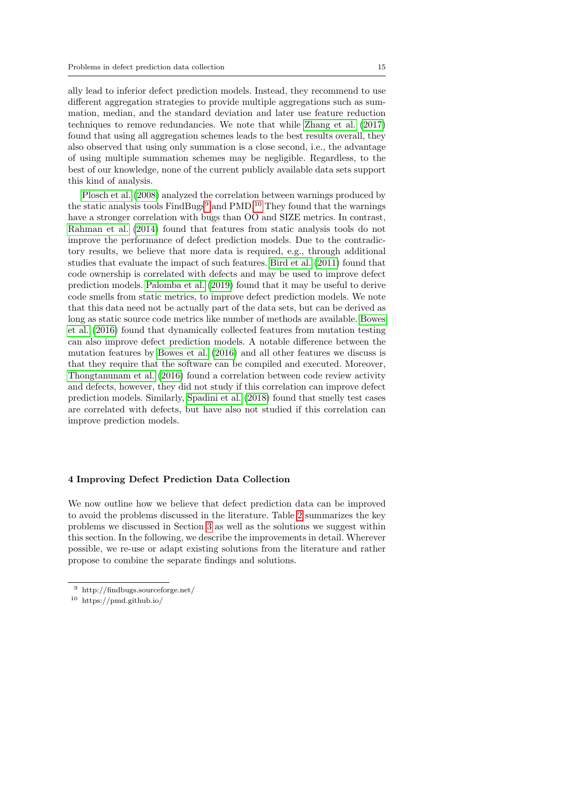ally lead to inferior defect prediction models. Instead, they recommend to use different aggregation strategies to provide multiple aggregations such as summation, median, and the standard deviation and later use feature reduction techniques to remove redundancies. We note that while [Zhang et al.](#page-54-1) [\(2017\)](#page-54-1) found that using all aggregation schemes leads to the best results overall, they also observed that using only summation is a close second, i.e., the advantage of using multiple summation schemes may be negligible. Regardless, to the best of our knowledge, none of the current publicly available data sets support this kind of analysis.

[Plosch et al.](#page-51-6) [\(2008\)](#page-51-6) analyzed the correlation between warnings produced by the static analysis tools FindBugs<sup>[9](#page-14-0)</sup> and PMD.<sup>[10](#page-14-1)</sup> They found that the warnings have a stronger correlation with bugs than OO and SIZE metrics. In contrast, [Rahman et al.](#page-51-7) [\(2014\)](#page-51-7) found that features from static analysis tools do not improve the performance of defect prediction models. Due to the contradictory results, we believe that more data is required, e.g., through additional studies that evaluate the impact of such features. [Bird et al.](#page-47-4) [\(2011\)](#page-47-4) found that code ownership is correlated with defects and may be used to improve defect prediction models. [Palomba et al.](#page-51-8) [\(2019\)](#page-51-8) found that it may be useful to derive code smells from static metrics, to improve defect prediction models. We note that this data need not be actually part of the data sets, but can be derived as long as static source code metrics like number of methods are available. [Bowes](#page-47-5) [et al.](#page-47-5) [\(2016\)](#page-47-5) found that dynamically collected features from mutation testing can also improve defect prediction models. A notable difference between the mutation features by [Bowes et al.](#page-47-5) [\(2016\)](#page-47-5) and all other features we discuss is that they require that the software can be compiled and executed. Moreover, [Thongtanunam et al.](#page-52-3) [\(2016\)](#page-52-3) found a correlation between code review activity and defects, however, they did not study if this correlation can improve defect prediction models. Similarly, [Spadini et al.](#page-52-4) [\(2018\)](#page-52-4) found that smelly test cases are correlated with defects, but have also not studied if this correlation can improve prediction models.

## <span id="page-14-2"></span>4 Improving Defect Prediction Data Collection

We now outline how we believe that defect prediction data can be improved to avoid the problems discussed in the literature. Table [2](#page-15-1) summarizes the key problems we discussed in Section [3](#page-8-0) as well as the solutions we suggest within this section. In the following, we describe the improvements in detail. Wherever possible, we re-use or adapt existing solutions from the literature and rather propose to combine the separate findings and solutions.

<span id="page-14-0"></span><sup>9</sup> http://findbugs.sourceforge.net/

<span id="page-14-1"></span><sup>10</sup> https://pmd.github.io/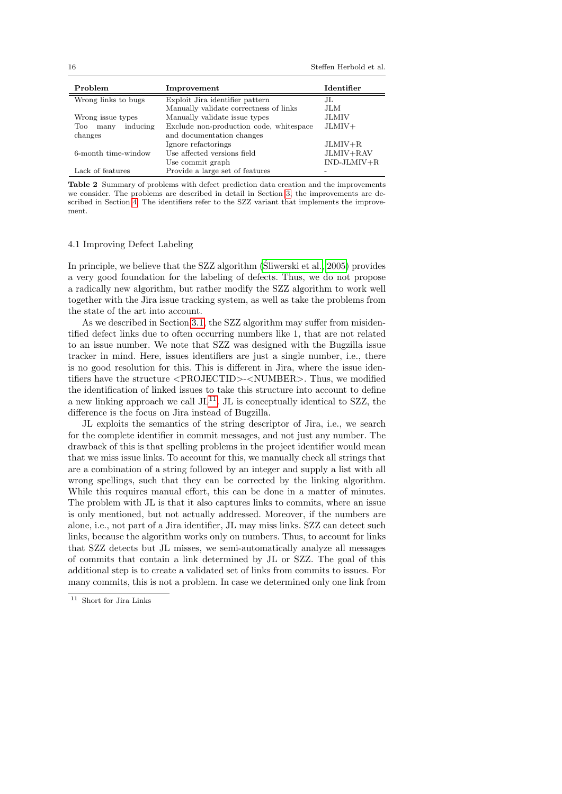| Problem                 | Improvement                             | <b>Identifier</b> |
|-------------------------|-----------------------------------------|-------------------|
| Wrong links to bugs     | Exploit Jira identifier pattern         | JL.               |
|                         | Manually validate correctness of links  | JLM.              |
| Wrong issue types       | Manually validate issue types           | JLMIV             |
| inducing<br>Too<br>many | Exclude non-production code, whitespace | $JLMIV+$          |
| changes                 | and documentation changes               |                   |
|                         | Ignore refactorings                     | $JLMIV+R$         |
| 6-month time-window     | Use affected versions field             | JLMIV+RAV         |
|                         | Use commit graph                        | $IND-JLMIV+R$     |
| Lack of features        | Provide a large set of features         |                   |

<span id="page-15-1"></span>Table 2 Summary of problems with defect prediction data creation and the improvements we consider. The problems are described in detail in Section [3,](#page-8-0) the improvements are described in Section [4.](#page-14-2) The identifiers refer to the SZZ variant that implements the improvement.

#### <span id="page-15-0"></span>4.1 Improving Defect Labeling

In principle, we believe that the SZZ algorithm [\(Sliwerski et al., 2005\)](#page-52-0) provides a very good foundation for the labeling of defects. Thus, we do not propose a radically new algorithm, but rather modify the SZZ algorithm to work well together with the Jira issue tracking system, as well as take the problems from the state of the art into account.

As we described in Section [3.1,](#page-8-1) the SZZ algorithm may suffer from misidentified defect links due to often occurring numbers like 1, that are not related to an issue number. We note that SZZ was designed with the Bugzilla issue tracker in mind. Here, issues identifiers are just a single number, i.e., there is no good resolution for this. This is different in Jira, where the issue identifiers have the structure <PROJECTID>-<NUMBER>. Thus, we modified the identification of linked issues to take this structure into account to define a new linking approach we call  $JL^{11}$  $JL^{11}$  $JL^{11}$ . JL is conceptually identical to SZZ, the difference is the focus on Jira instead of Bugzilla.

JL exploits the semantics of the string descriptor of Jira, i.e., we search for the complete identifier in commit messages, and not just any number. The drawback of this is that spelling problems in the project identifier would mean that we miss issue links. To account for this, we manually check all strings that are a combination of a string followed by an integer and supply a list with all wrong spellings, such that they can be corrected by the linking algorithm. While this requires manual effort, this can be done in a matter of minutes. The problem with JL is that it also captures links to commits, where an issue is only mentioned, but not actually addressed. Moreover, if the numbers are alone, i.e., not part of a Jira identifier, JL may miss links. SZZ can detect such links, because the algorithm works only on numbers. Thus, to account for links that SZZ detects but JL misses, we semi-automatically analyze all messages of commits that contain a link determined by JL or SZZ. The goal of this additional step is to create a validated set of links from commits to issues. For many commits, this is not a problem. In case we determined only one link from

<span id="page-15-2"></span><sup>11</sup> Short for Jira Links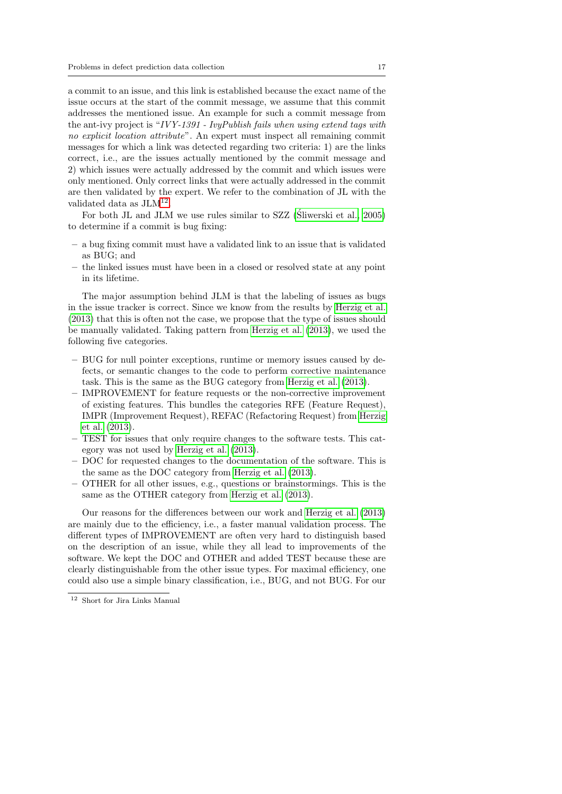a commit to an issue, and this link is established because the exact name of the issue occurs at the start of the commit message, we assume that this commit addresses the mentioned issue. An example for such a commit message from the ant-ivy project is "IVY-1391 - IvyPublish fails when using extend tags with no explicit location attribute". An expert must inspect all remaining commit messages for which a link was detected regarding two criteria: 1) are the links correct, i.e., are the issues actually mentioned by the commit message and 2) which issues were actually addressed by the commit and which issues were only mentioned. Only correct links that were actually addressed in the commit are then validated by the expert. We refer to the combination of JL with the validated data as JLM<sup>[12](#page-16-0)</sup>.

For both JL and JLM we use rules similar to SZZ (Sliwerski et al.,  $2005$ ) to determine if a commit is bug fixing:

- a bug fixing commit must have a validated link to an issue that is validated as BUG; and
- the linked issues must have been in a closed or resolved state at any point in its lifetime.

The major assumption behind JLM is that the labeling of issues as bugs in the issue tracker is correct. Since we know from the results by [Herzig et al.](#page-49-3) [\(2013\)](#page-49-3) that this is often not the case, we propose that the type of issues should be manually validated. Taking pattern from [Herzig et al.](#page-49-3) [\(2013\)](#page-49-3), we used the following five categories.

- BUG for null pointer exceptions, runtime or memory issues caused by defects, or semantic changes to the code to perform corrective maintenance task. This is the same as the BUG category from [Herzig et al.](#page-49-3) [\(2013\)](#page-49-3).
- IMPROVEMENT for feature requests or the non-corrective improvement of existing features. This bundles the categories RFE (Feature Request), IMPR (Improvement Request), REFAC (Refactoring Request) from [Herzig](#page-49-3) [et al.](#page-49-3) [\(2013\)](#page-49-3).
- TEST for issues that only require changes to the software tests. This category was not used by [Herzig et al.](#page-49-3) [\(2013\)](#page-49-3).
- DOC for requested changes to the documentation of the software. This is the same as the DOC category from [Herzig et al.](#page-49-3) [\(2013\)](#page-49-3).
- OTHER for all other issues, e.g., questions or brainstormings. This is the same as the OTHER category from [Herzig et al.](#page-49-3) [\(2013\)](#page-49-3).

Our reasons for the differences between our work and [Herzig et al.](#page-49-3) [\(2013\)](#page-49-3) are mainly due to the efficiency, i.e., a faster manual validation process. The different types of IMPROVEMENT are often very hard to distinguish based on the description of an issue, while they all lead to improvements of the software. We kept the DOC and OTHER and added TEST because these are clearly distinguishable from the other issue types. For maximal efficiency, one could also use a simple binary classification, i.e., BUG, and not BUG. For our

<span id="page-16-0"></span><sup>12</sup> Short for Jira Links Manual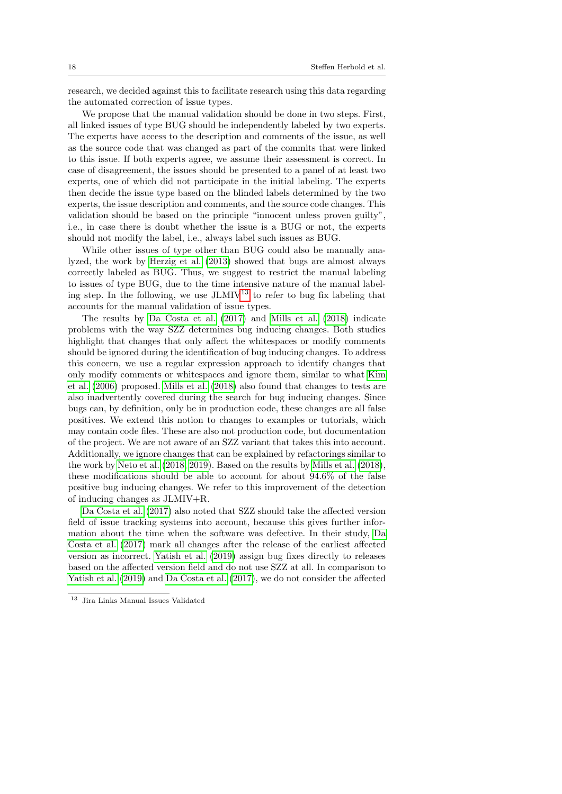research, we decided against this to facilitate research using this data regarding the automated correction of issue types.

We propose that the manual validation should be done in two steps. First, all linked issues of type BUG should be independently labeled by two experts. The experts have access to the description and comments of the issue, as well as the source code that was changed as part of the commits that were linked to this issue. If both experts agree, we assume their assessment is correct. In case of disagreement, the issues should be presented to a panel of at least two experts, one of which did not participate in the initial labeling. The experts then decide the issue type based on the blinded labels determined by the two experts, the issue description and comments, and the source code changes. This validation should be based on the principle "innocent unless proven guilty", i.e., in case there is doubt whether the issue is a BUG or not, the experts should not modify the label, i.e., always label such issues as BUG.

While other issues of type other than BUG could also be manually analyzed, the work by [Herzig et al.](#page-49-3) [\(2013\)](#page-49-3) showed that bugs are almost always correctly labeled as BUG. Thus, we suggest to restrict the manual labeling to issues of type BUG, due to the time intensive nature of the manual labeling step. In the following, we use  $JLMIV<sup>13</sup>$  $JLMIV<sup>13</sup>$  $JLMIV<sup>13</sup>$  to refer to bug fix labeling that accounts for the manual validation of issue types.

The results by [Da Costa et al.](#page-48-0) [\(2017\)](#page-48-0) and [Mills et al.](#page-50-3) [\(2018\)](#page-50-3) indicate problems with the way SZZ determines bug inducing changes. Both studies highlight that changes that only affect the whitespaces or modify comments should be ignored during the identification of bug inducing changes. To address this concern, we use a regular expression approach to identify changes that only modify comments or whitespaces and ignore them, similar to what [Kim](#page-49-7) [et al.](#page-49-7) [\(2006\)](#page-49-7) proposed. [Mills et al.](#page-50-3) [\(2018\)](#page-50-3) also found that changes to tests are also inadvertently covered during the search for bug inducing changes. Since bugs can, by definition, only be in production code, these changes are all false positives. We extend this notion to changes to examples or tutorials, which may contain code files. These are also not production code, but documentation of the project. We are not aware of an SZZ variant that takes this into account. Additionally, we ignore changes that can be explained by refactorings similar to the work by [Neto et al.](#page-50-9) [\(2018,](#page-50-9) [2019\)](#page-50-10). Based on the results by [Mills et al.](#page-50-3) [\(2018\)](#page-50-3), these modifications should be able to account for about 94.6% of the false positive bug inducing changes. We refer to this improvement of the detection of inducing changes as JLMIV+R.

[Da Costa et al.](#page-48-0) [\(2017\)](#page-48-0) also noted that SZZ should take the affected version field of issue tracking systems into account, because this gives further information about the time when the software was defective. In their study, [Da](#page-48-0) [Costa et al.](#page-48-0) [\(2017\)](#page-48-0) mark all changes after the release of the earliest affected version as incorrect. [Yatish et al.](#page-54-0) [\(2019\)](#page-54-0) assign bug fixes directly to releases based on the affected version field and do not use SZZ at all. In comparison to [Yatish et al.](#page-54-0) [\(2019\)](#page-54-0) and [Da Costa et al.](#page-48-0) [\(2017\)](#page-48-0), we do not consider the affected

<span id="page-17-0"></span><sup>13</sup> Jira Links Manual Issues Validated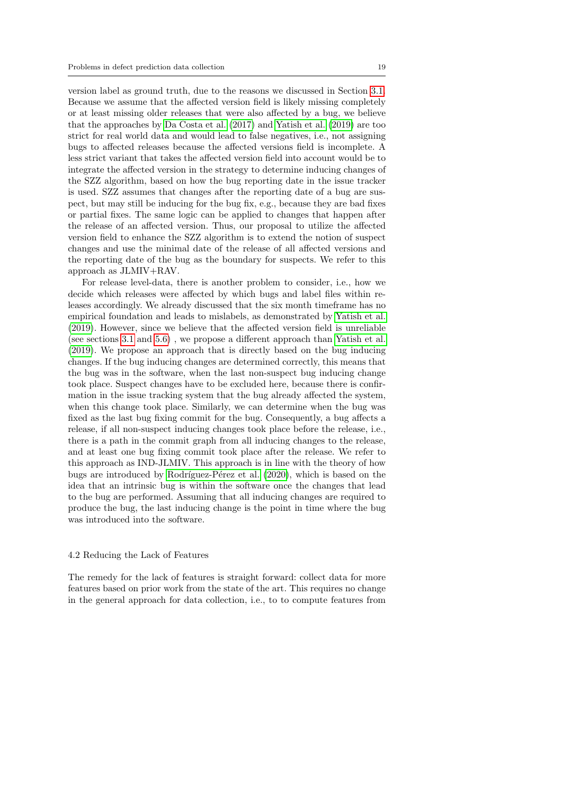version label as ground truth, due to the reasons we discussed in Section [3.1.](#page-8-1) Because we assume that the affected version field is likely missing completely or at least missing older releases that were also affected by a bug, we believe that the approaches by [Da Costa et al.](#page-48-0) [\(2017\)](#page-48-0) and [Yatish et al.](#page-54-0) [\(2019\)](#page-54-0) are too strict for real world data and would lead to false negatives, i.e., not assigning bugs to affected releases because the affected versions field is incomplete. A less strict variant that takes the affected version field into account would be to integrate the affected version in the strategy to determine inducing changes of the SZZ algorithm, based on how the bug reporting date in the issue tracker is used. SZZ assumes that changes after the reporting date of a bug are suspect, but may still be inducing for the bug fix, e.g., because they are bad fixes or partial fixes. The same logic can be applied to changes that happen after the release of an affected version. Thus, our proposal to utilize the affected version field to enhance the SZZ algorithm is to extend the notion of suspect changes and use the minimal date of the release of all affected versions and the reporting date of the bug as the boundary for suspects. We refer to this approach as JLMIV+RAV.

For release level-data, there is another problem to consider, i.e., how we decide which releases were affected by which bugs and label files within releases accordingly. We already discussed that the six month timeframe has no empirical foundation and leads to mislabels, as demonstrated by [Yatish et al.](#page-54-0) [\(2019\)](#page-54-0). However, since we believe that the affected version field is unreliable (see sections [3.1](#page-8-1) and [5.6\)](#page-28-0) , we propose a different approach than [Yatish et al.](#page-54-0) [\(2019\)](#page-54-0). We propose an approach that is directly based on the bug inducing changes. If the bug inducing changes are determined correctly, this means that the bug was in the software, when the last non-suspect bug inducing change took place. Suspect changes have to be excluded here, because there is confirmation in the issue tracking system that the bug already affected the system, when this change took place. Similarly, we can determine when the bug was fixed as the last bug fixing commit for the bug. Consequently, a bug affects a release, if all non-suspect inducing changes took place before the release, i.e., there is a path in the commit graph from all inducing changes to the release, and at least one bug fixing commit took place after the release. We refer to this approach as IND-JLMIV. This approach is in line with the theory of how bugs are introduced by Rodríguez-Pérez et al. [\(2020\)](#page-51-2), which is based on the idea that an intrinsic bug is within the software once the changes that lead to the bug are performed. Assuming that all inducing changes are required to produce the bug, the last inducing change is the point in time where the bug was introduced into the software.

#### 4.2 Reducing the Lack of Features

The remedy for the lack of features is straight forward: collect data for more features based on prior work from the state of the art. This requires no change in the general approach for data collection, i.e., to to compute features from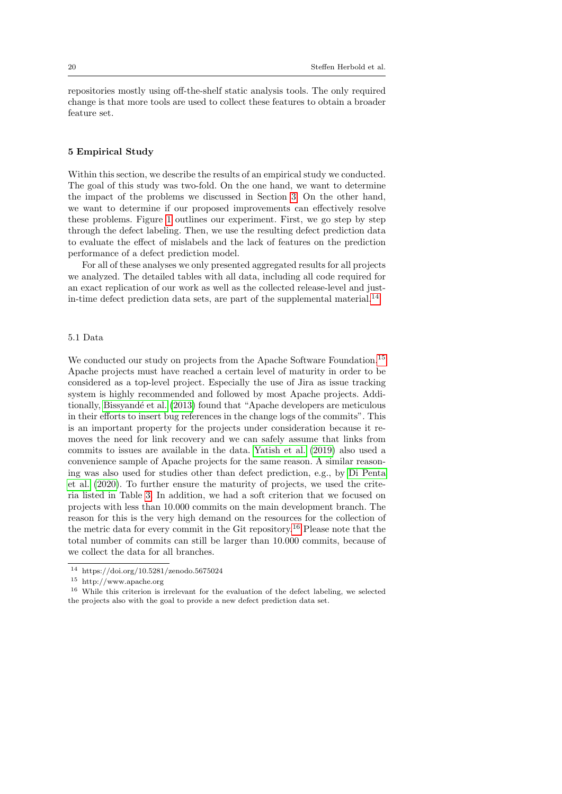repositories mostly using off-the-shelf static analysis tools. The only required change is that more tools are used to collect these features to obtain a broader feature set.

## <span id="page-19-0"></span>5 Empirical Study

Within this section, we describe the results of an empirical study we conducted. The goal of this study was two-fold. On the one hand, we want to determine the impact of the problems we discussed in Section [3.](#page-8-0) On the other hand, we want to determine if our proposed improvements can effectively resolve these problems. Figure [1](#page-20-0) outlines our experiment. First, we go step by step through the defect labeling. Then, we use the resulting defect prediction data to evaluate the effect of mislabels and the lack of features on the prediction performance of a defect prediction model.

For all of these analyses we only presented aggregated results for all projects we analyzed. The detailed tables with all data, including all code required for an exact replication of our work as well as the collected release-level and just-in-time defect prediction data sets, are part of the supplemental material.<sup>[14](#page-19-1)</sup>

## 5.1 Data

We conducted our study on projects from the Apache Software Foundation.<sup>[15](#page-19-2)</sup> Apache projects must have reached a certain level of maturity in order to be considered as a top-level project. Especially the use of Jira as issue tracking system is highly recommended and followed by most Apache projects. Addi-tionally, Bissyandé et al. [\(2013\)](#page-47-6) found that "Apache developers are meticulous in their efforts to insert bug references in the change logs of the commits". This is an important property for the projects under consideration because it removes the need for link recovery and we can safely assume that links from commits to issues are available in the data. [Yatish et al.](#page-54-0) [\(2019\)](#page-54-0) also used a convenience sample of Apache projects for the same reason. A similar reasoning was also used for studies other than defect prediction, e.g., by [Di Penta](#page-48-7) [et al.](#page-48-7) [\(2020\)](#page-48-7). To further ensure the maturity of projects, we used the criteria listed in Table [3.](#page-20-1) In addition, we had a soft criterion that we focused on projects with less than 10.000 commits on the main development branch. The reason for this is the very high demand on the resources for the collection of the metric data for every commit in the Git repository.[16](#page-19-3) Please note that the total number of commits can still be larger than 10.000 commits, because of we collect the data for all branches.

<span id="page-19-1"></span><sup>14</sup> https://doi.org/10.5281/zenodo.5675024

<span id="page-19-2"></span> $^{15}\,$ http://www.apache.org

<span id="page-19-3"></span><sup>16</sup> While this criterion is irrelevant for the evaluation of the defect labeling, we selected the projects also with the goal to provide a new defect prediction data set.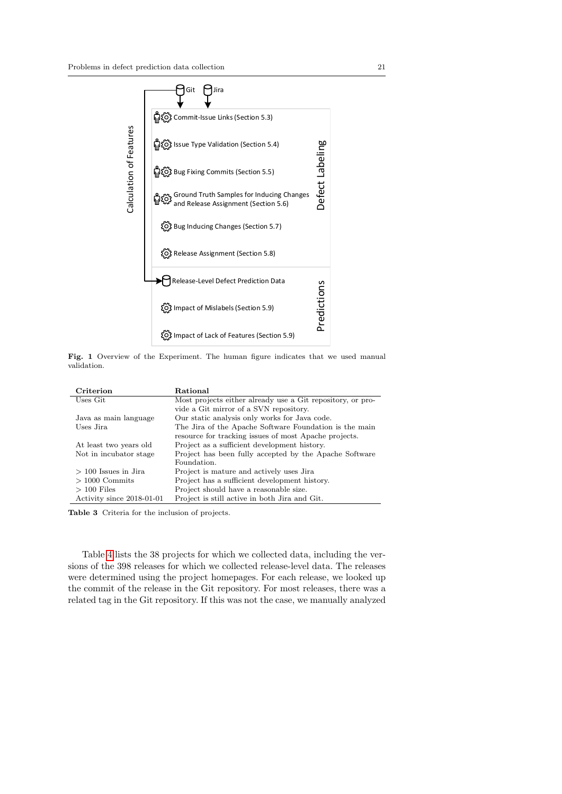

<span id="page-20-0"></span>Fig. 1 Overview of the Experiment. The human figure indicates that we used manual validation.

| Criterion                 | Rational                                                   |
|---------------------------|------------------------------------------------------------|
| Uses Git                  | Most projects either already use a Git repository, or pro- |
|                           | vide a Git mirror of a SVN repository.                     |
| Java as main language     | Our static analysis only works for Java code.              |
| Uses Jira                 | The Jira of the Apache Software Foundation is the main     |
|                           | resource for tracking issues of most Apache projects.      |
| At least two years old    | Project as a sufficient development history.               |
| Not in incubator stage    | Project has been fully accepted by the Apache Software     |
|                           | Foundation.                                                |
| $> 100$ Issues in Jira    | Project is mature and actively uses Jira                   |
| $>1000$ Commits           | Project has a sufficient development history.              |
| $>100$ Files              | Project should have a reasonable size.                     |
| Activity since 2018-01-01 | Project is still active in both Jira and Git.              |

<span id="page-20-1"></span>Table 3 Criteria for the inclusion of projects.

Table [4](#page-22-0) lists the 38 projects for which we collected data, including the versions of the 398 releases for which we collected release-level data. The releases were determined using the project homepages. For each release, we looked up the commit of the release in the Git repository. For most releases, there was a related tag in the Git repository. If this was not the case, we manually analyzed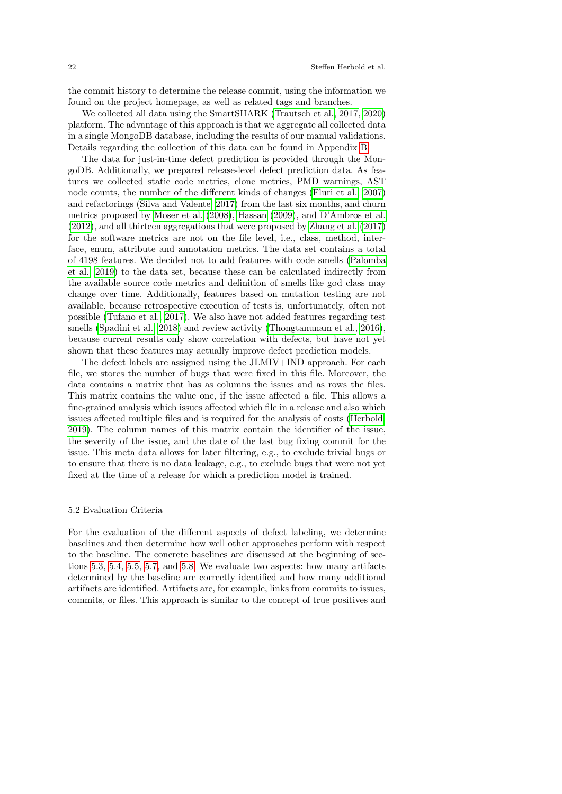the commit history to determine the release commit, using the information we found on the project homepage, as well as related tags and branches.

We collected all data using the SmartSHARK [\(Trautsch et al., 2017,](#page-53-1) [2020\)](#page-53-5) platform. The advantage of this approach is that we aggregate all collected data in a single MongoDB database, including the results of our manual validations. Details regarding the collection of this data can be found in Appendix [B.](#page-55-0)

The data for just-in-time defect prediction is provided through the MongoDB. Additionally, we prepared release-level defect prediction data. As features we collected static code metrics, clone metrics, PMD warnings, AST node counts, the number of the different kinds of changes [\(Fluri et al., 2007\)](#page-49-8) and refactorings [\(Silva and Valente, 2017\)](#page-52-5) from the last six months, and churn metrics proposed by [Moser et al.](#page-50-5) [\(2008\)](#page-50-5), [Hassan](#page-49-4) [\(2009\)](#page-49-4), and [D'Ambros et al.](#page-48-1) [\(2012\)](#page-48-1), and all thirteen aggregations that were proposed by [Zhang et al.](#page-54-1) [\(2017\)](#page-54-1) for the software metrics are not on the file level, i.e., class, method, interface, enum, attribute and annotation metrics. The data set contains a total of 4198 features. We decided not to add features with code smells [\(Palomba](#page-51-8) [et al., 2019\)](#page-51-8) to the data set, because these can be calculated indirectly from the available source code metrics and definition of smells like god class may change over time. Additionally, features based on mutation testing are not available, because retrospective execution of tests is, unfortunately, often not possible [\(Tufano et al., 2017\)](#page-53-6). We also have not added features regarding test smells [\(Spadini et al., 2018\)](#page-52-4) and review activity [\(Thongtanunam et al., 2016\)](#page-52-3), because current results only show correlation with defects, but have not yet shown that these features may actually improve defect prediction models.

The defect labels are assigned using the JLMIV+IND approach. For each file, we stores the number of bugs that were fixed in this file. Moreover, the data contains a matrix that has as columns the issues and as rows the files. This matrix contains the value one, if the issue affected a file. This allows a fine-grained analysis which issues affected which file in a release and also which issues affected multiple files and is required for the analysis of costs [\(Herbold,](#page-49-9) [2019\)](#page-49-9). The column names of this matrix contain the identifier of the issue, the severity of the issue, and the date of the last bug fixing commit for the issue. This meta data allows for later filtering, e.g., to exclude trivial bugs or to ensure that there is no data leakage, e.g., to exclude bugs that were not yet fixed at the time of a release for which a prediction model is trained.

## 5.2 Evaluation Criteria

For the evaluation of the different aspects of defect labeling, we determine baselines and then determine how well other approaches perform with respect to the baseline. The concrete baselines are discussed at the beginning of sections [5.3,](#page-25-0) [5.4,](#page-26-0) [5.5,](#page-27-0) [5.7,](#page-33-0) and [5.8.](#page-34-0) We evaluate two aspects: how many artifacts determined by the baseline are correctly identified and how many additional artifacts are identified. Artifacts are, for example, links from commits to issues, commits, or files. This approach is similar to the concept of true positives and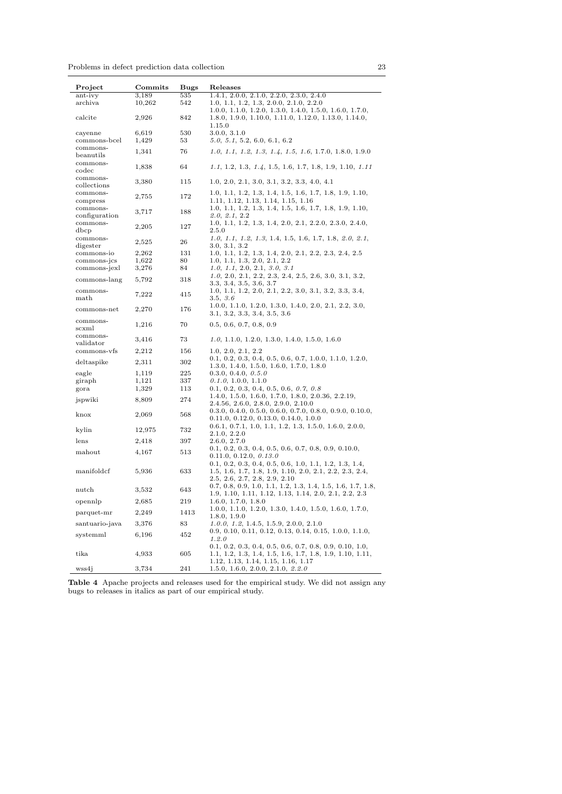Problems in defect prediction data collection 23

| Project                   | Commits        | <b>Bugs</b> | Releases                                                                                                                                             |
|---------------------------|----------------|-------------|------------------------------------------------------------------------------------------------------------------------------------------------------|
| ant-ivy                   | 3,189          | 535         | 1.4.1, 2.0.0, 2.1.0, 2.2.0, 2.3.0, 2.4.0                                                                                                             |
| archiva                   | 10,262         | 542         | 1.0, 1.1, 1.2, 1.3, 2.0.0, 2.1.0, 2.2.0<br>$1.0.0, 1.1.0, 1.2.0, 1.3.0, 1.4.0, 1.5.0, 1.6.0, 1.7.0,$                                                 |
| calcite                   | 2,926          | 842         | 1.8.0, 1.9.0, 1.10.0, 1.11.0, 1.12.0, 1.13.0, 1.14.0,<br>1.15.0                                                                                      |
| cayenne<br>commons-bcel   | 6,619<br>1,429 | 530<br>53   | 3.0.0, 3.1.0<br>5.0, 5.1, 5.2, 6.0, 6.1, 6.2                                                                                                         |
| commons-<br>beanutils     | 1,341          | 76          | $1.0, 1.1, 1.2, 1.3, 1.4, 1.5, 1.6, 1.7.0, 1.8.0, 1.9.0$                                                                                             |
| commons-<br>codec         | 1,838          | 64          | $1.1, 1.2, 1.3, 1.4, 1.5, 1.6, 1.7, 1.8, 1.9, 1.10, 1.11$                                                                                            |
| commons-<br>collections   | 3,380          | 115         | $1.0, 2.0, 2.1, 3.0, 3.1, 3.2, 3.3, 4.0, 4.1$                                                                                                        |
| commons-<br>compress      | 2,755          | 172         | 1.0, 1.1, 1.2, 1.3, 1.4, 1.5, 1.6, 1.7, 1.8, 1.9, 1.10,<br>1.11, 1.12, 1.13, 1.14, 1.15, 1.16                                                        |
| commons-<br>configuration | 3,717          | 188         | 1.0, 1.1, 1.2, 1.3, 1.4, 1.5, 1.6, 1.7, 1.8, 1.9, 1.10,<br>2.0, 2.1, 2.2                                                                             |
| commons-                  | 2,205          | 127         | 1.0, 1.1, 1.2, 1.3, 1.4, 2.0, 2.1, 2.2.0, 2.3.0, 2.4.0,                                                                                              |
| dbcp                      |                |             | 2.5.0                                                                                                                                                |
| commons-<br>digester      | 2,525          | 26          | $1.0, 1.1, 1.2, 1.3, 1.4, 1.5, 1.6, 1.7, 1.8, 2.0, 2.1,$<br>3.0, 3.1, 3.2                                                                            |
| commons-io                | 2,262          | 131         | 1.0, 1.1, 1.2, 1.3, 1.4, 2.0, 2.1, 2.2, 2.3, 2.4, 2.5                                                                                                |
| commons-jcs               | 1,622          | 80          | 1.0, 1.1, 1.3, 2.0, 2.1, 2.2                                                                                                                         |
| commons-jexl              | 3,276          | 84          | 1.0, 1.1, 2.0, 2.1, 3.0, 3.1<br>$1.0, 2.0, 2.1, 2.2, 2.3, 2.4, 2.5, 2.6, 3.0, 3.1, 3.2,$                                                             |
| commons-lang              | 5,792          | 318         | 3.3, 3.4, 3.5, 3.6, 3.7                                                                                                                              |
| commons-<br>math          | 7,222          | 415         | 1.0, 1.1, 1.2, 2.0, 2.1, 2.2, 3.0, 3.1, 3.2, 3.3, 3.4,<br>3.5, 3.6                                                                                   |
| commons-net               | 2,270          | 176         | $1.0.0, 1.1.0, 1.2.0, 1.3.0, 1.4.0, 2.0, 2.1, 2.2, 3.0,$<br>3.1, 3.2, 3.3, 3.4, 3.5, 3.6                                                             |
| commons-<br>scxml         | 1,216          | 70          | 0.5, 0.6, 0.7, 0.8, 0.9                                                                                                                              |
| commons-<br>validator     | 3,416          | 73          | $1.0, 1.1.0, 1.2.0, 1.3.0, 1.4.0, 1.5.0, 1.6.0$                                                                                                      |
| commons-vfs               | 2,212          | 156         | 1.0, 2.0, 2.1, 2.2                                                                                                                                   |
| deltaspike                | 2,311          | 302         | $0.1, 0.2, 0.3, 0.4, 0.5, 0.6, 0.7, 1.0.0, 1.1.0, 1.2.0,$<br>$1.3.0, 1.4.0, 1.5.0, 1.6.0, 1.7.0, 1.8.0$                                              |
| eagle                     | 1,119          | 225         | 0.3.0, 0.4.0, 0.5.0                                                                                                                                  |
| giraph                    | 1,121          | 337         | 0.1.0, 1.0.0, 1.1.0                                                                                                                                  |
| gora                      | 1,329          | 113         | $0.1, 0.2, 0.3, 0.4, 0.5, 0.6, 0.7, 0.8$                                                                                                             |
| jspwiki                   | 8,809          | 274         | 1.4.0, 1.5.0, 1.6.0, 1.7.0, 1.8.0, 2.0.36, 2.2.19,<br>2.4.56, 2.6.0, 2.8.0, 2.9.0, 2.10.0                                                            |
| knox                      | 2,069          | 568         | $0.3.0, 0.4.0, 0.5.0, 0.6.0, 0.7.0, 0.8.0, 0.9.0, 0.10.0,$<br>0.11.0, 0.12.0, 0.13.0, 0.14.0, 1.0.0                                                  |
| kylin                     | 12,975         | 732         | $0.6.1, 0.7.1, 1.0, 1.1, 1.2, 1.3, 1.5.0, 1.6.0, 2.0.0,$<br>2.1.0, 2.2.0                                                                             |
| lens                      | 2,418          | 397         | 2.6.0, 2.7.0                                                                                                                                         |
| mahout                    | 4,167          | 513         | $0.1, 0.2, 0.3, 0.4, 0.5, 0.6, 0.7, 0.8, 0.9, 0.10.0,$<br>0.11.0, 0.12.0, 0.13.0                                                                     |
| manifoldcf                | 5,936          | 633         | $0.1, 0.2, 0.3, 0.4, 0.5, 0.6, 1.0, 1.1, 1.2, 1.3, 1.4,$<br>1.5, 1.6, 1.7, 1.8, 1.9, 1.10, 2.0, 2.1, 2.2, 2.3, 2.4,<br>2.5, 2.6, 2.7, 2.8, 2.9, 2.10 |
| nutch                     | 3,532          | 643         | $0.7, 0.8, 0.9, 1.0, 1.1, 1.2, 1.3, 1.4, 1.5, 1.6, 1.7, 1.8,$<br>1.9, 1.10, 1.11, 1.12, 1.13, 1.14, 2.0, 2.1, 2.2, 2.3                               |
| opennlp                   | 2,685          | $\bf 219$   | 1.6.0, 1.7.0, 1.8.0                                                                                                                                  |
| parquet-mr                | 2,249          | 1413        | $1.0.0, 1.1.0, 1.2.0, 1.3.0, 1.4.0, 1.5.0, 1.6.0, 1.7.0,$<br>1.8.0, 1.9.0                                                                            |
| santuario-java            | 3,376          | 83          | $1.0.0, 1.2, 1.4.5, 1.5.9, 2.0.0, 2.1.0$                                                                                                             |
| systemml                  | 6,196          | 452         | 0.9, 0.10, 0.11, 0.12, 0.13, 0.14, 0.15, 1.0.0, 1.1.0,<br>1.2.0                                                                                      |
| tika                      | 4,933          | 605         | $0.1, 0.2, 0.3, 0.4, 0.5, 0.6, 0.7, 0.8, 0.9, 0.10, 1.0,$<br>1.1, 1.2, 1.3, 1.4, 1.5, 1.6, 1.7, 1.8, 1.9, 1.10, 1.11,                                |
| wss4j                     | 3,734          | 241         | 1.12, 1.13, 1.14, 1.15, 1.16, 1.17<br>1.5.0, 1.6.0, 2.0.0, 2.1.0, 2.2.0                                                                              |

<span id="page-22-0"></span>Table 4 Apache projects and releases used for the empirical study. We did not assign any bugs to releases in italics as part of our empirical study.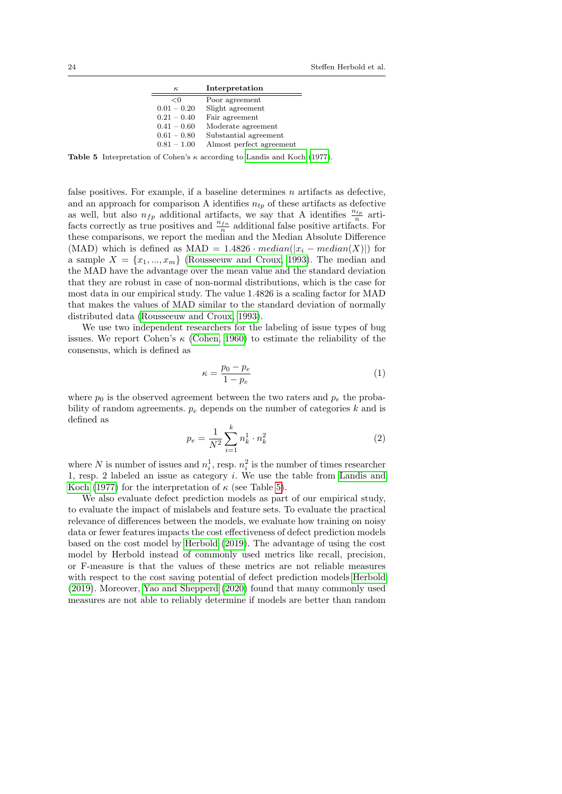| $\kappa$      | Interpretation           |
|---------------|--------------------------|
| < 0           | Poor agreement           |
| $0.01 - 0.20$ | Slight agreement         |
| $0.21 - 0.40$ | Fair agreement           |
| $0.41 - 0.60$ | Moderate agreement       |
| $0.61 - 0.80$ | Substantial agreement    |
| $0.81 - 1.00$ | Almost perfect agreement |

<span id="page-23-0"></span>Table 5 Interpretation of Cohen's  $\kappa$  according to [Landis and Koch](#page-50-11) [\(1977\)](#page-50-11).

false positives. For example, if a baseline determines n artifacts as defective, and an approach for comparison A identifies  $n_{tp}$  of these artifacts as defective as well, but also  $n_{fp}$  additional artifacts, we say that A identifies  $\frac{n_{tp}}{n}$  artifacts correctly as true positives and  $\frac{n_{fn}}{n}$  additional false positive artifacts. For these comparisons, we report the median and the Median Absolute Difference (MAD) which is defined as MAD =  $1.4826 \cdot median(|x_i - median(X)|)$  for a sample  $X = \{x_1, ..., x_m\}$  [\(Rousseeuw and Croux, 1993\)](#page-52-6). The median and the MAD have the advantage over the mean value and the standard deviation that they are robust in case of non-normal distributions, which is the case for most data in our empirical study. The value 1.4826 is a scaling factor for MAD that makes the values of MAD similar to the standard deviation of normally distributed data [\(Rousseeuw and Croux, 1993\)](#page-52-6).

We use two independent researchers for the labeling of issue types of bug issues. We report Cohen's  $\kappa$  [\(Cohen, 1960\)](#page-48-8) to estimate the reliability of the consensus, which is defined as

$$
\kappa = \frac{p_0 - p_e}{1 - p_e} \tag{1}
$$

where  $p_0$  is the observed agreement between the two raters and  $p_e$  the probability of random agreements.  $p_e$  depends on the number of categories k and is defined as

$$
p_e = \frac{1}{N^2} \sum_{i=1}^{k} n_k^1 \cdot n_k^2
$$
 (2)

where N is number of issues and  $n_i^1$ , resp.  $n_i^2$  is the number of times researcher 1, resp. 2 labeled an issue as category i. We use the table from [Landis and](#page-50-11) [Koch](#page-50-11) [\(1977\)](#page-50-11) for the interpretation of  $\kappa$  (see Table [5\)](#page-23-0).

We also evaluate defect prediction models as part of our empirical study, to evaluate the impact of mislabels and feature sets. To evaluate the practical relevance of differences between the models, we evaluate how training on noisy data or fewer features impacts the cost effectiveness of defect prediction models based on the cost model by [Herbold](#page-49-9) [\(2019\)](#page-49-9). The advantage of using the cost model by Herbold instead of commonly used metrics like recall, precision, or F-measure is that the values of these metrics are not reliable measures with respect to the cost saving potential of defect prediction models [Herbold](#page-49-9) [\(2019\)](#page-49-9). Moreover, [Yao and Shepperd](#page-53-7) [\(2020\)](#page-53-7) found that many commonly used measures are not able to reliably determine if models are better than random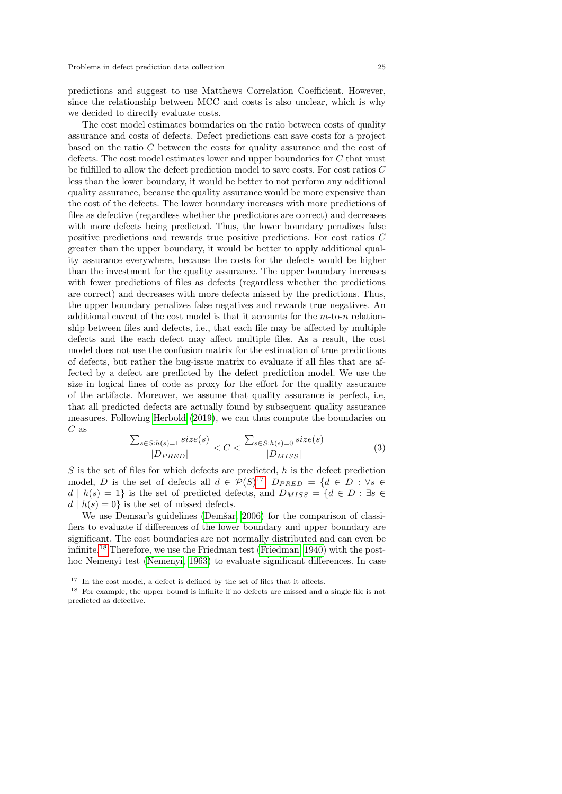predictions and suggest to use Matthews Correlation Coefficient. However, since the relationship between MCC and costs is also unclear, which is why we decided to directly evaluate costs.

The cost model estimates boundaries on the ratio between costs of quality assurance and costs of defects. Defect predictions can save costs for a project based on the ratio C between the costs for quality assurance and the cost of defects. The cost model estimates lower and upper boundaries for C that must be fulfilled to allow the defect prediction model to save costs. For cost ratios C less than the lower boundary, it would be better to not perform any additional quality assurance, because the quality assurance would be more expensive than the cost of the defects. The lower boundary increases with more predictions of files as defective (regardless whether the predictions are correct) and decreases with more defects being predicted. Thus, the lower boundary penalizes false positive predictions and rewards true positive predictions. For cost ratios C greater than the upper boundary, it would be better to apply additional quality assurance everywhere, because the costs for the defects would be higher than the investment for the quality assurance. The upper boundary increases with fewer predictions of files as defects (regardless whether the predictions are correct) and decreases with more defects missed by the predictions. Thus, the upper boundary penalizes false negatives and rewards true negatives. An additional caveat of the cost model is that it accounts for the  $m$ -to-n relationship between files and defects, i.e., that each file may be affected by multiple defects and the each defect may affect multiple files. As a result, the cost model does not use the confusion matrix for the estimation of true predictions of defects, but rather the bug-issue matrix to evaluate if all files that are affected by a defect are predicted by the defect prediction model. We use the size in logical lines of code as proxy for the effort for the quality assurance of the artifacts. Moreover, we assume that quality assurance is perfect, i.e, that all predicted defects are actually found by subsequent quality assurance measures. Following [Herbold](#page-49-9) [\(2019\)](#page-49-9), we can thus compute the boundaries on  $C$  as

$$
\frac{\sum_{s \in S: h(s) = 1} size(s)}{|D_{PRED}|} < C < \frac{\sum_{s \in S: h(s) = 0} size(s)}{|D_{MISS}|} \tag{3}
$$

 $S$  is the set of files for which defects are predicted,  $h$  is the defect prediction model, D is the set of defects all  $d \in \mathcal{P}(S)^{17}$  $d \in \mathcal{P}(S)^{17}$  $d \in \mathcal{P}(S)^{17}$ ,  $D_{PRED} = \{d \in D : \forall s \in$  $d | h(s) = 1$ } is the set of predicted defects, and  $D_{MISS} = \{d \in D : \exists s \in$  $d | h(s) = 0$  is the set of missed defects.

We use Demsar's guidelines (Demšar, 2006) for the comparison of classifiers to evaluate if differences of the lower boundary and upper boundary are significant. The cost boundaries are not normally distributed and can even be infinite.[18](#page-24-1) Therefore, we use the Friedman test [\(Friedman, 1940\)](#page-49-10) with the posthoc Nemenyi test [\(Nemenyi, 1963\)](#page-50-12) to evaluate significant differences. In case

<span id="page-24-0"></span><sup>&</sup>lt;sup>17</sup> In the cost model, a defect is defined by the set of files that it affects.

<span id="page-24-1"></span><sup>18</sup> For example, the upper bound is infinite if no defects are missed and a single file is not predicted as defective.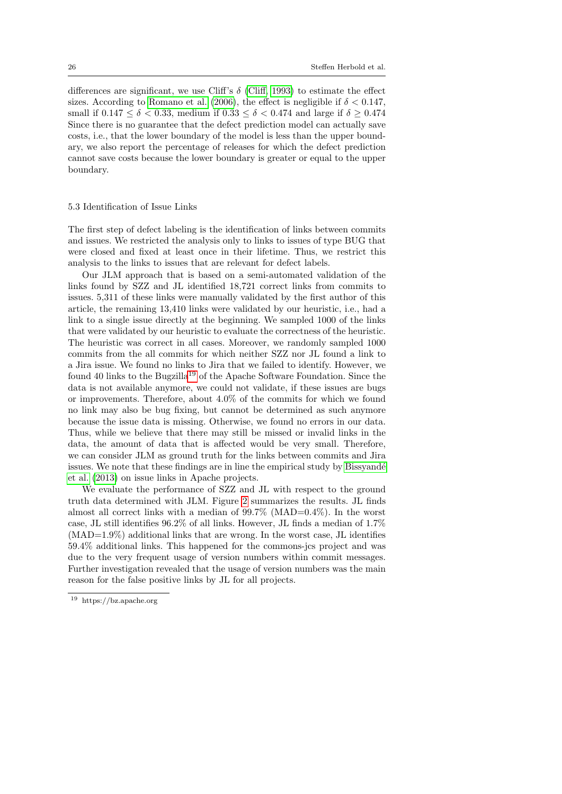differences are significant, we use Cliff's  $\delta$  [\(Cliff, 1993\)](#page-48-10) to estimate the effect sizes. According to [Romano et al.](#page-51-9) [\(2006\)](#page-51-9), the effect is negligible if  $\delta < 0.147$ , small if  $0.147 \le \delta \le 0.33$ , medium if  $0.33 \le \delta \le 0.474$  and large if  $\delta \ge 0.474$ Since there is no guarantee that the defect prediction model can actually save costs, i.e., that the lower boundary of the model is less than the upper boundary, we also report the percentage of releases for which the defect prediction cannot save costs because the lower boundary is greater or equal to the upper boundary.

#### <span id="page-25-0"></span>5.3 Identification of Issue Links

The first step of defect labeling is the identification of links between commits and issues. We restricted the analysis only to links to issues of type BUG that were closed and fixed at least once in their lifetime. Thus, we restrict this analysis to the links to issues that are relevant for defect labels.

Our JLM approach that is based on a semi-automated validation of the links found by SZZ and JL identified 18,721 correct links from commits to issues. 5,311 of these links were manually validated by the first author of this article, the remaining 13,410 links were validated by our heuristic, i.e., had a link to a single issue directly at the beginning. We sampled 1000 of the links that were validated by our heuristic to evaluate the correctness of the heuristic. The heuristic was correct in all cases. Moreover, we randomly sampled 1000 commits from the all commits for which neither SZZ nor JL found a link to a Jira issue. We found no links to Jira that we failed to identify. However, we found 40 links to the Bugzilla<sup>[19](#page-25-1)</sup> of the Apache Software Foundation. Since the data is not available anymore, we could not validate, if these issues are bugs or improvements. Therefore, about 4.0% of the commits for which we found no link may also be bug fixing, but cannot be determined as such anymore because the issue data is missing. Otherwise, we found no errors in our data. Thus, while we believe that there may still be missed or invalid links in the data, the amount of data that is affected would be very small. Therefore, we can consider JLM as ground truth for the links between commits and Jira issues. We note that these findings are in line the empirical study by Bissyandé [et al.](#page-47-6) [\(2013\)](#page-47-6) on issue links in Apache projects.

We evaluate the performance of SZZ and JL with respect to the ground truth data determined with JLM. Figure [2](#page-26-1) summarizes the results. JL finds almost all correct links with a median of  $99.7\%$  (MAD= $0.4\%$ ). In the worst case, JL still identifies 96.2% of all links. However, JL finds a median of 1.7% (MAD=1.9%) additional links that are wrong. In the worst case, JL identifies 59.4% additional links. This happened for the commons-jcs project and was due to the very frequent usage of version numbers within commit messages. Further investigation revealed that the usage of version numbers was the main reason for the false positive links by JL for all projects.

<span id="page-25-1"></span><sup>19</sup> https://bz.apache.org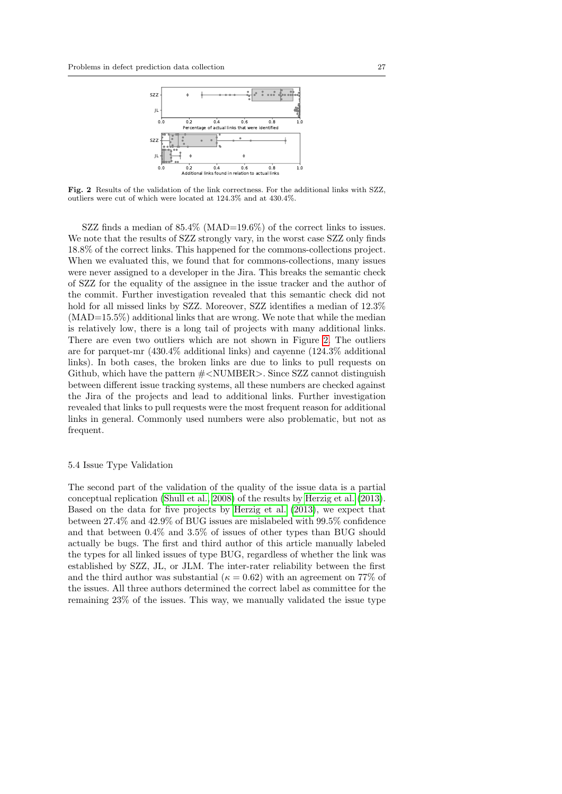

<span id="page-26-1"></span>Fig. 2 Results of the validation of the link correctness. For the additional links with SZZ, outliers were cut of which were located at 124.3% and at 430.4%.

SZZ finds a median of 85.4% (MAD=19.6%) of the correct links to issues. We note that the results of SZZ strongly vary, in the worst case SZZ only finds 18.8% of the correct links. This happened for the commons-collections project. When we evaluated this, we found that for commons-collections, many issues were never assigned to a developer in the Jira. This breaks the semantic check of SZZ for the equality of the assignee in the issue tracker and the author of the commit. Further investigation revealed that this semantic check did not hold for all missed links by SZZ. Moreover, SZZ identifies a median of  $12.3\%$  $(MAD=15.5\%)$  additional links that are wrong. We note that while the median is relatively low, there is a long tail of projects with many additional links. There are even two outliers which are not shown in Figure [2.](#page-26-1) The outliers are for parquet-mr (430.4% additional links) and cayenne (124.3% additional links). In both cases, the broken links are due to links to pull requests on Github, which have the pattern  $\#$ <NUMBER>. Since SZZ cannot distinguish between different issue tracking systems, all these numbers are checked against the Jira of the projects and lead to additional links. Further investigation revealed that links to pull requests were the most frequent reason for additional links in general. Commonly used numbers were also problematic, but not as frequent.

#### <span id="page-26-0"></span>5.4 Issue Type Validation

The second part of the validation of the quality of the issue data is a partial conceptual replication [\(Shull et al., 2008\)](#page-52-7) of the results by [Herzig et al.](#page-49-3) [\(2013\)](#page-49-3). Based on the data for five projects by [Herzig et al.](#page-49-3) [\(2013\)](#page-49-3), we expect that between 27.4% and 42.9% of BUG issues are mislabeled with 99.5% confidence and that between 0.4% and 3.5% of issues of other types than BUG should actually be bugs. The first and third author of this article manually labeled the types for all linked issues of type BUG, regardless of whether the link was established by SZZ, JL, or JLM. The inter-rater reliability between the first and the third author was substantial ( $\kappa = 0.62$ ) with an agreement on 77% of the issues. All three authors determined the correct label as committee for the remaining 23% of the issues. This way, we manually validated the issue type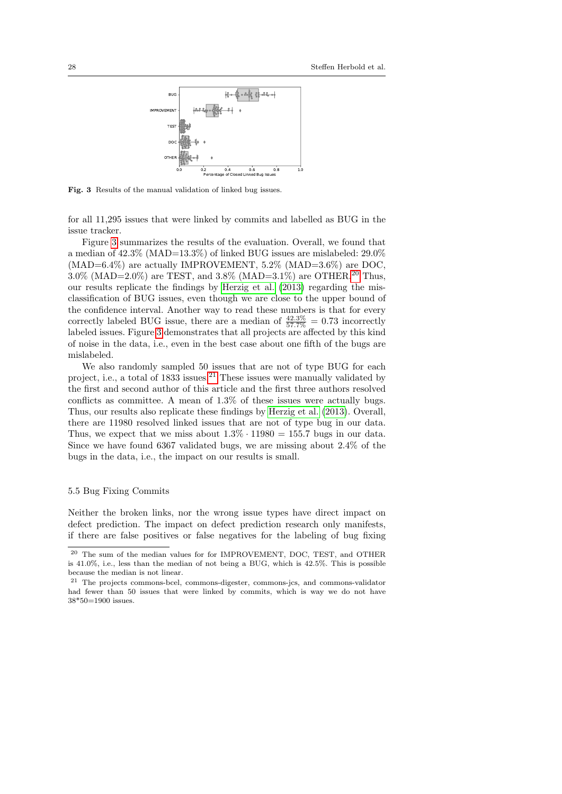

<span id="page-27-1"></span>Fig. 3 Results of the manual validation of linked bug issues.

for all 11,295 issues that were linked by commits and labelled as BUG in the issue tracker.

Figure [3](#page-27-1) summarizes the results of the evaluation. Overall, we found that a median of 42.3% (MAD=13.3%) of linked BUG issues are mislabeled: 29.0%  $(MAD=6.4\%)$  are actually IMPROVEMENT, 5.2%  $(MAD=3.6\%)$  are DOC. 3.0% (MAD=2.0%) are TEST, and 3.8% (MAD=3.1%) are OTHER.<sup>[20](#page-27-2)</sup> Thus, our results replicate the findings by [Herzig et al.](#page-49-3) [\(2013\)](#page-49-3) regarding the misclassification of BUG issues, even though we are close to the upper bound of the confidence interval. Another way to read these numbers is that for every correctly labeled BUG issue, there are a median of  $\frac{42.3\%}{57.7\%} = 0.73$  incorrectly labeled issues. Figure [3](#page-27-1) demonstrates that all projects are affected by this kind of noise in the data, i.e., even in the best case about one fifth of the bugs are mislabeled.

We also randomly sampled 50 issues that are not of type BUG for each project, i.e., a total of 1833 issues.<sup>[21](#page-27-3)</sup> These issues were manually validated by the first and second author of this article and the first three authors resolved conflicts as committee. A mean of 1.3% of these issues were actually bugs. Thus, our results also replicate these findings by [Herzig et al.](#page-49-3) [\(2013\)](#page-49-3). Overall, there are 11980 resolved linked issues that are not of type bug in our data. Thus, we expect that we miss about  $1.3\% \cdot 11980 = 155.7$  bugs in our data. Since we have found 6367 validated bugs, we are missing about 2.4% of the bugs in the data, i.e., the impact on our results is small.

## <span id="page-27-0"></span>5.5 Bug Fixing Commits

Neither the broken links, nor the wrong issue types have direct impact on defect prediction. The impact on defect prediction research only manifests, if there are false positives or false negatives for the labeling of bug fixing

<span id="page-27-2"></span><sup>20</sup> The sum of the median values for for IMPROVEMENT, DOC, TEST, and OTHER is  $41.0\%$ , i.e., less than the median of not being a BUG, which is  $42.5\%$ . This is possible because the median is not linear.

<span id="page-27-3"></span><sup>21</sup> The projects commons-bcel, commons-digester, commons-jcs, and commons-validator had fewer than 50 issues that were linked by commits, which is way we do not have 38\*50=1900 issues.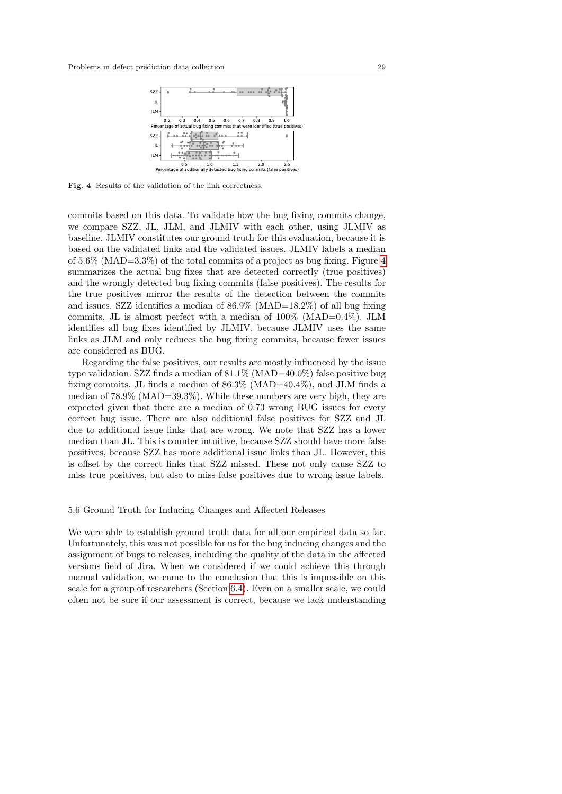

<span id="page-28-1"></span>Fig. 4 Results of the validation of the link correctness.

commits based on this data. To validate how the bug fixing commits change, we compare SZZ, JL, JLM, and JLMIV with each other, using JLMIV as baseline. JLMIV constitutes our ground truth for this evaluation, because it is based on the validated links and the validated issues. JLMIV labels a median of 5.6% (MAD=3.3%) of the total commits of a project as bug fixing. Figure [4](#page-28-1) summarizes the actual bug fixes that are detected correctly (true positives) and the wrongly detected bug fixing commits (false positives). The results for the true positives mirror the results of the detection between the commits and issues. SZZ identifies a median of 86.9% (MAD=18.2%) of all bug fixing commits, JL is almost perfect with a median of  $100\%$  (MAD=0.4%). JLM identifies all bug fixes identified by JLMIV, because JLMIV uses the same links as JLM and only reduces the bug fixing commits, because fewer issues are considered as BUG.

Regarding the false positives, our results are mostly influenced by the issue type validation. SZZ finds a median of 81.1% (MAD=40.0%) false positive bug fixing commits, JL finds a median of 86.3% (MAD=40.4%), and JLM finds a median of 78.9% (MAD=39.3%). While these numbers are very high, they are expected given that there are a median of 0.73 wrong BUG issues for every correct bug issue. There are also additional false positives for SZZ and JL due to additional issue links that are wrong. We note that SZZ has a lower median than JL. This is counter intuitive, because SZZ should have more false positives, because SZZ has more additional issue links than JL. However, this is offset by the correct links that SZZ missed. These not only cause SZZ to miss true positives, but also to miss false positives due to wrong issue labels.

## <span id="page-28-0"></span>5.6 Ground Truth for Inducing Changes and Affected Releases

We were able to establish ground truth data for all our empirical data so far. Unfortunately, this was not possible for us for the bug inducing changes and the assignment of bugs to releases, including the quality of the data in the affected versions field of Jira. When we considered if we could achieve this through manual validation, we came to the conclusion that this is impossible on this scale for a group of researchers (Section [6.4\)](#page-42-0). Even on a smaller scale, we could often not be sure if our assessment is correct, because we lack understanding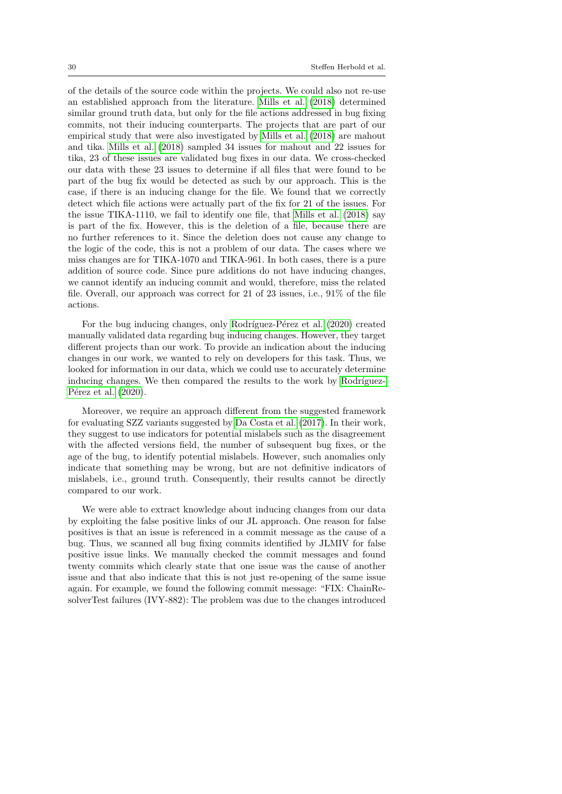of the details of the source code within the projects. We could also not re-use an established approach from the literature. [Mills et al.](#page-50-3) [\(2018\)](#page-50-3) determined similar ground truth data, but only for the file actions addressed in bug fixing commits, not their inducing counterparts. The projects that are part of our empirical study that were also investigated by [Mills et al.](#page-50-3) [\(2018\)](#page-50-3) are mahout and tika. [Mills et al.](#page-50-3) [\(2018\)](#page-50-3) sampled 34 issues for mahout and 22 issues for tika, 23 of these issues are validated bug fixes in our data. We cross-checked our data with these 23 issues to determine if all files that were found to be part of the bug fix would be detected as such by our approach. This is the case, if there is an inducing change for the file. We found that we correctly detect which file actions were actually part of the fix for 21 of the issues. For the issue TIKA-1110, we fail to identify one file, that [Mills et al.](#page-50-3) [\(2018\)](#page-50-3) say is part of the fix. However, this is the deletion of a file, because there are no further references to it. Since the deletion does not cause any change to the logic of the code, this is not a problem of our data. The cases where we miss changes are for TIKA-1070 and TIKA-961. In both cases, there is a pure addition of source code. Since pure additions do not have inducing changes, we cannot identify an inducing commit and would, therefore, miss the related file. Overall, our approach was correct for 21 of 23 issues, i.e., 91% of the file actions.

For the bug inducing changes, only Rodríguez-Pérez et al. [\(2020\)](#page-51-2) created manually validated data regarding bug inducing changes. However, they target different projects than our work. To provide an indication about the inducing changes in our work, we wanted to rely on developers for this task. Thus, we looked for information in our data, which we could use to accurately determine inducing changes. We then compared the results to the work by Rodríguez-Pérez et al.  $(2020)$ .

Moreover, we require an approach different from the suggested framework for evaluating SZZ variants suggested by [Da Costa et al.](#page-48-0) [\(2017\)](#page-48-0). In their work, they suggest to use indicators for potential mislabels such as the disagreement with the affected versions field, the number of subsequent bug fixes, or the age of the bug, to identify potential mislabels. However, such anomalies only indicate that something may be wrong, but are not definitive indicators of mislabels, i.e., ground truth. Consequently, their results cannot be directly compared to our work.

We were able to extract knowledge about inducing changes from our data by exploiting the false positive links of our JL approach. One reason for false positives is that an issue is referenced in a commit message as the cause of a bug. Thus, we scanned all bug fixing commits identified by JLMIV for false positive issue links. We manually checked the commit messages and found twenty commits which clearly state that one issue was the cause of another issue and that also indicate that this is not just re-opening of the same issue again. For example, we found the following commit message: "FIX: ChainResolverTest failures (IVY-882): The problem was due to the changes introduced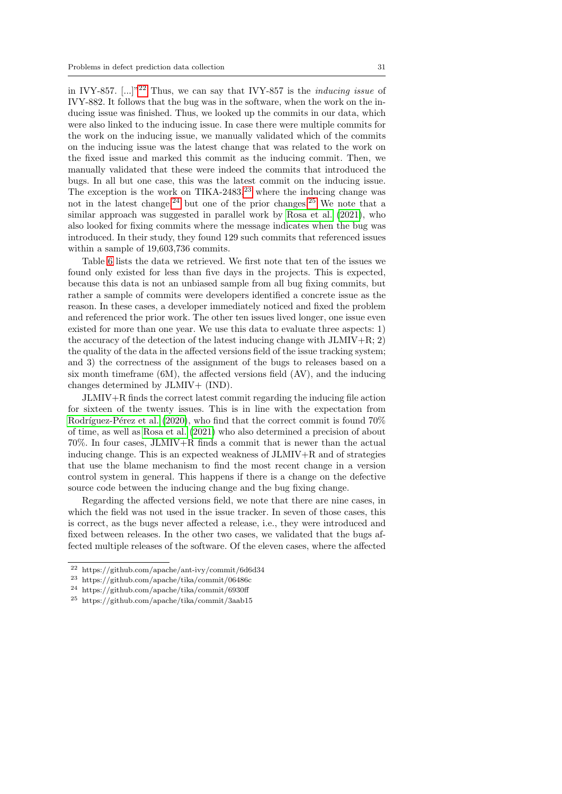in IVY-857.  $[\dots]^{n22}$  $[\dots]^{n22}$  $[\dots]^{n22}$  Thus, we can say that IVY-857 is the *inducing issue* of IVY-882. It follows that the bug was in the software, when the work on the inducing issue was finished. Thus, we looked up the commits in our data, which were also linked to the inducing issue. In case there were multiple commits for the work on the inducing issue, we manually validated which of the commits on the inducing issue was the latest change that was related to the work on the fixed issue and marked this commit as the inducing commit. Then, we manually validated that these were indeed the commits that introduced the bugs. In all but one case, this was the latest commit on the inducing issue. The exception is the work on TIKA-2483, $^{23}$  $^{23}$  $^{23}$  where the inducing change was not in the latest change,  $24$  but one of the prior changes.  $25$  We note that a similar approach was suggested in parallel work by [Rosa et al.](#page-52-8) [\(2021\)](#page-52-8), who also looked for fixing commits where the message indicates when the bug was introduced. In their study, they found 129 such commits that referenced issues within a sample of 19,603,736 commits.

Table [6](#page-32-0) lists the data we retrieved. We first note that ten of the issues we found only existed for less than five days in the projects. This is expected, because this data is not an unbiased sample from all bug fixing commits, but rather a sample of commits were developers identified a concrete issue as the reason. In these cases, a developer immediately noticed and fixed the problem and referenced the prior work. The other ten issues lived longer, one issue even existed for more than one year. We use this data to evaluate three aspects: 1) the accuracy of the detection of the latest inducing change with  $JLMIV+R; 2)$ the quality of the data in the affected versions field of the issue tracking system; and 3) the correctness of the assignment of the bugs to releases based on a six month timeframe (6M), the affected versions field (AV), and the inducing changes determined by JLMIV+ (IND).

JLMIV+R finds the correct latest commit regarding the inducing file action for sixteen of the twenty issues. This is in line with the expectation from Rodríguez-Pérez et al.  $(2020)$ , who find that the correct commit is found 70% of time, as well as [Rosa et al.](#page-52-8) [\(2021\)](#page-52-8) who also determined a precision of about 70%. In four cases, JLMIV+R finds a commit that is newer than the actual inducing change. This is an expected weakness of JLMIV+R and of strategies that use the blame mechanism to find the most recent change in a version control system in general. This happens if there is a change on the defective source code between the inducing change and the bug fixing change.

Regarding the affected versions field, we note that there are nine cases, in which the field was not used in the issue tracker. In seven of those cases, this is correct, as the bugs never affected a release, i.e., they were introduced and fixed between releases. In the other two cases, we validated that the bugs affected multiple releases of the software. Of the eleven cases, where the affected

<span id="page-30-0"></span><sup>22</sup> https://github.com/apache/ant-ivy/commit/6d6d34

<span id="page-30-1"></span><sup>23</sup> https://github.com/apache/tika/commit/06486c

<span id="page-30-2"></span><sup>24</sup> https://github.com/apache/tika/commit/6930ff

<span id="page-30-3"></span><sup>25</sup> https://github.com/apache/tika/commit/3aab15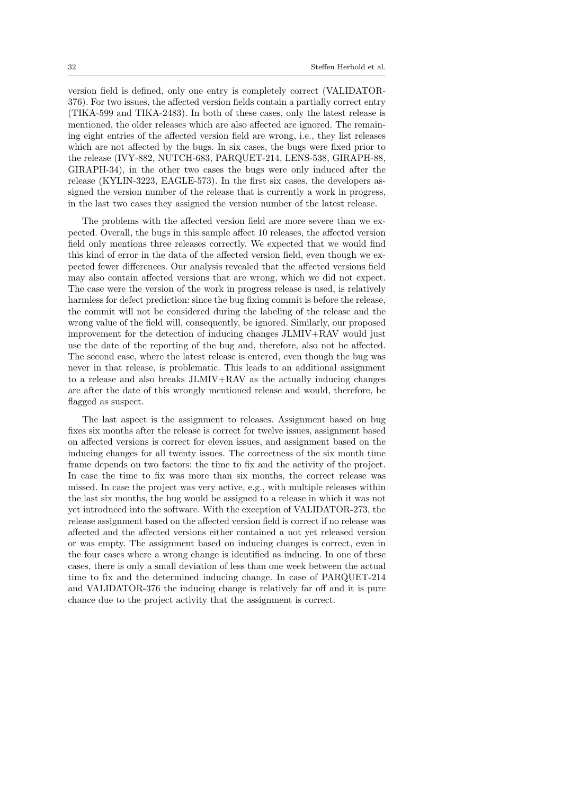version field is defined, only one entry is completely correct (VALIDATOR-376). For two issues, the affected version fields contain a partially correct entry (TIKA-599 and TIKA-2483). In both of these cases, only the latest release is mentioned, the older releases which are also affected are ignored. The remaining eight entries of the affected version field are wrong, i.e., they list releases which are not affected by the bugs. In six cases, the bugs were fixed prior to the release (IVY-882, NUTCH-683, PARQUET-214, LENS-538, GIRAPH-88, GIRAPH-34), in the other two cases the bugs were only induced after the release (KYLIN-3223, EAGLE-573). In the first six cases, the developers assigned the version number of the release that is currently a work in progress, in the last two cases they assigned the version number of the latest release.

The problems with the affected version field are more severe than we expected. Overall, the bugs in this sample affect 10 releases, the affected version field only mentions three releases correctly. We expected that we would find this kind of error in the data of the affected version field, even though we expected fewer differences. Our analysis revealed that the affected versions field may also contain affected versions that are wrong, which we did not expect. The case were the version of the work in progress release is used, is relatively harmless for defect prediction: since the bug fixing commit is before the release, the commit will not be considered during the labeling of the release and the wrong value of the field will, consequently, be ignored. Similarly, our proposed improvement for the detection of inducing changes JLMIV+RAV would just use the date of the reporting of the bug and, therefore, also not be affected. The second case, where the latest release is entered, even though the bug was never in that release, is problematic. This leads to an additional assignment to a release and also breaks JLMIV+RAV as the actually inducing changes are after the date of this wrongly mentioned release and would, therefore, be flagged as suspect.

The last aspect is the assignment to releases. Assignment based on bug fixes six months after the release is correct for twelve issues, assignment based on affected versions is correct for eleven issues, and assignment based on the inducing changes for all twenty issues. The correctness of the six month time frame depends on two factors: the time to fix and the activity of the project. In case the time to fix was more than six months, the correct release was missed. In case the project was very active, e.g., with multiple releases within the last six months, the bug would be assigned to a release in which it was not yet introduced into the software. With the exception of VALIDATOR-273, the release assignment based on the affected version field is correct if no release was affected and the affected versions either contained a not yet released version or was empty. The assignment based on inducing changes is correct, even in the four cases where a wrong change is identified as inducing. In one of these cases, there is only a small deviation of less than one week between the actual time to fix and the determined inducing change. In case of PARQUET-214 and VALIDATOR-376 the inducing change is relatively far off and it is pure chance due to the project activity that the assignment is correct.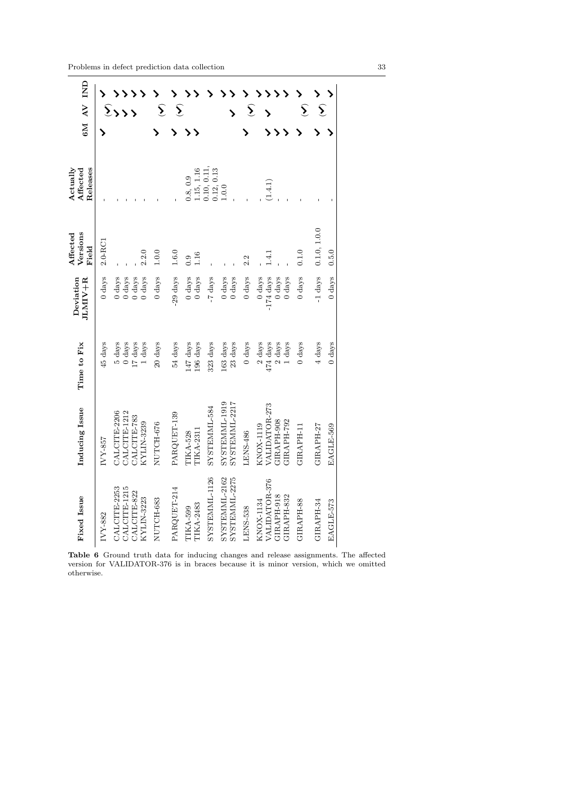| GM AV IND                        |                  | $\sum$              |                  |                  |                  | $\widehat{\boldsymbol{\Sigma}}$ | $\widehat{\bm{\Sigma}}$ |                  |                  |               |                                                       |                  | $\widehat{\bm{\Sigma}}$ |                     |                     |                    |                  | $\hat{\Sigma}$   | $\hat{\Sigma}$ |                  |
|----------------------------------|------------------|---------------------|------------------|------------------|------------------|---------------------------------|-------------------------|------------------|------------------|---------------|-------------------------------------------------------|------------------|-------------------------|---------------------|---------------------|--------------------|------------------|------------------|----------------|------------------|
|                                  |                  |                     |                  |                  |                  |                                 |                         |                  |                  |               |                                                       |                  |                         |                     |                     |                    |                  |                  |                |                  |
| Releases<br>Actually<br>Affected |                  |                     |                  |                  |                  |                                 |                         | 0.8, 0.9         | 1.15, 1.16       | 0.10, 0.11,   | $\begin{array}{c} 0.12, \, 0.13 \\ 1.0.0 \end{array}$ |                  |                         |                     | (1.4.1)             |                    |                  |                  |                |                  |
| Versions<br>Affected<br>Field    | $2.0 - RC1$      |                     |                  |                  | 2.2.0            | 1.0.0                           | 1.6.0                   | 0.9              | 1.16             |               |                                                       |                  | 2.2                     |                     | 1.4.1               |                    |                  | 0.1.0            | 0.1.0, 1.0.0   | 0.5.0            |
| Deviation<br>JLMIV+R             | $0 \text{ days}$ | $0 \text{ days}$    | $0\ {\rm days}$  | $0 \text{ days}$ | $0 \text{ days}$ | $0$ days                        | 29 days                 | $0 \text{ days}$ | $0 \;{\rm days}$ | -7 days       | $0 \text{ days}$                                      | $0 \text{ days}$ | $0 \text{ days}$        | $0 \text{ days}$    | $-174 \text{ days}$ | $0$ days           | $0 \text{ days}$ | $0 \text{ days}$ | $-1$ days      | $0 \text{ days}$ |
| Time to Fix                      | 45 days          | $5 \ \mathrm{days}$ | $0 \text{ days}$ | $17~\rm{days}$   | $1~{\rm days}$   | 20 days                         | 54 days                 | 147 days         | 196 days         | 323 days      | 163 days                                              | 23 days          | $0 \text{ days}$        | $2 \ \mathrm{days}$ | 474 days            | $2\ \mathrm{days}$ | 1 days           | $0 \text{ days}$ | 4 days         | $0 \text{ days}$ |
| Inducing Issue                   | IVY-857          | CALCITE-2206        | CALCITE-1212     | CALCITE-783      | KYLIN-3239       | NUTCH-676                       | PARQUET-139             | <b>TIKA-528</b>  | TIKA-2311        | SYSTEMML-584  | SYSTEMML-1919                                         | SYSTEMML-2217    | LENS-486                | KNOX-1119           | VALIDATOR-273       | GIRAPH-908         | GIRAPH-792       | GIRAPH-11        | GIRAPH-27      | EAGLE-569        |
| Fixed Issue                      | IVY-882          | CALCITE-2253        | CALCITE-1215     | CALCITE-822      | KYLIN-3223       | NUTCH-683                       | PARQUET-214             | TIKA-599         | TIKA-2483        | SYSTEMML-1126 | SYSTEMML-2162                                         | SYSTEMML-2275    | LENS-538                | KNOX-1134           | VALIDATOR-376       | GIRAPH-918         | GIRAPH-832       | GIRAPH-88        | GIRAPH-34      | EAGLE-573        |

<span id="page-32-0"></span>Table 6 Ground truth data for inducing changes and release assignments. The affected version for VALIDATOR-376 is in braces because it is minor version, which we omitted otherwise.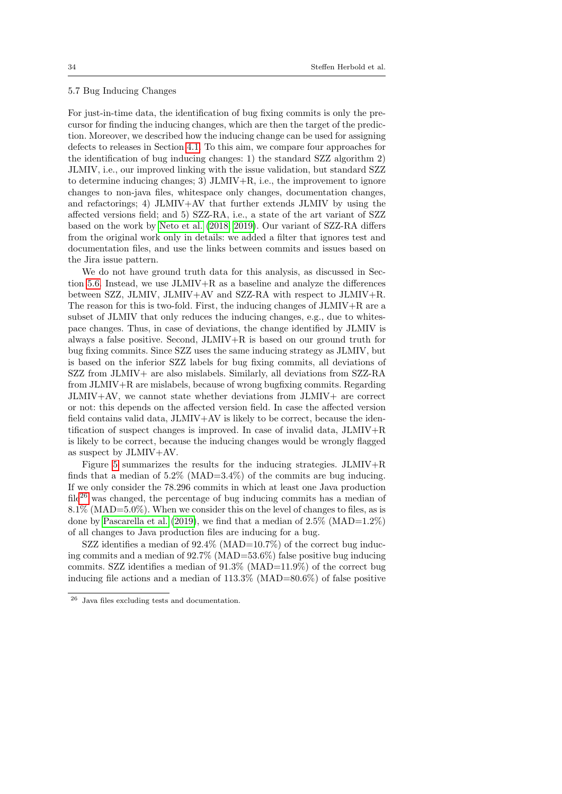## <span id="page-33-0"></span>5.7 Bug Inducing Changes

For just-in-time data, the identification of bug fixing commits is only the precursor for finding the inducing changes, which are then the target of the prediction. Moreover, we described how the inducing change can be used for assigning defects to releases in Section [4.1.](#page-15-0) To this aim, we compare four approaches for the identification of bug inducing changes: 1) the standard SZZ algorithm 2) JLMIV, i.e., our improved linking with the issue validation, but standard SZZ to determine inducing changes; 3)  $JLMIV+R$ , i.e., the improvement to ignore changes to non-java files, whitespace only changes, documentation changes, and refactorings; 4) JLMIV+AV that further extends JLMIV by using the affected versions field; and 5) SZZ-RA, i.e., a state of the art variant of SZZ based on the work by [Neto et al.](#page-50-9) [\(2018,](#page-50-9) [2019\)](#page-50-10). Our variant of SZZ-RA differs from the original work only in details: we added a filter that ignores test and documentation files, and use the links between commits and issues based on the Jira issue pattern.

We do not have ground truth data for this analysis, as discussed in Sec-tion [5.6.](#page-28-0) Instead, we use  $JLMIV+R$  as a baseline and analyze the differences between SZZ, JLMIV, JLMIV+AV and SZZ-RA with respect to JLMIV+R. The reason for this is two-fold. First, the inducing changes of JLMIV+R are a subset of JLMIV that only reduces the inducing changes, e.g., due to whitespace changes. Thus, in case of deviations, the change identified by JLMIV is always a false positive. Second, JLMIV+R is based on our ground truth for bug fixing commits. Since SZZ uses the same inducing strategy as JLMIV, but is based on the inferior SZZ labels for bug fixing commits, all deviations of SZZ from JLMIV+ are also mislabels. Similarly, all deviations from SZZ-RA from JLMIV+R are mislabels, because of wrong bugfixing commits. Regarding JLMIV+AV, we cannot state whether deviations from JLMIV+ are correct or not: this depends on the affected version field. In case the affected version field contains valid data, JLMIV+AV is likely to be correct, because the identification of suspect changes is improved. In case of invalid data, JLMIV+R is likely to be correct, because the inducing changes would be wrongly flagged as suspect by JLMIV+AV.

Figure [5](#page-35-0) summarizes the results for the inducing strategies.  $JLMIV+R$ finds that a median of  $5.2\%$  (MAD=3.4%) of the commits are bug inducing. If we only consider the 78.296 commits in which at least one Java production file<sup>[26](#page-33-1)</sup> was changed, the percentage of bug inducing commits has a median of  $8.1\%$  (MAD=5.0%). When we consider this on the level of changes to files, as is done by [Pascarella et al.](#page-51-0) [\(2019\)](#page-51-0), we find that a median of  $2.5\%$  (MAD=1.2%) of all changes to Java production files are inducing for a bug.

SZZ identifies a median of  $92.4\%$  (MAD=10.7%) of the correct bug inducing commits and a median of  $92.7\%$  (MAD=53.6%) false positive bug inducing commits. SZZ identifies a median of 91.3% (MAD=11.9%) of the correct bug inducing file actions and a median of 113.3% (MAD=80.6%) of false positive

<span id="page-33-1"></span><sup>26</sup> Java files excluding tests and documentation.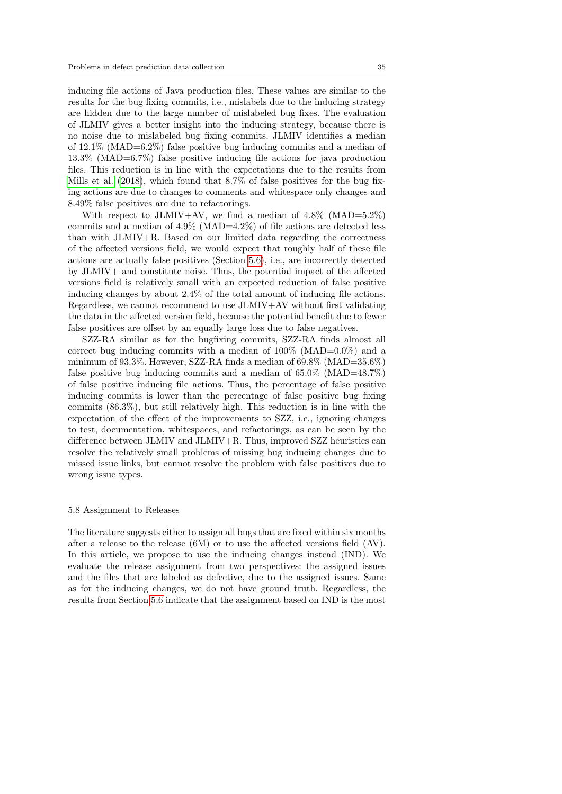inducing file actions of Java production files. These values are similar to the results for the bug fixing commits, i.e., mislabels due to the inducing strategy are hidden due to the large number of mislabeled bug fixes. The evaluation of JLMIV gives a better insight into the inducing strategy, because there is no noise due to mislabeled bug fixing commits. JLMIV identifies a median of  $12.1\%$  (MAD=6.2%) false positive bug inducing commits and a median of 13.3% (MAD=6.7%) false positive inducing file actions for java production files. This reduction is in line with the expectations due to the results from [Mills et al.](#page-50-3) [\(2018\)](#page-50-3), which found that 8.7% of false positives for the bug fixing actions are due to changes to comments and whitespace only changes and 8.49% false positives are due to refactorings.

With respect to JLMIV+AV, we find a median of  $4.8\%$  (MAD=5.2%) commits and a median of  $4.9\%$  (MAD= $4.2\%$ ) of file actions are detected less than with JLMIV+R. Based on our limited data regarding the correctness of the affected versions field, we would expect that roughly half of these file actions are actually false positives (Section [5.6\)](#page-28-0), i.e., are incorrectly detected by JLMIV+ and constitute noise. Thus, the potential impact of the affected versions field is relatively small with an expected reduction of false positive inducing changes by about 2.4% of the total amount of inducing file actions. Regardless, we cannot recommend to use JLMIV+AV without first validating the data in the affected version field, because the potential benefit due to fewer false positives are offset by an equally large loss due to false negatives.

SZZ-RA similar as for the bugfixing commits, SZZ-RA finds almost all correct bug inducing commits with a median of  $100\%$  (MAD= $0.0\%$ ) and a minimum of 93.3%. However, SZZ-RA finds a median of 69.8% (MAD=35.6%) false positive bug inducing commits and a median of  $65.0\%$  (MAD=48.7%) of false positive inducing file actions. Thus, the percentage of false positive inducing commits is lower than the percentage of false positive bug fixing commits (86.3%), but still relatively high. This reduction is in line with the expectation of the effect of the improvements to SZZ, i.e., ignoring changes to test, documentation, whitespaces, and refactorings, as can be seen by the difference between JLMIV and JLMIV+R. Thus, improved SZZ heuristics can resolve the relatively small problems of missing bug inducing changes due to missed issue links, but cannot resolve the problem with false positives due to wrong issue types.

## <span id="page-34-0"></span>5.8 Assignment to Releases

The literature suggests either to assign all bugs that are fixed within six months after a release to the release (6M) or to use the affected versions field (AV). In this article, we propose to use the inducing changes instead (IND). We evaluate the release assignment from two perspectives: the assigned issues and the files that are labeled as defective, due to the assigned issues. Same as for the inducing changes, we do not have ground truth. Regardless, the results from Section [5.6](#page-28-0) indicate that the assignment based on IND is the most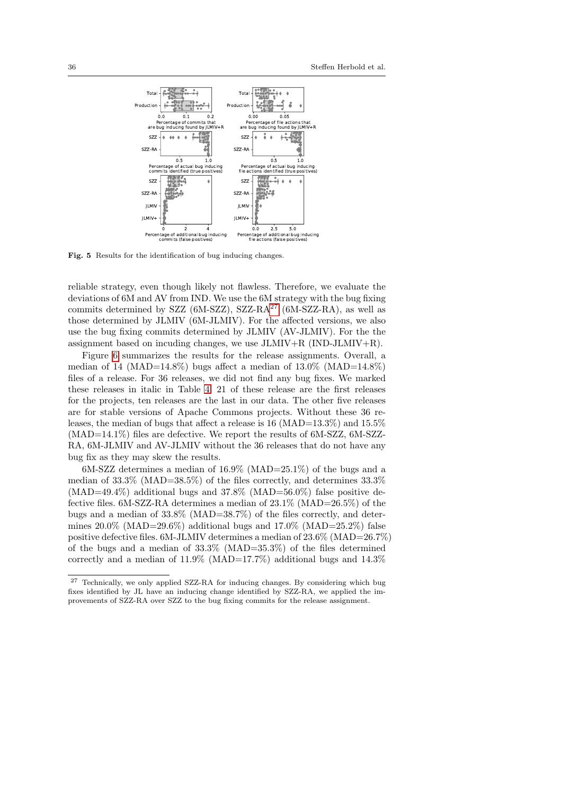

<span id="page-35-0"></span>Fig. 5 Results for the identification of bug inducing changes.

reliable strategy, even though likely not flawless. Therefore, we evaluate the deviations of 6M and AV from IND. We use the 6M strategy with the bug fixing commits determined by SZZ  $(6M-SZZ)$ , SZZ-RA<sup>[27](#page-35-1)</sup>  $(6M-SZZ-RA)$ , as well as those determined by JLMIV (6M-JLMIV). For the affected versions, we also use the bug fixing commits determined by JLMIV (AV-JLMIV). For the the assignment based on incuding changes, we use  $JLMIV+R$  ( $IND-JLMIV+R$ ).

Figure [6](#page-36-0) summarizes the results for the release assignments. Overall, a median of 14 (MAD=14.8%) bugs affect a median of  $13.0\%$  (MAD=14.8%) files of a release. For 36 releases, we did not find any bug fixes. We marked these releases in italic in Table [4.](#page-22-0) 21 of these release are the first releases for the projects, ten releases are the last in our data. The other five releases are for stable versions of Apache Commons projects. Without these 36 releases, the median of bugs that affect a release is 16 (MAD= $13.3\%$ ) and 15.5% (MAD=14.1%) files are defective. We report the results of 6M-SZZ, 6M-SZZ-RA, 6M-JLMIV and AV-JLMIV without the 36 releases that do not have any bug fix as they may skew the results.

6M-SZZ determines a median of 16.9% (MAD=25.1%) of the bugs and a median of 33.3% (MAD=38.5%) of the files correctly, and determines 33.3%  $(MAD=49.4\%)$  additional bugs and 37.8%  $(MAD=56.0\%)$  false positive defective files. 6M-SZZ-RA determines a median of 23.1% (MAD=26.5%) of the bugs and a median of 33.8% (MAD=38.7%) of the files correctly, and determines  $20.0\%$  (MAD= $29.6\%$ ) additional bugs and  $17.0\%$  (MAD= $25.2\%$ ) false positive defective files. 6M-JLMIV determines a median of 23.6% (MAD=26.7%) of the bugs and a median of  $33.3\%$  (MAD= $35.3\%$ ) of the files determined correctly and a median of  $11.9\%$  (MAD=17.7%) additional bugs and  $14.3\%$ 

<span id="page-35-1"></span><sup>27</sup> Technically, we only applied SZZ-RA for inducing changes. By considering which bug fixes identified by JL have an inducing change identified by SZZ-RA, we applied the improvements of SZZ-RA over SZZ to the bug fixing commits for the release assignment.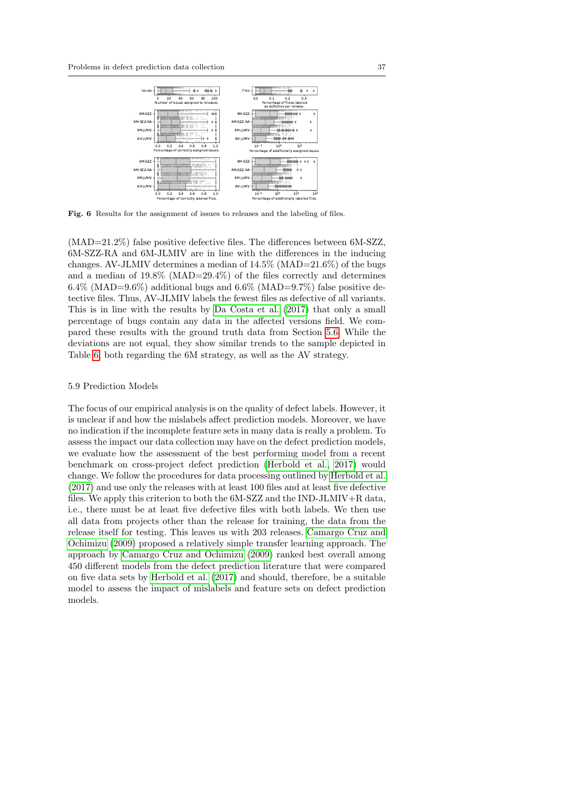

<span id="page-36-0"></span>Fig. 6 Results for the assignment of issues to releases and the labeling of files.

(MAD=21.2%) false positive defective files. The differences between 6M-SZZ, 6M-SZZ-RA and 6M-JLMIV are in line with the differences in the inducing changes. AV-JLMIV determines a median of 14.5% (MAD=21.6%) of the bugs and a median of 19.8% (MAD=29.4%) of the files correctly and determines  $6.4\%$  (MAD= $9.6\%$ ) additional bugs and  $6.6\%$  (MAD= $9.7\%$ ) false positive detective files. Thus, AV-JLMIV labels the fewest files as defective of all variants. This is in line with the results by [Da Costa et al.](#page-48-0) [\(2017\)](#page-48-0) that only a small percentage of bugs contain any data in the affected versions field. We compared these results with the ground truth data from Section [5.6.](#page-28-0) While the deviations are not equal, they show similar trends to the sample depicted in Table [6,](#page-32-0) both regarding the 6M strategy, as well as the AV strategy.

#### <span id="page-36-1"></span>5.9 Prediction Models

The focus of our empirical analysis is on the quality of defect labels. However, it is unclear if and how the mislabels affect prediction models. Moreover, we have no indication if the incomplete feature sets in many data is really a problem. To assess the impact our data collection may have on the defect prediction models, we evaluate how the assessment of the best performing model from a recent benchmark on cross-project defect prediction [\(Herbold et al., 2017\)](#page-49-11) would change. We follow the procedures for data processing outlined by [Herbold et al.](#page-49-11) [\(2017\)](#page-49-11) and use only the releases with at least 100 files and at least five defective files. We apply this criterion to both the 6M-SZZ and the IND-JLMIV+R data, i.e., there must be at least five defective files with both labels. We then use all data from projects other than the release for training, the data from the release itself for testing. This leaves us with 203 releases. [Camargo Cruz and](#page-47-7) [Ochimizu](#page-47-7) [\(2009\)](#page-47-7) proposed a relatively simple transfer learning approach. The approach by [Camargo Cruz and Ochimizu](#page-47-7) [\(2009\)](#page-47-7) ranked best overall among 450 different models from the defect prediction literature that were compared on five data sets by [Herbold et al.](#page-49-11) [\(2017\)](#page-49-11) and should, therefore, be a suitable model to assess the impact of mislabels and feature sets on defect prediction models.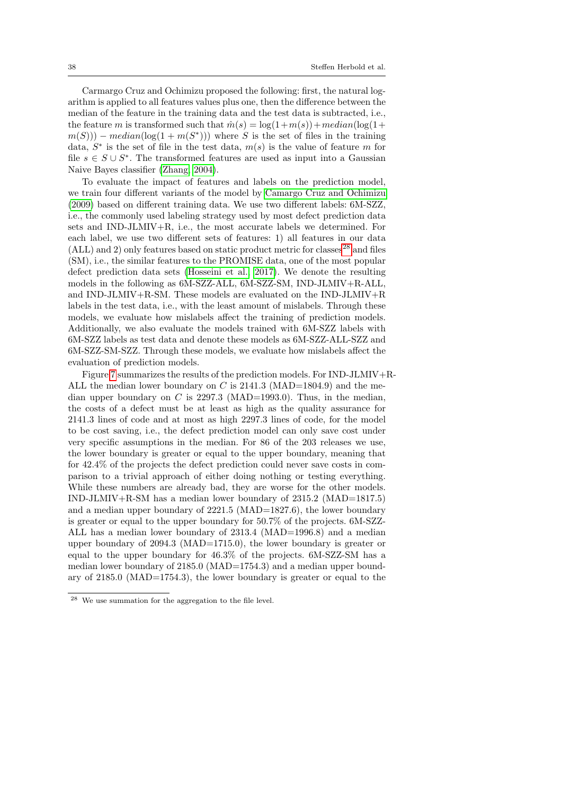Carmargo Cruz and Ochimizu proposed the following: first, the natural logarithm is applied to all features values plus one, then the difference between the median of the feature in the training data and the test data is subtracted, i.e., the feature m is transformed such that  $\hat{m}(s) = \log(1+m(s)) + \text{median}(\log(1+t))$  $m(S))$  – median(log(1 + m(S<sup>\*</sup>))) where S is the set of files in the training data,  $S^*$  is the set of file in the test data,  $m(s)$  is the value of feature m for file  $s \in S \cup S^*$ . The transformed features are used as input into a Gaussian Naive Bayes classifier [\(Zhang, 2004\)](#page-54-4).

To evaluate the impact of features and labels on the prediction model, we train four different variants of the model by [Camargo Cruz and Ochimizu](#page-47-7) [\(2009\)](#page-47-7) based on different training data. We use two different labels: 6M-SZZ, i.e., the commonly used labeling strategy used by most defect prediction data sets and IND-JLMIV+R, i.e., the most accurate labels we determined. For each label, we use two different sets of features: 1) all features in our data  $(ALL)$  and 2) only features based on static product metric for classes<sup>[28](#page-37-0)</sup> and files (SM), i.e., the similar features to the PROMISE data, one of the most popular defect prediction data sets [\(Hosseini et al., 2017\)](#page-49-2). We denote the resulting models in the following as 6M-SZZ-ALL, 6M-SZZ-SM, IND-JLMIV+R-ALL, and IND-JLMIV+R-SM. These models are evaluated on the IND-JLMIV+R labels in the test data, i.e., with the least amount of mislabels. Through these models, we evaluate how mislabels affect the training of prediction models. Additionally, we also evaluate the models trained with 6M-SZZ labels with 6M-SZZ labels as test data and denote these models as 6M-SZZ-ALL-SZZ and 6M-SZZ-SM-SZZ. Through these models, we evaluate how mislabels affect the evaluation of prediction models.

Figure [7](#page-38-0) summarizes the results of the prediction models. For IND-JLMIV+R-ALL the median lower boundary on C is  $2141.3$  (MAD=1804.9) and the median upper boundary on  $C$  is 2297.3 (MAD=1993.0). Thus, in the median, the costs of a defect must be at least as high as the quality assurance for 2141.3 lines of code and at most as high 2297.3 lines of code, for the model to be cost saving, i.e., the defect prediction model can only save cost under very specific assumptions in the median. For 86 of the 203 releases we use, the lower boundary is greater or equal to the upper boundary, meaning that for 42.4% of the projects the defect prediction could never save costs in comparison to a trivial approach of either doing nothing or testing everything. While these numbers are already bad, they are worse for the other models. IND-JLMIV+R-SM has a median lower boundary of 2315.2 (MAD=1817.5) and a median upper boundary of 2221.5 (MAD=1827.6), the lower boundary is greater or equal to the upper boundary for 50.7% of the projects. 6M-SZZ-ALL has a median lower boundary of 2313.4 (MAD=1996.8) and a median upper boundary of 2094.3 (MAD=1715.0), the lower boundary is greater or equal to the upper boundary for 46.3% of the projects. 6M-SZZ-SM has a median lower boundary of 2185.0 (MAD=1754.3) and a median upper boundary of 2185.0 (MAD=1754.3), the lower boundary is greater or equal to the

<span id="page-37-0"></span><sup>28</sup> We use summation for the aggregation to the file level.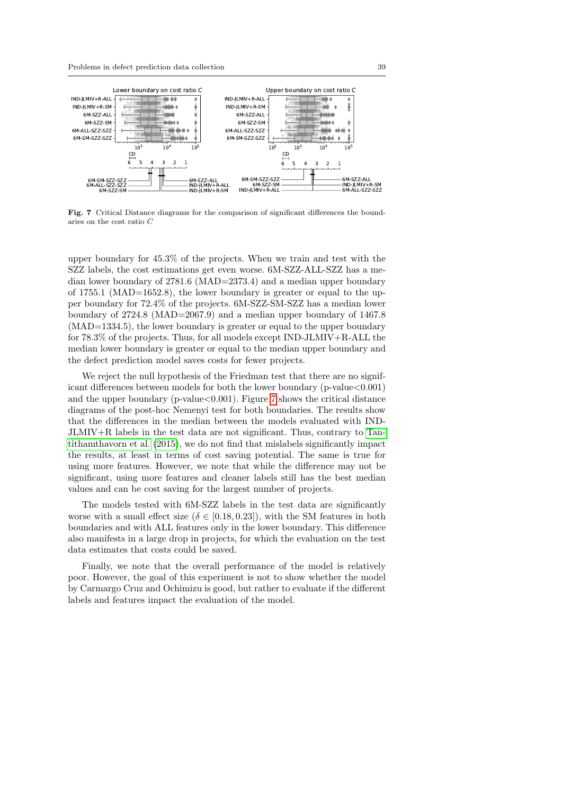

<span id="page-38-0"></span>Fig. 7 Critical Distance diagrams for the comparison of significant differences the boundaries on the cost ratio C

upper boundary for 45.3% of the projects. When we train and test with the SZZ labels, the cost estimations get even worse. 6M-SZZ-ALL-SZZ has a median lower boundary of 2781.6 (MAD=2373.4) and a median upper boundary of 1755.1 (MAD=1652.8), the lower boundary is greater or equal to the upper boundary for 72.4% of the projects. 6M-SZZ-SM-SZZ has a median lower boundary of 2724.8 (MAD=2067.9) and a median upper boundary of 1467.8 (MAD=1334.5), the lower boundary is greater or equal to the upper boundary for 78.3% of the projects. Thus, for all models except IND-JLMIV+R-ALL the median lower boundary is greater or equal to the median upper boundary and the defect prediction model saves costs for fewer projects.

We reject the null hypothesis of the Friedman test that there are no significant differences between models for both the lower boundary ( $p$ -value $<0.001$ ) and the upper boundary (p-value  $< 0.001$ ). Figure [7](#page-38-0) shows the critical distance diagrams of the post-hoc Nemenyi test for both boundaries. The results show that the differences in the median between the models evaluated with IND-JLMIV+R labels in the test data are not significant. Thus, contrary to [Tan](#page-52-2)[tithamthavorn et al.](#page-52-2) [\(2015\)](#page-52-2), we do not find that mislabels significantly impact the results, at least in terms of cost saving potential. The same is true for using more features. However, we note that while the difference may not be significant, using more features and cleaner labels still has the best median values and can be cost saving for the largest number of projects.

The models tested with 6M-SZZ labels in the test data are significantly worse with a small effect size  $(\delta \in [0.18, 0.23])$ , with the SM features in both boundaries and with ALL features only in the lower boundary. This difference also manifests in a large drop in projects, for which the evaluation on the test data estimates that costs could be saved.

Finally, we note that the overall performance of the model is relatively poor. However, the goal of this experiment is not to show whether the model by Carmargo Cruz and Ochimizu is good, but rather to evaluate if the different labels and features impact the evaluation of the model.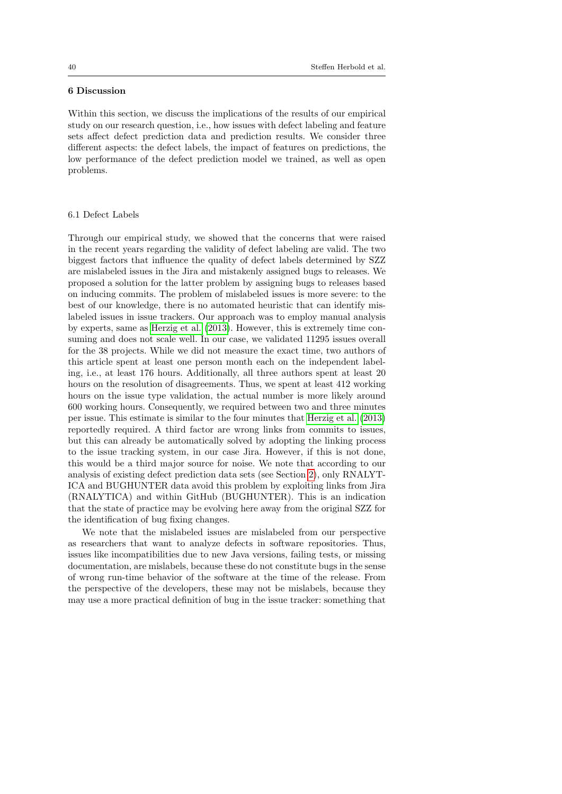## <span id="page-39-0"></span>6 Discussion

Within this section, we discuss the implications of the results of our empirical study on our research question, i.e., how issues with defect labeling and feature sets affect defect prediction data and prediction results. We consider three different aspects: the defect labels, the impact of features on predictions, the low performance of the defect prediction model we trained, as well as open problems.

## 6.1 Defect Labels

Through our empirical study, we showed that the concerns that were raised in the recent years regarding the validity of defect labeling are valid. The two biggest factors that influence the quality of defect labels determined by SZZ are mislabeled issues in the Jira and mistakenly assigned bugs to releases. We proposed a solution for the latter problem by assigning bugs to releases based on inducing commits. The problem of mislabeled issues is more severe: to the best of our knowledge, there is no automated heuristic that can identify mislabeled issues in issue trackers. Our approach was to employ manual analysis by experts, same as [Herzig et al.](#page-49-3) [\(2013\)](#page-49-3). However, this is extremely time consuming and does not scale well. In our case, we validated 11295 issues overall for the 38 projects. While we did not measure the exact time, two authors of this article spent at least one person month each on the independent labeling, i.e., at least 176 hours. Additionally, all three authors spent at least 20 hours on the resolution of disagreements. Thus, we spent at least 412 working hours on the issue type validation, the actual number is more likely around 600 working hours. Consequently, we required between two and three minutes per issue. This estimate is similar to the four minutes that [Herzig et al.](#page-49-3) [\(2013\)](#page-49-3) reportedly required. A third factor are wrong links from commits to issues, but this can already be automatically solved by adopting the linking process to the issue tracking system, in our case Jira. However, if this is not done, this would be a third major source for noise. We note that according to our analysis of existing defect prediction data sets (see Section [2\)](#page-3-0), only RNALYT-ICA and BUGHUNTER data avoid this problem by exploiting links from Jira (RNALYTICA) and within GitHub (BUGHUNTER). This is an indication that the state of practice may be evolving here away from the original SZZ for the identification of bug fixing changes.

We note that the mislabeled issues are mislabeled from our perspective as researchers that want to analyze defects in software repositories. Thus, issues like incompatibilities due to new Java versions, failing tests, or missing documentation, are mislabels, because these do not constitute bugs in the sense of wrong run-time behavior of the software at the time of the release. From the perspective of the developers, these may not be mislabels, because they may use a more practical definition of bug in the issue tracker: something that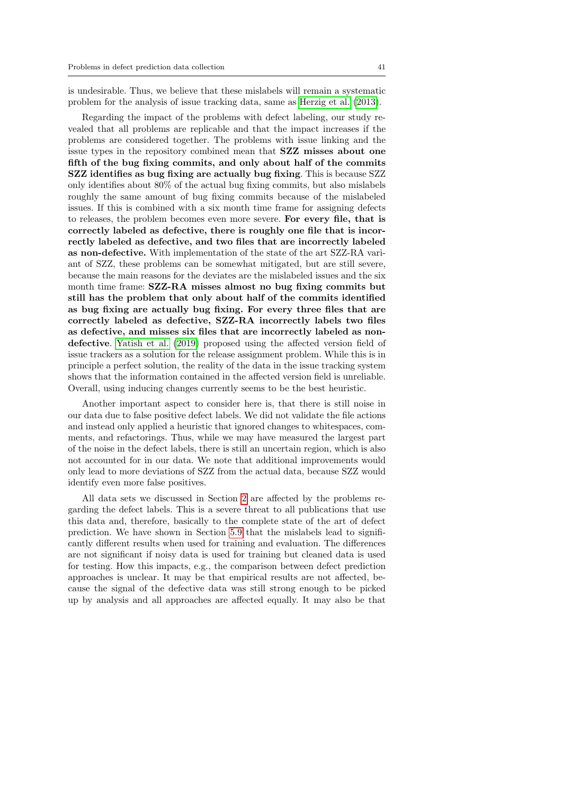is undesirable. Thus, we believe that these mislabels will remain a systematic problem for the analysis of issue tracking data, same as [Herzig et al.](#page-49-3) [\(2013\)](#page-49-3).

Regarding the impact of the problems with defect labeling, our study revealed that all problems are replicable and that the impact increases if the problems are considered together. The problems with issue linking and the issue types in the repository combined mean that SZZ misses about one fifth of the bug fixing commits, and only about half of the commits SZZ identifies as bug fixing are actually bug fixing. This is because SZZ only identifies about 80% of the actual bug fixing commits, but also mislabels roughly the same amount of bug fixing commits because of the mislabeled issues. If this is combined with a six month time frame for assigning defects to releases, the problem becomes even more severe. For every file, that is correctly labeled as defective, there is roughly one file that is incorrectly labeled as defective, and two files that are incorrectly labeled as non-defective. With implementation of the state of the art SZZ-RA variant of SZZ, these problems can be somewhat mitigated, but are still severe, because the main reasons for the deviates are the mislabeled issues and the six month time frame: SZZ-RA misses almost no bug fixing commits but still has the problem that only about half of the commits identified as bug fixing are actually bug fixing. For every three files that are correctly labeled as defective, SZZ-RA incorrectly labels two files as defective, and misses six files that are incorrectly labeled as nondefective. [Yatish et al.](#page-54-0) [\(2019\)](#page-54-0) proposed using the affected version field of issue trackers as a solution for the release assignment problem. While this is in principle a perfect solution, the reality of the data in the issue tracking system shows that the information contained in the affected version field is unreliable. Overall, using inducing changes currently seems to be the best heuristic.

Another important aspect to consider here is, that there is still noise in our data due to false positive defect labels. We did not validate the file actions and instead only applied a heuristic that ignored changes to whitespaces, comments, and refactorings. Thus, while we may have measured the largest part of the noise in the defect labels, there is still an uncertain region, which is also not accounted for in our data. We note that additional improvements would only lead to more deviations of SZZ from the actual data, because SZZ would identify even more false positives.

All data sets we discussed in Section [2](#page-3-0) are affected by the problems regarding the defect labels. This is a severe threat to all publications that use this data and, therefore, basically to the complete state of the art of defect prediction. We have shown in Section [5.9](#page-36-1) that the mislabels lead to significantly different results when used for training and evaluation. The differences are not significant if noisy data is used for training but cleaned data is used for testing. How this impacts, e.g., the comparison between defect prediction approaches is unclear. It may be that empirical results are not affected, because the signal of the defective data was still strong enough to be picked up by analysis and all approaches are affected equally. It may also be that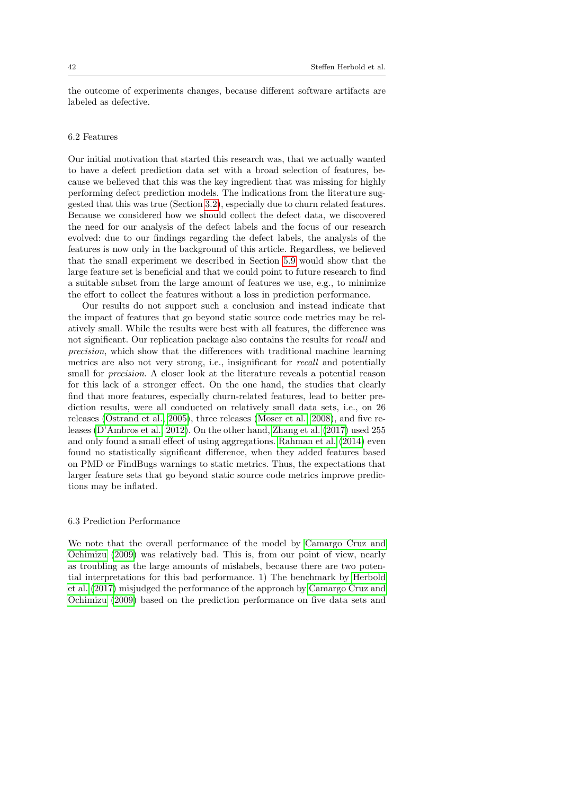the outcome of experiments changes, because different software artifacts are labeled as defective.

#### 6.2 Features

Our initial motivation that started this research was, that we actually wanted to have a defect prediction data set with a broad selection of features, because we believed that this was the key ingredient that was missing for highly performing defect prediction models. The indications from the literature suggested that this was true (Section [3.2\)](#page-12-0), especially due to churn related features. Because we considered how we should collect the defect data, we discovered the need for our analysis of the defect labels and the focus of our research evolved: due to our findings regarding the defect labels, the analysis of the features is now only in the background of this article. Regardless, we believed that the small experiment we described in Section [5.9](#page-36-1) would show that the large feature set is beneficial and that we could point to future research to find a suitable subset from the large amount of features we use, e.g., to minimize the effort to collect the features without a loss in prediction performance.

Our results do not support such a conclusion and instead indicate that the impact of features that go beyond static source code metrics may be relatively small. While the results were best with all features, the difference was not significant. Our replication package also contains the results for recall and precision, which show that the differences with traditional machine learning metrics are also not very strong, i.e., insignificant for recall and potentially small for precision. A closer look at the literature reveals a potential reason for this lack of a stronger effect. On the one hand, the studies that clearly find that more features, especially churn-related features, lead to better prediction results, were all conducted on relatively small data sets, i.e., on 26 releases [\(Ostrand et al., 2005\)](#page-51-5), three releases [\(Moser et al., 2008\)](#page-50-5), and five releases [\(D'Ambros et al., 2012\)](#page-48-1). On the other hand, [Zhang et al.](#page-54-1) [\(2017\)](#page-54-1) used 255 and only found a small effect of using aggregations. [Rahman et al.](#page-51-7) [\(2014\)](#page-51-7) even found no statistically significant difference, when they added features based on PMD or FindBugs warnings to static metrics. Thus, the expectations that larger feature sets that go beyond static source code metrics improve predictions may be inflated.

#### 6.3 Prediction Performance

We note that the overall performance of the model by [Camargo Cruz and](#page-47-7) [Ochimizu](#page-47-7) [\(2009\)](#page-47-7) was relatively bad. This is, from our point of view, nearly as troubling as the large amounts of mislabels, because there are two potential interpretations for this bad performance. 1) The benchmark by [Herbold](#page-49-11) [et al.](#page-49-11) [\(2017\)](#page-49-11) misjudged the performance of the approach by [Camargo Cruz and](#page-47-7) [Ochimizu](#page-47-7) [\(2009\)](#page-47-7) based on the prediction performance on five data sets and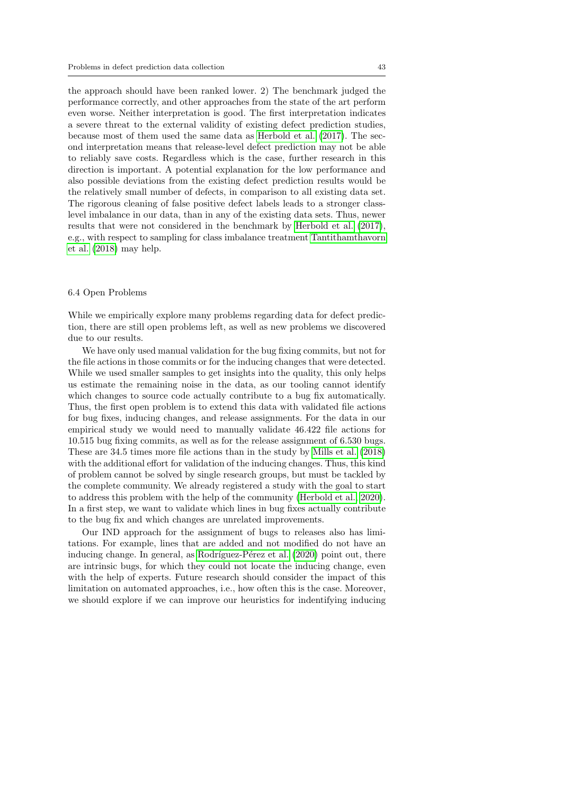the approach should have been ranked lower. 2) The benchmark judged the performance correctly, and other approaches from the state of the art perform even worse. Neither interpretation is good. The first interpretation indicates a severe threat to the external validity of existing defect prediction studies, because most of them used the same data as [Herbold et al.](#page-49-11) [\(2017\)](#page-49-11). The second interpretation means that release-level defect prediction may not be able to reliably save costs. Regardless which is the case, further research in this direction is important. A potential explanation for the low performance and also possible deviations from the existing defect prediction results would be the relatively small number of defects, in comparison to all existing data set. The rigorous cleaning of false positive defect labels leads to a stronger classlevel imbalance in our data, than in any of the existing data sets. Thus, newer results that were not considered in the benchmark by [Herbold et al.](#page-49-11) [\(2017\)](#page-49-11), e.g., with respect to sampling for class imbalance treatment [Tantithamthavorn](#page-52-9) [et al.](#page-52-9) [\(2018\)](#page-52-9) may help.

## <span id="page-42-0"></span>6.4 Open Problems

While we empirically explore many problems regarding data for defect prediction, there are still open problems left, as well as new problems we discovered due to our results.

We have only used manual validation for the bug fixing commits, but not for the file actions in those commits or for the inducing changes that were detected. While we used smaller samples to get insights into the quality, this only helps us estimate the remaining noise in the data, as our tooling cannot identify which changes to source code actually contribute to a bug fix automatically. Thus, the first open problem is to extend this data with validated file actions for bug fixes, inducing changes, and release assignments. For the data in our empirical study we would need to manually validate 46.422 file actions for 10.515 bug fixing commits, as well as for the release assignment of 6.530 bugs. These are 34.5 times more file actions than in the study by [Mills et al.](#page-50-3) [\(2018\)](#page-50-3) with the additional effort for validation of the inducing changes. Thus, this kind of problem cannot be solved by single research groups, but must be tackled by the complete community. We already registered a study with the goal to start to address this problem with the help of the community [\(Herbold et al., 2020\)](#page-49-12). In a first step, we want to validate which lines in bug fixes actually contribute to the bug fix and which changes are unrelated improvements.

Our IND approach for the assignment of bugs to releases also has limitations. For example, lines that are added and not modified do not have an inducing change. In general, as Rodríguez-Pérez et al.  $(2020)$  point out, there are intrinsic bugs, for which they could not locate the inducing change, even with the help of experts. Future research should consider the impact of this limitation on automated approaches, i.e., how often this is the case. Moreover, we should explore if we can improve our heuristics for indentifying inducing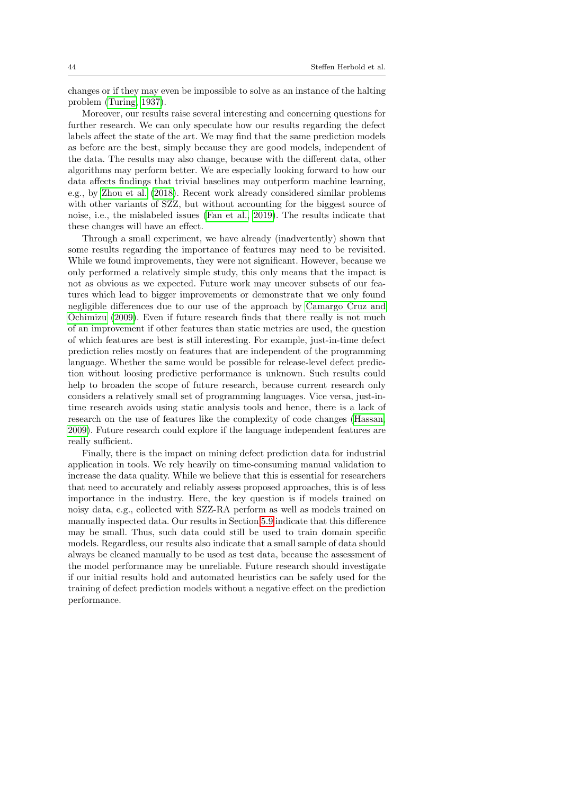changes or if they may even be impossible to solve as an instance of the halting problem [\(Turing, 1937\)](#page-53-8).

Moreover, our results raise several interesting and concerning questions for further research. We can only speculate how our results regarding the defect labels affect the state of the art. We may find that the same prediction models as before are the best, simply because they are good models, independent of the data. The results may also change, because with the different data, other algorithms may perform better. We are especially looking forward to how our data affects findings that trivial baselines may outperform machine learning, e.g., by [Zhou et al.](#page-54-5) [\(2018\)](#page-54-5). Recent work already considered similar problems with other variants of SZZ, but without accounting for the biggest source of noise, i.e., the mislabeled issues [\(Fan et al., 2019\)](#page-48-11). The results indicate that these changes will have an effect.

Through a small experiment, we have already (inadvertently) shown that some results regarding the importance of features may need to be revisited. While we found improvements, they were not significant. However, because we only performed a relatively simple study, this only means that the impact is not as obvious as we expected. Future work may uncover subsets of our features which lead to bigger improvements or demonstrate that we only found negligible differences due to our use of the approach by [Camargo Cruz and](#page-47-7) [Ochimizu](#page-47-7) [\(2009\)](#page-47-7). Even if future research finds that there really is not much of an improvement if other features than static metrics are used, the question of which features are best is still interesting. For example, just-in-time defect prediction relies mostly on features that are independent of the programming language. Whether the same would be possible for release-level defect prediction without loosing predictive performance is unknown. Such results could help to broaden the scope of future research, because current research only considers a relatively small set of programming languages. Vice versa, just-intime research avoids using static analysis tools and hence, there is a lack of research on the use of features like the complexity of code changes [\(Hassan,](#page-49-4) [2009\)](#page-49-4). Future research could explore if the language independent features are really sufficient.

Finally, there is the impact on mining defect prediction data for industrial application in tools. We rely heavily on time-consuming manual validation to increase the data quality. While we believe that this is essential for researchers that need to accurately and reliably assess proposed approaches, this is of less importance in the industry. Here, the key question is if models trained on noisy data, e.g., collected with SZZ-RA perform as well as models trained on manually inspected data. Our results in Section [5.9](#page-36-1) indicate that this difference may be small. Thus, such data could still be used to train domain specific models. Regardless, our results also indicate that a small sample of data should always be cleaned manually to be used as test data, because the assessment of the model performance may be unreliable. Future research should investigate if our initial results hold and automated heuristics can be safely used for the training of defect prediction models without a negative effect on the prediction performance.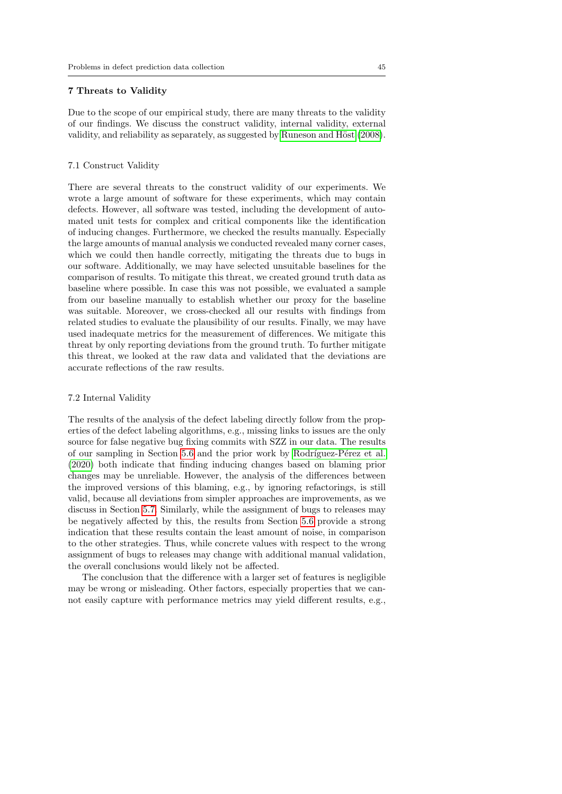## <span id="page-44-0"></span>7 Threats to Validity

Due to the scope of our empirical study, there are many threats to the validity of our findings. We discuss the construct validity, internal validity, external validity, and reliability as separately, as suggested by Runeson and Höst [\(2008\)](#page-52-10).

## 7.1 Construct Validity

There are several threats to the construct validity of our experiments. We wrote a large amount of software for these experiments, which may contain defects. However, all software was tested, including the development of automated unit tests for complex and critical components like the identification of inducing changes. Furthermore, we checked the results manually. Especially the large amounts of manual analysis we conducted revealed many corner cases, which we could then handle correctly, mitigating the threats due to bugs in our software. Additionally, we may have selected unsuitable baselines for the comparison of results. To mitigate this threat, we created ground truth data as baseline where possible. In case this was not possible, we evaluated a sample from our baseline manually to establish whether our proxy for the baseline was suitable. Moreover, we cross-checked all our results with findings from related studies to evaluate the plausibility of our results. Finally, we may have used inadequate metrics for the measurement of differences. We mitigate this threat by only reporting deviations from the ground truth. To further mitigate this threat, we looked at the raw data and validated that the deviations are accurate reflections of the raw results.

## 7.2 Internal Validity

The results of the analysis of the defect labeling directly follow from the properties of the defect labeling algorithms, e.g., missing links to issues are the only source for false negative bug fixing commits with SZZ in our data. The results of our sampling in Section [5.6](#page-28-0) and the prior work by Rodríguez-Pérez et al. [\(2020\)](#page-51-2) both indicate that finding inducing changes based on blaming prior changes may be unreliable. However, the analysis of the differences between the improved versions of this blaming, e.g., by ignoring refactorings, is still valid, because all deviations from simpler approaches are improvements, as we discuss in Section [5.7.](#page-33-0) Similarly, while the assignment of bugs to releases may be negatively affected by this, the results from Section [5.6](#page-28-0) provide a strong indication that these results contain the least amount of noise, in comparison to the other strategies. Thus, while concrete values with respect to the wrong assignment of bugs to releases may change with additional manual validation, the overall conclusions would likely not be affected.

The conclusion that the difference with a larger set of features is negligible may be wrong or misleading. Other factors, especially properties that we cannot easily capture with performance metrics may yield different results, e.g.,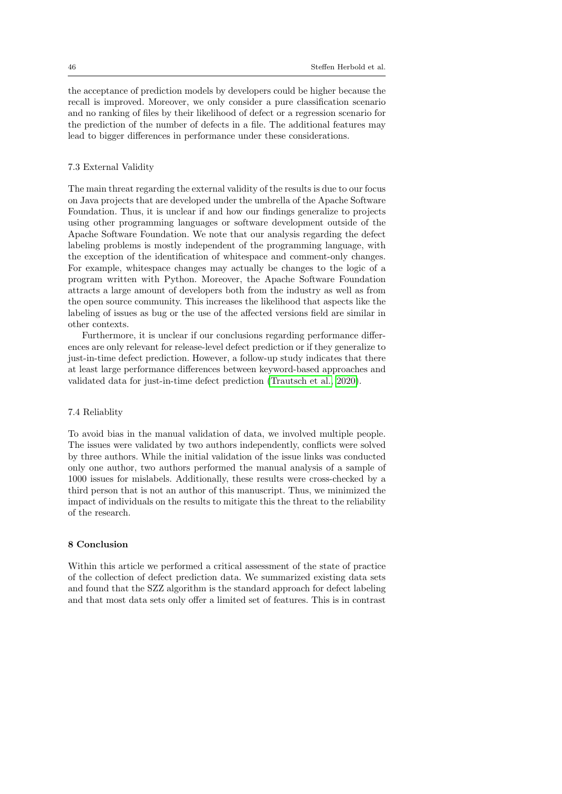the acceptance of prediction models by developers could be higher because the recall is improved. Moreover, we only consider a pure classification scenario and no ranking of files by their likelihood of defect or a regression scenario for the prediction of the number of defects in a file. The additional features may lead to bigger differences in performance under these considerations.

## 7.3 External Validity

The main threat regarding the external validity of the results is due to our focus on Java projects that are developed under the umbrella of the Apache Software Foundation. Thus, it is unclear if and how our findings generalize to projects using other programming languages or software development outside of the Apache Software Foundation. We note that our analysis regarding the defect labeling problems is mostly independent of the programming language, with the exception of the identification of whitespace and comment-only changes. For example, whitespace changes may actually be changes to the logic of a program written with Python. Moreover, the Apache Software Foundation attracts a large amount of developers both from the industry as well as from the open source community. This increases the likelihood that aspects like the labeling of issues as bug or the use of the affected versions field are similar in other contexts.

Furthermore, it is unclear if our conclusions regarding performance differences are only relevant for release-level defect prediction or if they generalize to just-in-time defect prediction. However, a follow-up study indicates that there at least large performance differences between keyword-based approaches and validated data for just-in-time defect prediction [\(Trautsch et al., 2020\)](#page-53-9).

#### 7.4 Reliablity

To avoid bias in the manual validation of data, we involved multiple people. The issues were validated by two authors independently, conflicts were solved by three authors. While the initial validation of the issue links was conducted only one author, two authors performed the manual analysis of a sample of 1000 issues for mislabels. Additionally, these results were cross-checked by a third person that is not an author of this manuscript. Thus, we minimized the impact of individuals on the results to mitigate this the threat to the reliability of the research.

## <span id="page-45-0"></span>8 Conclusion

Within this article we performed a critical assessment of the state of practice of the collection of defect prediction data. We summarized existing data sets and found that the SZZ algorithm is the standard approach for defect labeling and that most data sets only offer a limited set of features. This is in contrast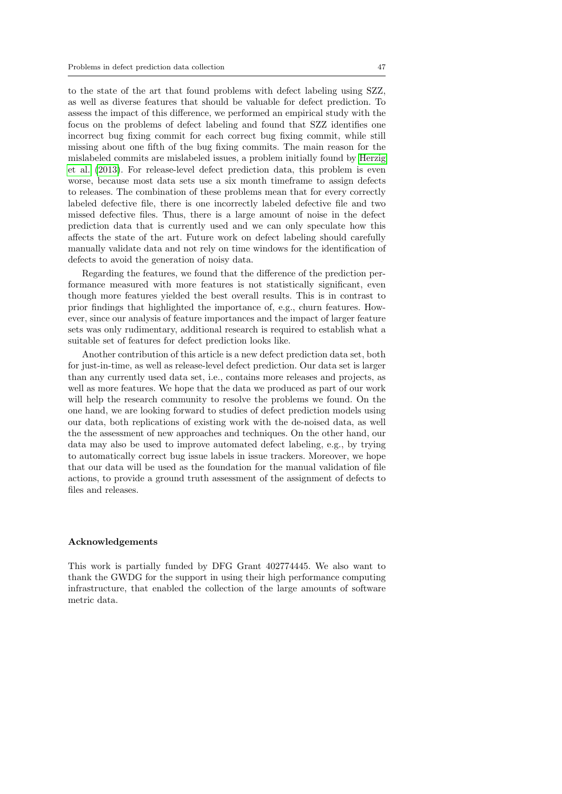to the state of the art that found problems with defect labeling using SZZ, as well as diverse features that should be valuable for defect prediction. To assess the impact of this difference, we performed an empirical study with the focus on the problems of defect labeling and found that SZZ identifies one incorrect bug fixing commit for each correct bug fixing commit, while still missing about one fifth of the bug fixing commits. The main reason for the mislabeled commits are mislabeled issues, a problem initially found by [Herzig](#page-49-3) [et al.](#page-49-3) [\(2013\)](#page-49-3). For release-level defect prediction data, this problem is even worse, because most data sets use a six month timeframe to assign defects to releases. The combination of these problems mean that for every correctly labeled defective file, there is one incorrectly labeled defective file and two missed defective files. Thus, there is a large amount of noise in the defect prediction data that is currently used and we can only speculate how this affects the state of the art. Future work on defect labeling should carefully manually validate data and not rely on time windows for the identification of defects to avoid the generation of noisy data.

Regarding the features, we found that the difference of the prediction performance measured with more features is not statistically significant, even though more features yielded the best overall results. This is in contrast to prior findings that highlighted the importance of, e.g., churn features. However, since our analysis of feature importances and the impact of larger feature sets was only rudimentary, additional research is required to establish what a suitable set of features for defect prediction looks like.

Another contribution of this article is a new defect prediction data set, both for just-in-time, as well as release-level defect prediction. Our data set is larger than any currently used data set, i.e., contains more releases and projects, as well as more features. We hope that the data we produced as part of our work will help the research community to resolve the problems we found. On the one hand, we are looking forward to studies of defect prediction models using our data, both replications of existing work with the de-noised data, as well the the assessment of new approaches and techniques. On the other hand, our data may also be used to improve automated defect labeling, e.g., by trying to automatically correct bug issue labels in issue trackers. Moreover, we hope that our data will be used as the foundation for the manual validation of file actions, to provide a ground truth assessment of the assignment of defects to files and releases.

## Acknowledgements

This work is partially funded by DFG Grant 402774445. We also want to thank the GWDG for the support in using their high performance computing infrastructure, that enabled the collection of the large amounts of software metric data.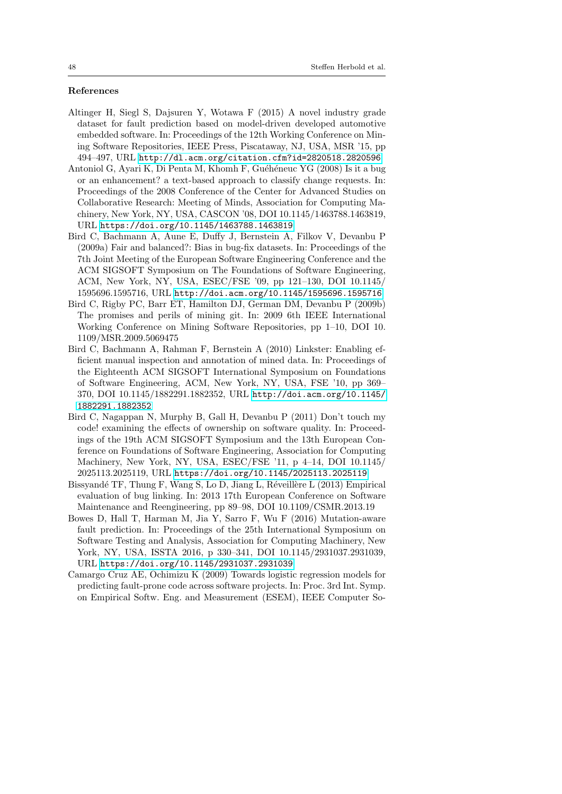#### References

- <span id="page-47-1"></span>Altinger H, Siegl S, Dajsuren Y, Wotawa F (2015) A novel industry grade dataset for fault prediction based on model-driven developed automotive embedded software. In: Proceedings of the 12th Working Conference on Mining Software Repositories, IEEE Press, Piscataway, NJ, USA, MSR '15, pp 494–497, URL <http://dl.acm.org/citation.cfm?id=2820518.2820596>
- <span id="page-47-3"></span>Antoniol G, Ayari K, Di Penta M, Khomh F, Guéhéneuc YG (2008) Is it a bug or an enhancement? a text-based approach to classify change requests. In: Proceedings of the 2008 Conference of the Center for Advanced Studies on Collaborative Research: Meeting of Minds, Association for Computing Machinery, New York, NY, USA, CASCON '08, DOI 10.1145/1463788.1463819, URL <https://doi.org/10.1145/1463788.1463819>
- <span id="page-47-2"></span>Bird C, Bachmann A, Aune E, Duffy J, Bernstein A, Filkov V, Devanbu P (2009a) Fair and balanced?: Bias in bug-fix datasets. In: Proceedings of the 7th Joint Meeting of the European Software Engineering Conference and the ACM SIGSOFT Symposium on The Foundations of Software Engineering, ACM, New York, NY, USA, ESEC/FSE '09, pp 121–130, DOI 10.1145/ 1595696.1595716, URL <http://doi.acm.org/10.1145/1595696.1595716>
- <span id="page-47-0"></span>Bird C, Rigby PC, Barr ET, Hamilton DJ, German DM, Devanbu P (2009b) The promises and perils of mining git. In: 2009 6th IEEE International Working Conference on Mining Software Repositories, pp 1–10, DOI 10. 1109/MSR.2009.5069475
- <span id="page-47-8"></span>Bird C, Bachmann A, Rahman F, Bernstein A (2010) Linkster: Enabling efficient manual inspection and annotation of mined data. In: Proceedings of the Eighteenth ACM SIGSOFT International Symposium on Foundations of Software Engineering, ACM, New York, NY, USA, FSE '10, pp 369– 370, DOI 10.1145/1882291.1882352, URL [http://doi.acm.org/10.1145/](http://doi.acm.org/10.1145/1882291.1882352) [1882291.1882352](http://doi.acm.org/10.1145/1882291.1882352)
- <span id="page-47-4"></span>Bird C, Nagappan N, Murphy B, Gall H, Devanbu P (2011) Don't touch my code! examining the effects of ownership on software quality. In: Proceedings of the 19th ACM SIGSOFT Symposium and the 13th European Conference on Foundations of Software Engineering, Association for Computing Machinery, New York, NY, USA, ESEC/FSE '11, p 4–14, DOI 10.1145/ 2025113.2025119, URL <https://doi.org/10.1145/2025113.2025119>
- <span id="page-47-6"></span>Bissyandé TF, Thung F, Wang S, Lo D, Jiang L, Réveillère L (2013) Empirical evaluation of bug linking. In: 2013 17th European Conference on Software Maintenance and Reengineering, pp 89–98, DOI 10.1109/CSMR.2013.19
- <span id="page-47-5"></span>Bowes D, Hall T, Harman M, Jia Y, Sarro F, Wu F (2016) Mutation-aware fault prediction. In: Proceedings of the 25th International Symposium on Software Testing and Analysis, Association for Computing Machinery, New York, NY, USA, ISSTA 2016, p 330–341, DOI 10.1145/2931037.2931039, URL <https://doi.org/10.1145/2931037.2931039>
- <span id="page-47-7"></span>Camargo Cruz AE, Ochimizu K (2009) Towards logistic regression models for predicting fault-prone code across software projects. In: Proc. 3rd Int. Symp. on Empirical Softw. Eng. and Measurement (ESEM), IEEE Computer So-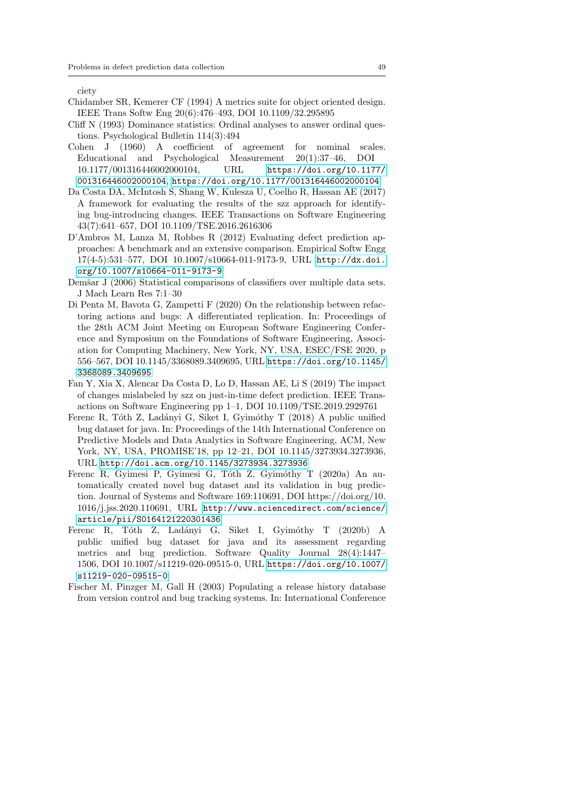ciety

- <span id="page-48-5"></span>Chidamber SR, Kemerer CF (1994) A metrics suite for object oriented design. IEEE Trans Softw Eng 20(6):476–493, DOI 10.1109/32.295895
- <span id="page-48-10"></span>Cliff N (1993) Dominance statistics: Ordinal analyses to answer ordinal questions. Psychological Bulletin 114(3):494
- <span id="page-48-8"></span>Cohen J (1960) A coefficient of agreement for nominal scales. Educational and Psychological Measurement 20(1):37–46, DOI 10.1177/001316446002000104, URL [https://doi.org/10.1177/](https://doi.org/10.1177/001316446002000104) [001316446002000104](https://doi.org/10.1177/001316446002000104), <https://doi.org/10.1177/001316446002000104>
- <span id="page-48-0"></span>Da Costa DA, McIntosh S, Shang W, Kulesza U, Coelho R, Hassan AE (2017) A framework for evaluating the results of the szz approach for identifying bug-introducing changes. IEEE Transactions on Software Engineering 43(7):641–657, DOI 10.1109/TSE.2016.2616306
- <span id="page-48-1"></span>D'Ambros M, Lanza M, Robbes R (2012) Evaluating defect prediction approaches: A benchmark and an extensive comparison. Empirical Softw Engg 17(4-5):531–577, DOI 10.1007/s10664-011-9173-9, URL [http://dx.doi.](http://dx.doi.org/10.1007/s10664-011-9173-9) [org/10.1007/s10664-011-9173-9](http://dx.doi.org/10.1007/s10664-011-9173-9)
- <span id="page-48-9"></span>Demšar J (2006) Statistical comparisons of classifiers over multiple data sets. J Mach Learn Res 7:1–30
- <span id="page-48-7"></span>Di Penta M, Bavota G, Zampetti F (2020) On the relationship between refactoring actions and bugs: A differentiated replication. In: Proceedings of the 28th ACM Joint Meeting on European Software Engineering Conference and Symposium on the Foundations of Software Engineering, Association for Computing Machinery, New York, NY, USA, ESEC/FSE 2020, p 556–567, DOI 10.1145/3368089.3409695, URL [https://doi.org/10.1145/](https://doi.org/10.1145/3368089.3409695) [3368089.3409695](https://doi.org/10.1145/3368089.3409695)
- <span id="page-48-11"></span>Fan Y, Xia X, Alencar Da Costa D, Lo D, Hassan AE, Li S (2019) The impact of changes mislabeled by szz on just-in-time defect prediction. IEEE Transactions on Software Engineering pp 1–1, DOI 10.1109/TSE.2019.2929761
- <span id="page-48-2"></span>Ferenc R, Tóth Z, Ladányi G, Siket I, Gyimóthy T (2018) A public unified bug dataset for java. In: Proceedings of the 14th International Conference on Predictive Models and Data Analytics in Software Engineering, ACM, New York, NY, USA, PROMISE'18, pp 12–21, DOI 10.1145/3273934.3273936, URL <http://doi.acm.org/10.1145/3273934.3273936>
- <span id="page-48-4"></span>Ferenc R, Gyimesi P, Gyimesi G, Tóth Z, Gyimóthy T (2020a) An automatically created novel bug dataset and its validation in bug prediction. Journal of Systems and Software 169:110691, DOI https://doi.org/10. 1016/j.jss.2020.110691, URL [http://www.sciencedirect.com/science/](http://www.sciencedirect.com/science/article/pii/S0164121220301436) [article/pii/S0164121220301436](http://www.sciencedirect.com/science/article/pii/S0164121220301436)
- <span id="page-48-3"></span>Ferenc R, Tóth Z, Ladányi G, Siket I, Gyimóthy T (2020b) A public unified bug dataset for java and its assessment regarding metrics and bug prediction. Software Quality Journal 28(4):1447– 1506, DOI 10.1007/s11219-020-09515-0, URL [https://doi.org/10.1007/](https://doi.org/10.1007/s11219-020-09515-0) [s11219-020-09515-0](https://doi.org/10.1007/s11219-020-09515-0)
- <span id="page-48-6"></span>Fischer M, Pinzger M, Gall H (2003) Populating a release history database from version control and bug tracking systems. In: International Conference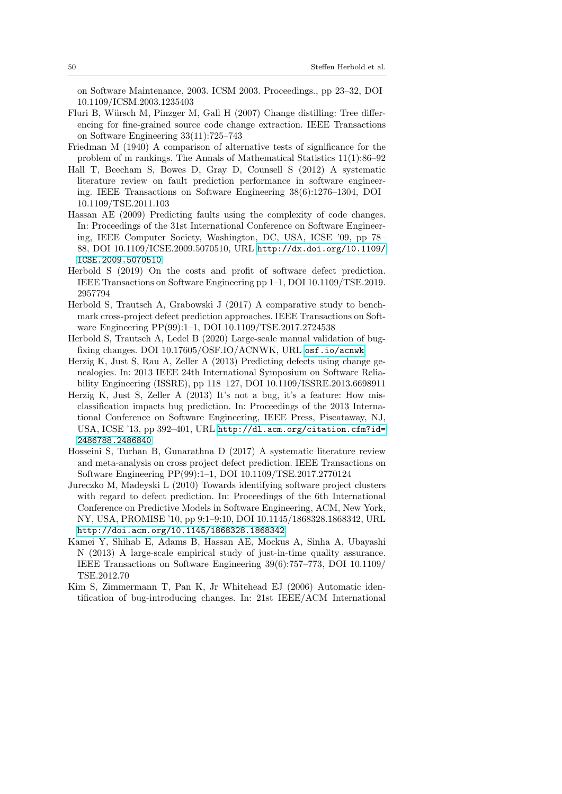on Software Maintenance, 2003. ICSM 2003. Proceedings., pp 23–32, DOI 10.1109/ICSM.2003.1235403

- <span id="page-49-8"></span>Fluri B, Würsch M, Pinzger M, Gall H (2007) Change distilling: Tree differencing for fine-grained source code change extraction. IEEE Transactions on Software Engineering 33(11):725–743
- <span id="page-49-10"></span>Friedman M (1940) A comparison of alternative tests of significance for the problem of m rankings. The Annals of Mathematical Statistics 11(1):86–92
- <span id="page-49-0"></span>Hall T, Beecham S, Bowes D, Gray D, Counsell S (2012) A systematic literature review on fault prediction performance in software engineering. IEEE Transactions on Software Engineering 38(6):1276–1304, DOI 10.1109/TSE.2011.103
- <span id="page-49-4"></span>Hassan AE (2009) Predicting faults using the complexity of code changes. In: Proceedings of the 31st International Conference on Software Engineering, IEEE Computer Society, Washington, DC, USA, ICSE '09, pp 78– 88, DOI 10.1109/ICSE.2009.5070510, URL [http://dx.doi.org/10.1109/](http://dx.doi.org/10.1109/ICSE.2009.5070510) [ICSE.2009.5070510](http://dx.doi.org/10.1109/ICSE.2009.5070510)
- <span id="page-49-9"></span>Herbold S (2019) On the costs and profit of software defect prediction. IEEE Transactions on Software Engineering pp 1–1, DOI 10.1109/TSE.2019. 2957794
- <span id="page-49-11"></span>Herbold S, Trautsch A, Grabowski J (2017) A comparative study to benchmark cross-project defect prediction approaches. IEEE Transactions on Software Engineering PP(99):1–1, DOI 10.1109/TSE.2017.2724538
- <span id="page-49-12"></span>Herbold S, Trautsch A, Ledel B (2020) Large-scale manual validation of bugfixing changes. DOI 10.17605/OSF.IO/ACNWK, URL <osf.io/acnwk>
- <span id="page-49-5"></span>Herzig K, Just S, Rau A, Zeller A (2013) Predicting defects using change genealogies. In: 2013 IEEE 24th International Symposium on Software Reliability Engineering (ISSRE), pp 118–127, DOI 10.1109/ISSRE.2013.6698911
- <span id="page-49-3"></span>Herzig K, Just S, Zeller A (2013) It's not a bug, it's a feature: How misclassification impacts bug prediction. In: Proceedings of the 2013 International Conference on Software Engineering, IEEE Press, Piscataway, NJ, USA, ICSE '13, pp 392–401, URL [http://dl.acm.org/citation.cfm?id=](http://dl.acm.org/citation.cfm?id=2486788.2486840) [2486788.2486840](http://dl.acm.org/citation.cfm?id=2486788.2486840)
- <span id="page-49-2"></span>Hosseini S, Turhan B, Gunarathna D (2017) A systematic literature review and meta-analysis on cross project defect prediction. IEEE Transactions on Software Engineering PP(99):1–1, DOI 10.1109/TSE.2017.2770124
- <span id="page-49-1"></span>Jureczko M, Madeyski L (2010) Towards identifying software project clusters with regard to defect prediction. In: Proceedings of the 6th International Conference on Predictive Models in Software Engineering, ACM, New York, NY, USA, PROMISE '10, pp 9:1–9:10, DOI 10.1145/1868328.1868342, URL <http://doi.acm.org/10.1145/1868328.1868342>
- <span id="page-49-6"></span>Kamei Y, Shihab E, Adams B, Hassan AE, Mockus A, Sinha A, Ubayashi N (2013) A large-scale empirical study of just-in-time quality assurance. IEEE Transactions on Software Engineering 39(6):757–773, DOI 10.1109/ TSE.2012.70
- <span id="page-49-7"></span>Kim S, Zimmermann T, Pan K, Jr Whitehead EJ (2006) Automatic identification of bug-introducing changes. In: 21st IEEE/ACM International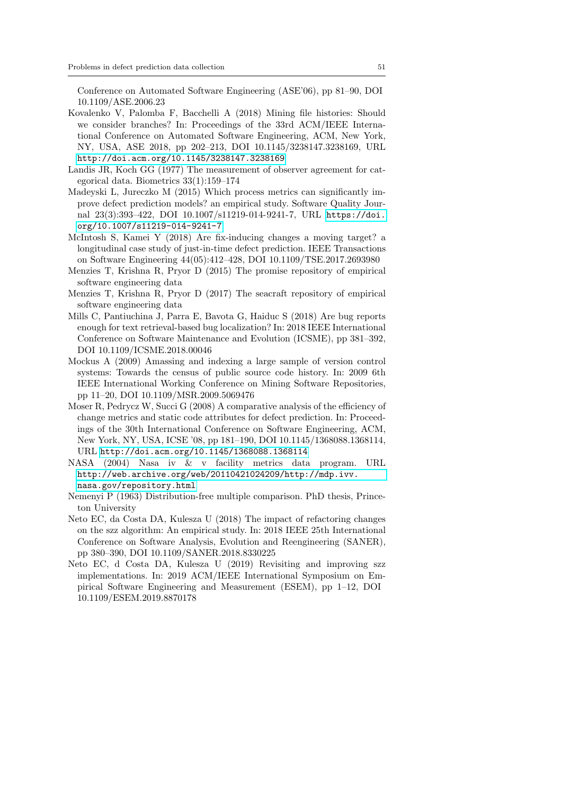Conference on Automated Software Engineering (ASE'06), pp 81–90, DOI 10.1109/ASE.2006.23

- <span id="page-50-4"></span>Kovalenko V, Palomba F, Bacchelli A (2018) Mining file histories: Should we consider branches? In: Proceedings of the 33rd ACM/IEEE International Conference on Automated Software Engineering, ACM, New York, NY, USA, ASE 2018, pp 202–213, DOI 10.1145/3238147.3238169, URL <http://doi.acm.org/10.1145/3238147.3238169>
- <span id="page-50-11"></span>Landis JR, Koch GG (1977) The measurement of observer agreement for categorical data. Biometrics 33(1):159–174
- <span id="page-50-6"></span>Madeyski L, Jureczko M (2015) Which process metrics can significantly improve defect prediction models? an empirical study. Software Quality Journal 23(3):393–422, DOI 10.1007/s11219-014-9241-7, URL [https://doi.](https://doi.org/10.1007/s11219-014-9241-7) [org/10.1007/s11219-014-9241-7](https://doi.org/10.1007/s11219-014-9241-7)
- <span id="page-50-7"></span>McIntosh S, Kamei Y (2018) Are fix-inducing changes a moving target? a longitudinal case study of just-in-time defect prediction. IEEE Transactions on Software Engineering 44(05):412–428, DOI 10.1109/TSE.2017.2693980
- <span id="page-50-0"></span>Menzies T, Krishna R, Pryor D (2015) The promise repository of empirical software engineering data
- <span id="page-50-1"></span>Menzies T, Krishna R, Pryor D (2017) The seacraft repository of empirical software engineering data
- <span id="page-50-3"></span>Mills C, Pantiuchina J, Parra E, Bavota G, Haiduc S (2018) Are bug reports enough for text retrieval-based bug localization? In: 2018 IEEE International Conference on Software Maintenance and Evolution (ICSME), pp 381–392, DOI 10.1109/ICSME.2018.00046
- <span id="page-50-8"></span>Mockus A (2009) Amassing and indexing a large sample of version control systems: Towards the census of public source code history. In: 2009 6th IEEE International Working Conference on Mining Software Repositories, pp 11–20, DOI 10.1109/MSR.2009.5069476
- <span id="page-50-5"></span>Moser R, Pedrycz W, Succi G (2008) A comparative analysis of the efficiency of change metrics and static code attributes for defect prediction. In: Proceedings of the 30th International Conference on Software Engineering, ACM, New York, NY, USA, ICSE '08, pp 181–190, DOI 10.1145/1368088.1368114, URL <http://doi.acm.org/10.1145/1368088.1368114>
- <span id="page-50-2"></span>NASA (2004) Nasa iv & v facility metrics data program. URL [http://web.archive.org/web/20110421024209/http://mdp.ivv.](http://web.archive.org/web/20110421024209/http://mdp.ivv.nasa.gov/repository.html) [nasa.gov/repository.html](http://web.archive.org/web/20110421024209/http://mdp.ivv.nasa.gov/repository.html)
- <span id="page-50-12"></span>Nemenyi P (1963) Distribution-free multiple comparison. PhD thesis, Princeton University
- <span id="page-50-9"></span>Neto EC, da Costa DA, Kulesza U (2018) The impact of refactoring changes on the szz algorithm: An empirical study. In: 2018 IEEE 25th International Conference on Software Analysis, Evolution and Reengineering (SANER), pp 380–390, DOI 10.1109/SANER.2018.8330225
- <span id="page-50-10"></span>Neto EC, d Costa DA, Kulesza U (2019) Revisiting and improving szz implementations. In: 2019 ACM/IEEE International Symposium on Empirical Software Engineering and Measurement (ESEM), pp 1–12, DOI 10.1109/ESEM.2019.8870178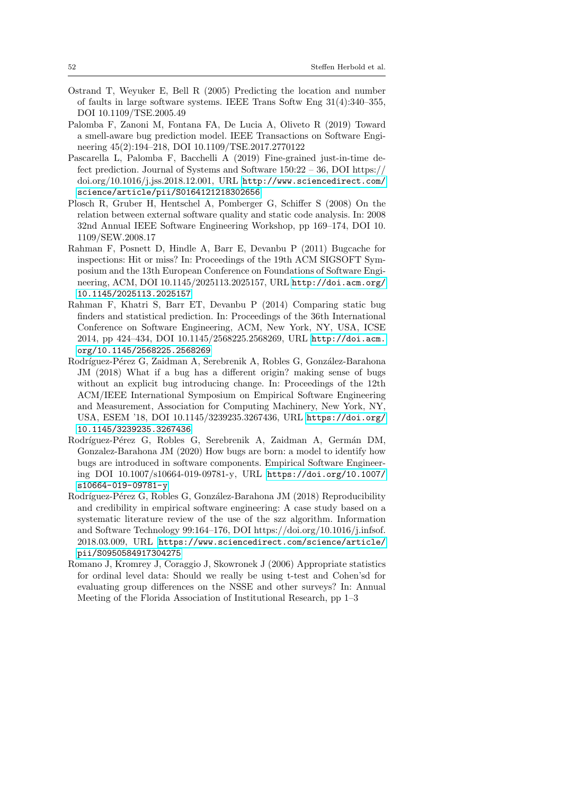- <span id="page-51-5"></span>Ostrand T, Weyuker E, Bell R (2005) Predicting the location and number of faults in large software systems. IEEE Trans Softw Eng 31(4):340–355, DOI 10.1109/TSE.2005.49
- <span id="page-51-8"></span>Palomba F, Zanoni M, Fontana FA, De Lucia A, Oliveto R (2019) Toward a smell-aware bug prediction model. IEEE Transactions on Software Engineering 45(2):194–218, DOI 10.1109/TSE.2017.2770122
- <span id="page-51-0"></span>Pascarella L, Palomba F, Bacchelli A (2019) Fine-grained just-in-time defect prediction. Journal of Systems and Software  $150:22 - 36$ , DOI https:// doi.org/10.1016/j.jss.2018.12.001, URL [http://www.sciencedirect.com/](http://www.sciencedirect.com/science/article/pii/S0164121218302656) [science/article/pii/S0164121218302656](http://www.sciencedirect.com/science/article/pii/S0164121218302656)
- <span id="page-51-6"></span>Plosch R, Gruber H, Hentschel A, Pomberger G, Schiffer S (2008) On the relation between external software quality and static code analysis. In: 2008 32nd Annual IEEE Software Engineering Workshop, pp 169–174, DOI 10. 1109/SEW.2008.17
- <span id="page-51-4"></span>Rahman F, Posnett D, Hindle A, Barr E, Devanbu P (2011) Bugcache for inspections: Hit or miss? In: Proceedings of the 19th ACM SIGSOFT Symposium and the 13th European Conference on Foundations of Software Engineering, ACM, DOI 10.1145/2025113.2025157, URL [http://doi.acm.org/](http://doi.acm.org/10.1145/2025113.2025157) [10.1145/2025113.2025157](http://doi.acm.org/10.1145/2025113.2025157)
- <span id="page-51-7"></span>Rahman F, Khatri S, Barr ET, Devanbu P (2014) Comparing static bug finders and statistical prediction. In: Proceedings of the 36th International Conference on Software Engineering, ACM, New York, NY, USA, ICSE 2014, pp 424–434, DOI 10.1145/2568225.2568269, URL [http://doi.acm.](http://doi.acm.org/10.1145/2568225.2568269) [org/10.1145/2568225.2568269](http://doi.acm.org/10.1145/2568225.2568269)
- <span id="page-51-3"></span>Rodríguez-Pérez G, Zaidman A, Serebrenik A, Robles G, González-Barahona JM (2018) What if a bug has a different origin? making sense of bugs without an explicit bug introducing change. In: Proceedings of the 12th ACM/IEEE International Symposium on Empirical Software Engineering and Measurement, Association for Computing Machinery, New York, NY, USA, ESEM '18, DOI 10.1145/3239235.3267436, URL [https://doi.org/](https://doi.org/10.1145/3239235.3267436) [10.1145/3239235.3267436](https://doi.org/10.1145/3239235.3267436)
- <span id="page-51-2"></span>Rodríguez-Pérez G, Robles G, Serebrenik A, Zaidman A, Germán DM, Gonzalez-Barahona JM (2020) How bugs are born: a model to identify how bugs are introduced in software components. Empirical Software Engineering DOI 10.1007/s10664-019-09781-y, URL [https://doi.org/10.1007/](https://doi.org/10.1007/s10664-019-09781-y) [s10664-019-09781-y](https://doi.org/10.1007/s10664-019-09781-y)
- <span id="page-51-1"></span>Rodríguez-Pérez G, Robles G, González-Barahona JM (2018) Reproducibility and credibility in empirical software engineering: A case study based on a systematic literature review of the use of the szz algorithm. Information and Software Technology 99:164–176, DOI https://doi.org/10.1016/j.infsof. 2018.03.009, URL [https://www.sciencedirect.com/science/article/](https://www.sciencedirect.com/science/article/pii/S0950584917304275) [pii/S0950584917304275](https://www.sciencedirect.com/science/article/pii/S0950584917304275)
- <span id="page-51-9"></span>Romano J, Kromrey J, Coraggio J, Skowronek J (2006) Appropriate statistics for ordinal level data: Should we really be using t-test and Cohen'sd for evaluating group differences on the NSSE and other surveys? In: Annual Meeting of the Florida Association of Institutional Research, pp 1–3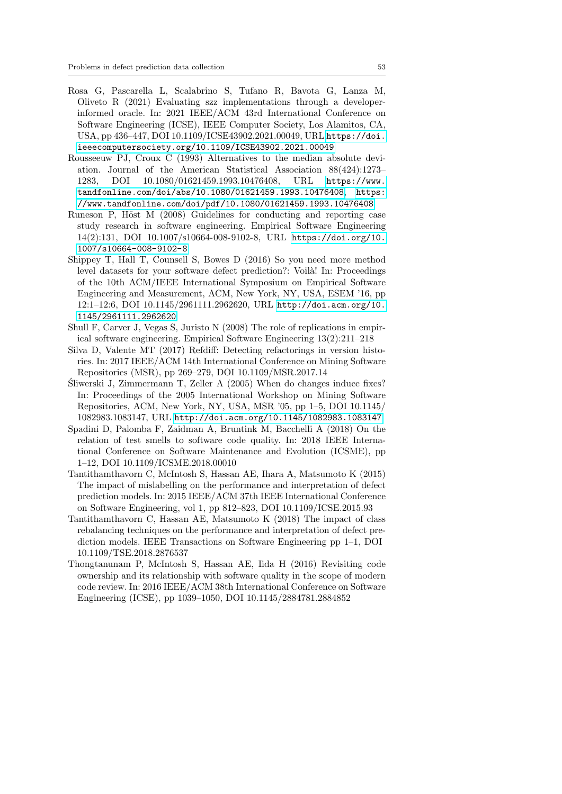- <span id="page-52-8"></span>Rosa G, Pascarella L, Scalabrino S, Tufano R, Bavota G, Lanza M, Oliveto R (2021) Evaluating szz implementations through a developerinformed oracle. In: 2021 IEEE/ACM 43rd International Conference on Software Engineering (ICSE), IEEE Computer Society, Los Alamitos, CA, USA, pp 436–447, DOI 10.1109/ICSE43902.2021.00049, URL [https://doi.](https://doi.ieeecomputersociety.org/10.1109/ICSE43902.2021.00049) [ieeecomputersociety.org/10.1109/ICSE43902.2021.00049](https://doi.ieeecomputersociety.org/10.1109/ICSE43902.2021.00049)
- <span id="page-52-6"></span>Rousseeuw PJ, Croux C (1993) Alternatives to the median absolute deviation. Journal of the American Statistical Association 88(424):1273– 1283, DOI 10.1080/01621459.1993.10476408, URL [https://www.](https://www.tandfonline.com/doi/abs/10.1080/01621459.1993.10476408) [tandfonline.com/doi/abs/10.1080/01621459.1993.10476408](https://www.tandfonline.com/doi/abs/10.1080/01621459.1993.10476408), [https:](https://www.tandfonline.com/doi/pdf/10.1080/01621459.1993.10476408) [//www.tandfonline.com/doi/pdf/10.1080/01621459.1993.10476408](https://www.tandfonline.com/doi/pdf/10.1080/01621459.1993.10476408)
- <span id="page-52-10"></span>Runeson P, Höst  $M(2008)$  Guidelines for conducting and reporting case study research in software engineering. Empirical Software Engineering 14(2):131, DOI 10.1007/s10664-008-9102-8, URL [https://doi.org/10.](https://doi.org/10.1007/s10664-008-9102-8) [1007/s10664-008-9102-8](https://doi.org/10.1007/s10664-008-9102-8)
- <span id="page-52-1"></span>Shippey T, Hall T, Counsell S, Bowes D (2016) So you need more method level datasets for your software defect prediction?: Voila! In: Proceedings of the 10th ACM/IEEE International Symposium on Empirical Software Engineering and Measurement, ACM, New York, NY, USA, ESEM '16, pp 12:1–12:6, DOI 10.1145/2961111.2962620, URL [http://doi.acm.org/10.](http://doi.acm.org/10.1145/2961111.2962620) [1145/2961111.2962620](http://doi.acm.org/10.1145/2961111.2962620)
- <span id="page-52-7"></span>Shull F, Carver J, Vegas S, Juristo N (2008) The role of replications in empirical software engineering. Empirical Software Engineering 13(2):211–218
- <span id="page-52-5"></span>Silva D, Valente MT (2017) Refdiff: Detecting refactorings in version histories. In: 2017 IEEE/ACM 14th International Conference on Mining Software Repositories (MSR), pp 269–279, DOI 10.1109/MSR.2017.14
- <span id="page-52-0"></span>Sliwerski J, Zimmermann T, Zeller A (2005) When do changes induce fixes? ´ In: Proceedings of the 2005 International Workshop on Mining Software Repositories, ACM, New York, NY, USA, MSR '05, pp 1–5, DOI 10.1145/ 1082983.1083147, URL <http://doi.acm.org/10.1145/1082983.1083147>
- <span id="page-52-4"></span>Spadini D, Palomba F, Zaidman A, Bruntink M, Bacchelli A (2018) On the relation of test smells to software code quality. In: 2018 IEEE International Conference on Software Maintenance and Evolution (ICSME), pp 1–12, DOI 10.1109/ICSME.2018.00010
- <span id="page-52-2"></span>Tantithamthavorn C, McIntosh S, Hassan AE, Ihara A, Matsumoto K (2015) The impact of mislabelling on the performance and interpretation of defect prediction models. In: 2015 IEEE/ACM 37th IEEE International Conference on Software Engineering, vol 1, pp 812–823, DOI 10.1109/ICSE.2015.93
- <span id="page-52-9"></span>Tantithamthavorn C, Hassan AE, Matsumoto K (2018) The impact of class rebalancing techniques on the performance and interpretation of defect prediction models. IEEE Transactions on Software Engineering pp 1–1, DOI 10.1109/TSE.2018.2876537
- <span id="page-52-3"></span>Thongtanunam P, McIntosh S, Hassan AE, Iida H (2016) Revisiting code ownership and its relationship with software quality in the scope of modern code review. In: 2016 IEEE/ACM 38th International Conference on Software Engineering (ICSE), pp 1039–1050, DOI 10.1145/2884781.2884852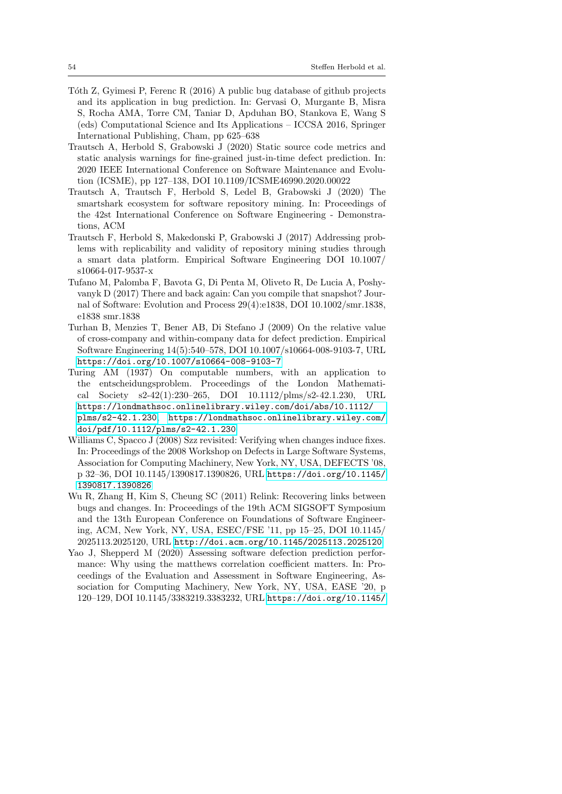- <span id="page-53-3"></span>T´oth Z, Gyimesi P, Ferenc R (2016) A public bug database of github projects and its application in bug prediction. In: Gervasi O, Murgante B, Misra S, Rocha AMA, Torre CM, Taniar D, Apduhan BO, Stankova E, Wang S (eds) Computational Science and Its Applications – ICCSA 2016, Springer International Publishing, Cham, pp 625–638
- <span id="page-53-9"></span>Trautsch A, Herbold S, Grabowski J (2020) Static source code metrics and static analysis warnings for fine-grained just-in-time defect prediction. In: 2020 IEEE International Conference on Software Maintenance and Evolution (ICSME), pp 127–138, DOI 10.1109/ICSME46990.2020.00022
- <span id="page-53-5"></span>Trautsch A, Trautsch F, Herbold S, Ledel B, Grabowski J (2020) The smartshark ecosystem for software repository mining. In: Proceedings of the 42st International Conference on Software Engineering - Demonstrations, ACM
- <span id="page-53-1"></span>Trautsch F, Herbold S, Makedonski P, Grabowski J (2017) Addressing problems with replicability and validity of repository mining studies through a smart data platform. Empirical Software Engineering DOI 10.1007/ s10664-017-9537-x
- <span id="page-53-6"></span>Tufano M, Palomba F, Bavota G, Di Penta M, Oliveto R, De Lucia A, Poshyvanyk D (2017) There and back again: Can you compile that snapshot? Journal of Software: Evolution and Process 29(4):e1838, DOI 10.1002/smr.1838, e1838 smr.1838
- <span id="page-53-0"></span>Turhan B, Menzies T, Bener AB, Di Stefano J (2009) On the relative value of cross-company and within-company data for defect prediction. Empirical Software Engineering 14(5):540–578, DOI 10.1007/s10664-008-9103-7, URL <https://doi.org/10.1007/s10664-008-9103-7>
- <span id="page-53-8"></span>Turing AM (1937) On computable numbers, with an application to the entscheidungsproblem. Proceedings of the London Mathematical Society s2-42(1):230–265, DOI 10.1112/plms/s2-42.1.230, URL [https://londmathsoc.onlinelibrary.wiley.com/doi/abs/10.1112/](https://londmathsoc.onlinelibrary.wiley.com/doi/abs/10.1112/plms/s2-42.1.230) [plms/s2-42.1.230](https://londmathsoc.onlinelibrary.wiley.com/doi/abs/10.1112/plms/s2-42.1.230), [https://londmathsoc.onlinelibrary.wiley.com/](https://londmathsoc.onlinelibrary.wiley.com/doi/pdf/10.1112/plms/s2-42.1.230) [doi/pdf/10.1112/plms/s2-42.1.230](https://londmathsoc.onlinelibrary.wiley.com/doi/pdf/10.1112/plms/s2-42.1.230)
- <span id="page-53-4"></span>Williams C, Spacco J (2008) Szz revisited: Verifying when changes induce fixes. In: Proceedings of the 2008 Workshop on Defects in Large Software Systems, Association for Computing Machinery, New York, NY, USA, DEFECTS '08, p 32–36, DOI 10.1145/1390817.1390826, URL [https://doi.org/10.1145/](https://doi.org/10.1145/1390817.1390826) [1390817.1390826](https://doi.org/10.1145/1390817.1390826)
- <span id="page-53-2"></span>Wu R, Zhang H, Kim S, Cheung SC (2011) Relink: Recovering links between bugs and changes. In: Proceedings of the 19th ACM SIGSOFT Symposium and the 13th European Conference on Foundations of Software Engineering, ACM, New York, NY, USA, ESEC/FSE '11, pp 15–25, DOI 10.1145/ 2025113.2025120, URL <http://doi.acm.org/10.1145/2025113.2025120>
- <span id="page-53-7"></span>Yao J, Shepperd M (2020) Assessing software defection prediction performance: Why using the matthews correlation coefficient matters. In: Proceedings of the Evaluation and Assessment in Software Engineering, Association for Computing Machinery, New York, NY, USA, EASE '20, p 120–129, DOI 10.1145/3383219.3383232, URL [https://doi.org/10.1145/](https://doi.org/10.1145/3383219.3383232)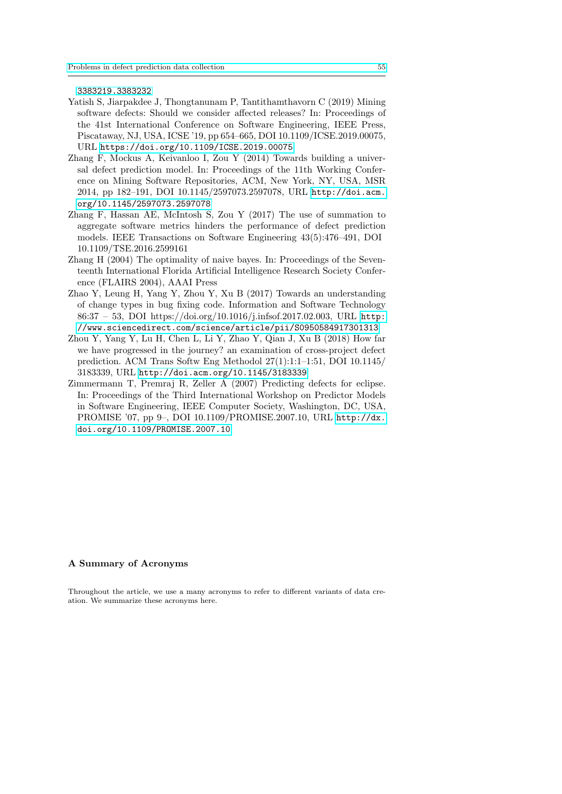[3383219.3383232](https://doi.org/10.1145/3383219.3383232)

- <span id="page-54-0"></span>Yatish S, Jiarpakdee J, Thongtanunam P, Tantithamthavorn C (2019) Mining software defects: Should we consider affected releases? In: Proceedings of the 41st International Conference on Software Engineering, IEEE Press, Piscataway, NJ, USA, ICSE '19, pp 654–665, DOI 10.1109/ICSE.2019.00075, URL <https://doi.org/10.1109/ICSE.2019.00075>
- <span id="page-54-3"></span>Zhang F, Mockus A, Keivanloo I, Zou Y (2014) Towards building a universal defect prediction model. In: Proceedings of the 11th Working Conference on Mining Software Repositories, ACM, New York, NY, USA, MSR 2014, pp 182–191, DOI 10.1145/2597073.2597078, URL [http://doi.acm.](http://doi.acm.org/10.1145/2597073.2597078) [org/10.1145/2597073.2597078](http://doi.acm.org/10.1145/2597073.2597078)
- <span id="page-54-1"></span>Zhang F, Hassan AE, McIntosh S, Zou Y (2017) The use of summation to aggregate software metrics hinders the performance of defect prediction models. IEEE Transactions on Software Engineering 43(5):476–491, DOI 10.1109/TSE.2016.2599161
- <span id="page-54-4"></span>Zhang H (2004) The optimality of naive bayes. In: Proceedings of the Seventeenth International Florida Artificial Intelligence Research Society Conference (FLAIRS 2004), AAAI Press
- <span id="page-54-6"></span>Zhao Y, Leung H, Yang Y, Zhou Y, Xu B (2017) Towards an understanding of change types in bug fixing code. Information and Software Technology 86:37 – 53, DOI https://doi.org/10.1016/j.infsof.2017.02.003, URL [http:](http://www.sciencedirect.com/science/article/pii/S0950584917301313) [//www.sciencedirect.com/science/article/pii/S0950584917301313](http://www.sciencedirect.com/science/article/pii/S0950584917301313)
- <span id="page-54-5"></span>Zhou Y, Yang Y, Lu H, Chen L, Li Y, Zhao Y, Qian J, Xu B (2018) How far we have progressed in the journey? an examination of cross-project defect prediction. ACM Trans Softw Eng Methodol 27(1):1:1–1:51, DOI 10.1145/ 3183339, URL <http://doi.acm.org/10.1145/3183339>
- <span id="page-54-2"></span>Zimmermann T, Premraj R, Zeller A (2007) Predicting defects for eclipse. In: Proceedings of the Third International Workshop on Predictor Models in Software Engineering, IEEE Computer Society, Washington, DC, USA, PROMISE '07, pp 9–, DOI 10.1109/PROMISE.2007.10, URL [http://dx.](http://dx.doi.org/10.1109/PROMISE.2007.10) [doi.org/10.1109/PROMISE.2007.10](http://dx.doi.org/10.1109/PROMISE.2007.10)

## A Summary of Acronyms

Throughout the article, we use a many acronyms to refer to different variants of data creation. We summarize these acronyms here.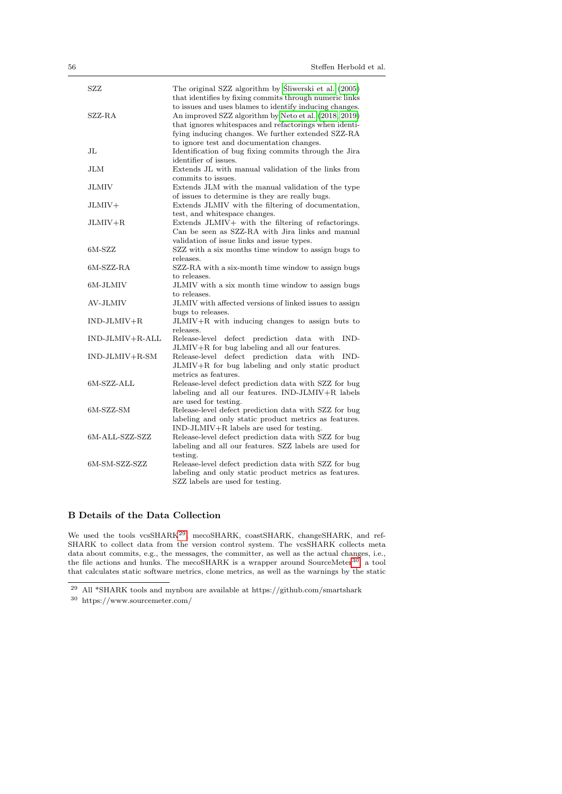| SZZ               | The original SZZ algorithm by Sliwerski et al. (2005)   |
|-------------------|---------------------------------------------------------|
|                   | that identifies by fixing commits through numeric links |
|                   | to issues and uses blames to identify inducing changes. |
| SZZ-RA            | An improved SZZ algorithm by Neto et al. (2018, 2019)   |
|                   | that ignores whitespaces and refactorings when identi-  |
|                   | fying inducing changes. We further extended SZZ-RA      |
|                   | to ignore test and documentation changes.               |
| $_{\rm JL}$       | Identification of bug fixing commits through the Jira   |
|                   | identifier of issues.                                   |
| <b>JLM</b>        | Extends JL with manual validation of the links from     |
|                   | commits to issues.                                      |
| <b>JLMIV</b>      | Extends JLM with the manual validation of the type      |
|                   | of issues to determine is they are really bugs.         |
| JLMIV+            | Extends JLMIV with the filtering of documentation,      |
|                   | test, and whitespace changes.                           |
| $JLMIV+R$         | Extends JLMIV+ with the filtering of refactorings.      |
|                   | Can be seen as SZZ-RA with Jira links and manual        |
|                   | validation of issue links and issue types.              |
| $6M-SZZ$          | SZZ with a six months time window to assign bugs to     |
|                   | releases.                                               |
| $6M-SZZ-RA$       | SZZ-RA with a six-month time window to assign bugs      |
|                   | to releases.                                            |
| 6M-JLMIV          | JLMIV with a six month time window to assign bugs       |
|                   | to releases.                                            |
| AV-JLMIV          | JLMIV with affected versions of linked issues to assign |
|                   | bugs to releases.                                       |
| $IND-JLMIV+R$     | $JLMIV+R$ with inducing changes to assign buts to       |
|                   | releases.                                               |
| $IND-JLMIV+R-ALL$ | Release-level<br>defect prediction data<br>with<br>IND- |
|                   | JLMIV+R for bug labeling and all our features.          |
| $IND-JLMIV+R-SM$  | Release-level defect prediction data<br>with<br>IND-    |
|                   | JLMIV+R for bug labeling and only static product        |
|                   | metrics as features.                                    |
| $6M-SZZ-ALL$      | Release-level defect prediction data with SZZ for bug   |
|                   | labeling and all our features. IND-JLMIV+R labels       |
|                   | are used for testing.                                   |
| $6M-SZZ-SM$       | Release-level defect prediction data with SZZ for bug   |
|                   | labeling and only static product metrics as features.   |
|                   | $IND-JLMIV+R$ labels are used for testing.              |
| 6M-ALL-SZZ-SZZ    | Release-level defect prediction data with SZZ for bug   |
|                   | labeling and all our features. SZZ labels are used for  |
|                   | testing.                                                |
| 6M-SM-SZZ-SZZ     | Release-level defect prediction data with SZZ for bug   |
|                   | labeling and only static product metrics as features.   |
|                   |                                                         |
|                   | SZZ labels are used for testing.                        |

## <span id="page-55-0"></span>B Details of the Data Collection

We used the tools vcsSHARK<sup>[29](#page-55-1)</sup>, mecoSHARK, coastSHARK, changeSHARK, and ref-SHARK to collect data from the version control system. The vcsSHARK collects meta data about commits, e.g., the messages, the committer, as well as the actual changes, i.e., the file actions and hunks. The mecoSHARK is a wrapper around SourceMeter<sup>[30](#page-55-2)</sup>, a tool that calculates static software metrics, clone metrics, as well as the warnings by the static

<span id="page-55-1"></span> $^{29}$  All  $^*\mathrm{SHARK}$  tools and mynbou are available at https://github.com/smartshark

<span id="page-55-2"></span> $^\mathrm{30}$ https://www.sourcemeter.com/